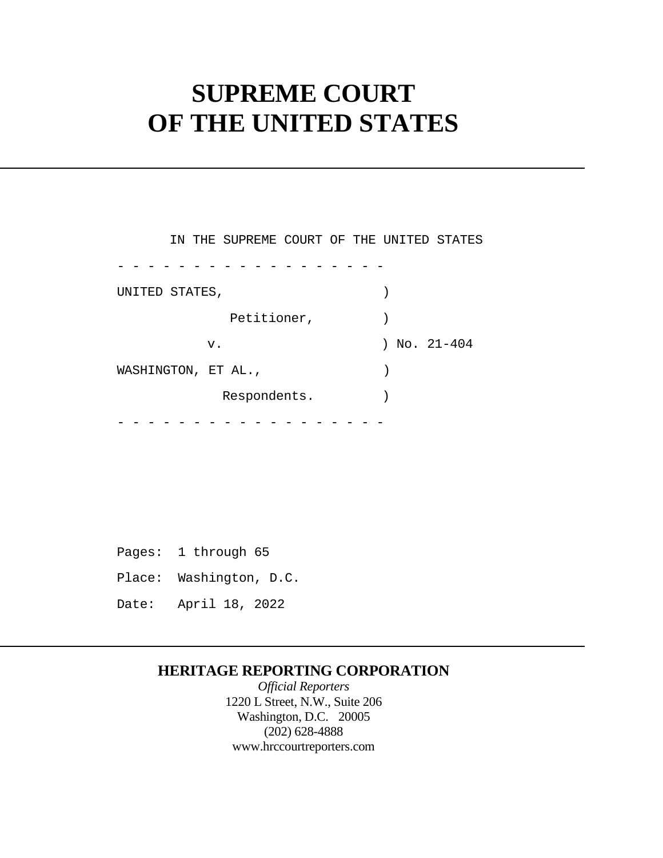# **SUPREME COURT OF THE UNITED STATES**

|                     | IN THE SUPREME COURT OF THE UNITED STATES |  |            |  |
|---------------------|-------------------------------------------|--|------------|--|
|                     |                                           |  |            |  |
| UNITED STATES,      |                                           |  |            |  |
|                     | Petitioner,                               |  |            |  |
|                     | v.                                        |  | No. 21-404 |  |
| WASHINGTON, ET AL., |                                           |  |            |  |
|                     | Respondents.                              |  |            |  |
|                     |                                           |  |            |  |

 Pages: 1 through 65 Place: Washington, D.C. Date: April 18, 2022

## **HERITAGE REPORTING CORPORATION**

*Official Reporters*  1220 L Street, N.W., Suite 206 Washington, D.C. 20005 (202) 628-4888 <www.hrccourtreporters.com>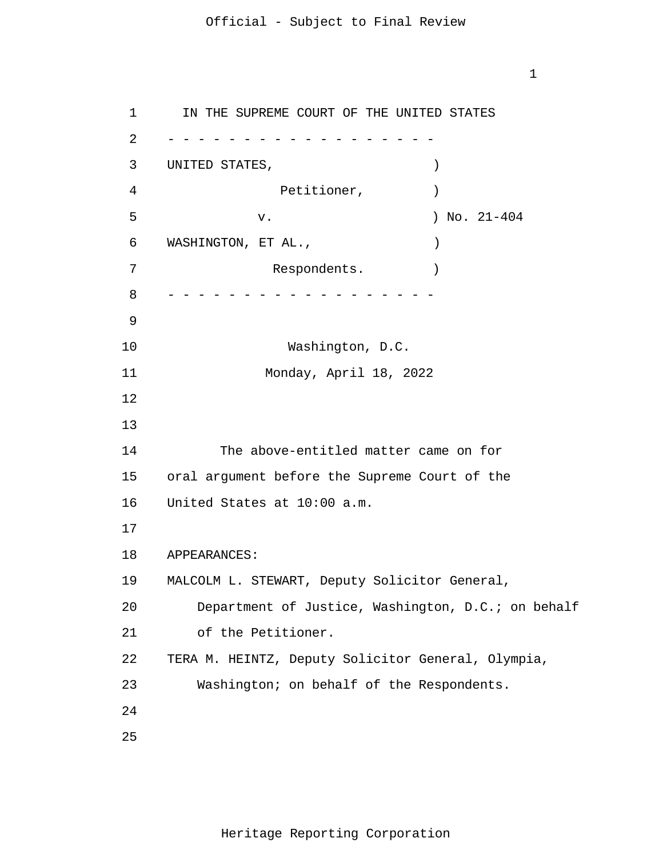1

1 2 3 4 5 6 7 8 9 10 11 12 13 14 15 16 17 18 19 20 21 22 23 24 25 - - - - - - - - - - - - - - - - - - - - - - - - - - - - - - - - - - - - IN THE SUPREME COURT OF THE UNITED STATES UNITED STATES,  $)$ Petitioner,  $)$  v. ) No. 21-404 WASHINGTON, ET AL.,  $)$ Respondents. Washington, D.C. Monday, April 18, 2022 The above-entitled matter came on for oral argument before the Supreme Court of the United States at 10:00 a.m. APPEARANCES: MALCOLM L. STEWART, Deputy Solicitor General, Department of Justice, Washington, D.C.; on behalf of the Petitioner. TERA M. HEINTZ, Deputy Solicitor General, Olympia, Washington; on behalf of the Respondents.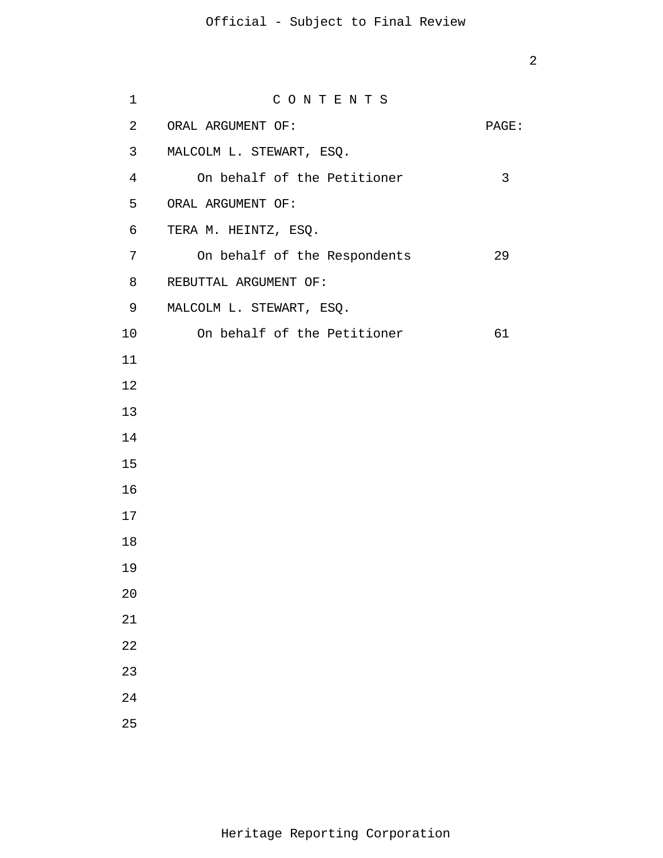| 1              | CONTENTS                     |       |
|----------------|------------------------------|-------|
| $\overline{2}$ | ORAL ARGUMENT OF:            | PAGE: |
| 3              | MALCOLM L. STEWART, ESQ.     |       |
| $\overline{4}$ | On behalf of the Petitioner  | 3     |
| 5              | ORAL ARGUMENT OF:            |       |
| $\epsilon$     | TERA M. HEINTZ, ESQ.         |       |
| 7              | On behalf of the Respondents | 29    |
| 8              | REBUTTAL ARGUMENT OF:        |       |
| 9              | MALCOLM L. STEWART, ESQ.     |       |
| 10             | On behalf of the Petitioner  | 61    |
| 11             |                              |       |
| 12             |                              |       |
| 13             |                              |       |
| 14             |                              |       |
| 15             |                              |       |
| 16             |                              |       |
| 17             |                              |       |
| 18             |                              |       |
| 19             |                              |       |
| 20             |                              |       |
| 21             |                              |       |
| 22             |                              |       |
| 23             |                              |       |
| 24             |                              |       |
| 25             |                              |       |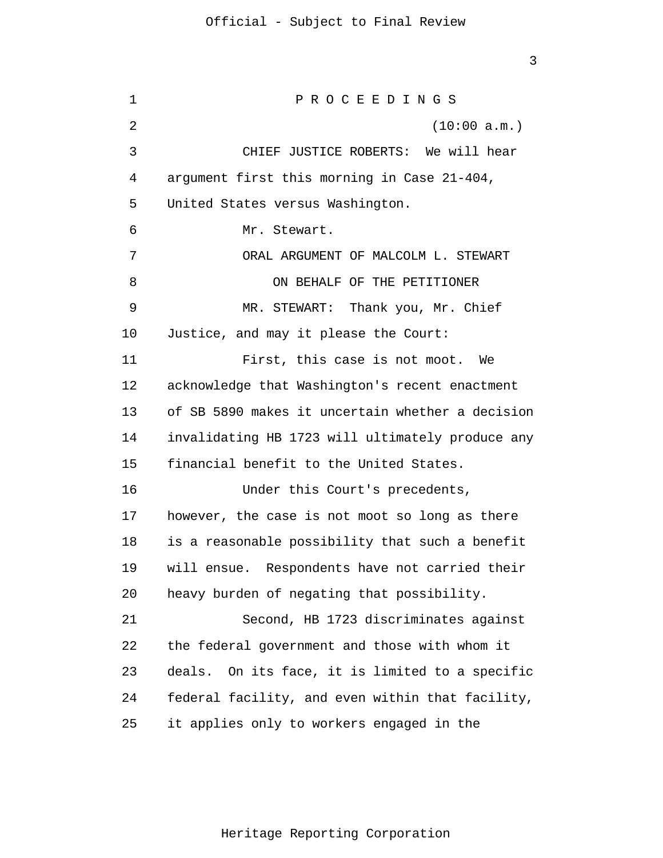1 2 3 4 5 6 7 8 9 10 11 12 13 14 15 16 17 18 19 20 21 22 23 24 25 P R O C E E D I N G S (10:00 a.m.) CHIEF JUSTICE ROBERTS: We will hear argument first this morning in Case 21-404, United States versus Washington. Mr. Stewart. ORAL ARGUMENT OF MALCOLM L. STEWART ON BEHALF OF THE PETITIONER MR. STEWART: Thank you, Mr. Chief Justice, and may it please the Court: First, this case is not moot. We acknowledge that Washington's recent enactment of SB 5890 makes it uncertain whether a decision invalidating HB 1723 will ultimately produce any financial benefit to the United States. Under this Court's precedents, however, the case is not moot so long as there is a reasonable possibility that such a benefit will ensue. Respondents have not carried their heavy burden of negating that possibility. Second, HB 1723 discriminates against the federal government and those with whom it deals. On its face, it is limited to a specific federal facility, and even within that facility, it applies only to workers engaged in the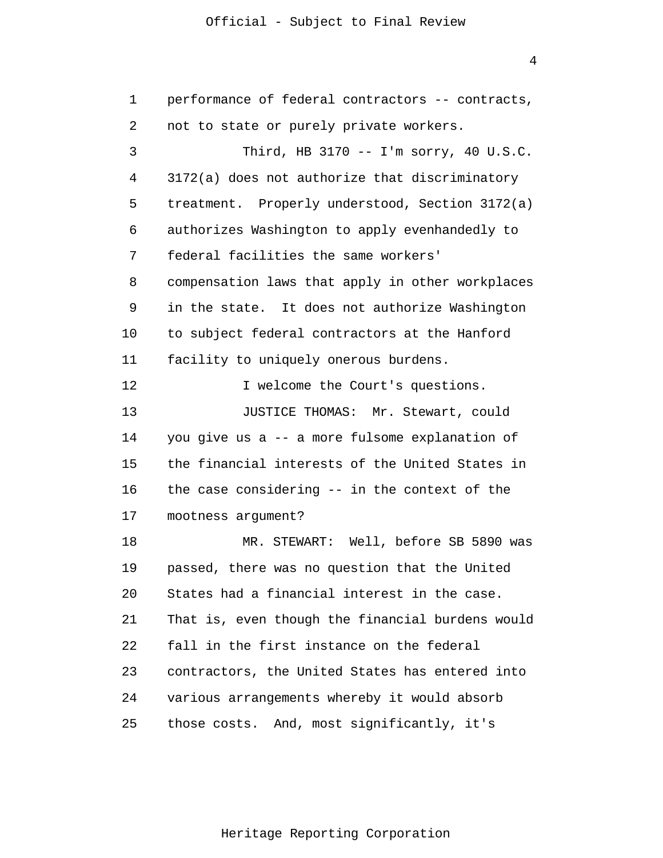4

| 1  | performance of federal contractors -- contracts, |
|----|--------------------------------------------------|
| 2  | not to state or purely private workers.          |
| 3  | Third, HB 3170 -- I'm sorry, 40 $U.S.C.$         |
| 4  | 3172(a) does not authorize that discriminatory   |
| 5  | treatment. Properly understood, Section 3172(a)  |
| 6  | authorizes Washington to apply evenhandedly to   |
| 7  | federal facilities the same workers'             |
| 8  | compensation laws that apply in other workplaces |
| 9  | in the state. It does not authorize Washington   |
| 10 | to subject federal contractors at the Hanford    |
| 11 | facility to uniquely onerous burdens.            |
| 12 | I welcome the Court's questions.                 |
| 13 | JUSTICE THOMAS: Mr. Stewart, could               |
| 14 | you give us a -- a more fulsome explanation of   |
| 15 | the financial interests of the United States in  |
| 16 | the case considering -- in the context of the    |
| 17 | mootness argument?                               |
| 18 | MR. STEWART: Well, before SB 5890 was            |
| 19 | passed, there was no question that the United    |
| 20 | States had a financial interest in the case.     |
| 21 | That is, even though the financial burdens would |
| 22 | fall in the first instance on the federal        |
| 23 | contractors, the United States has entered into  |
| 24 | various arrangements whereby it would absorb     |
| 25 | those costs. And, most significantly, it's       |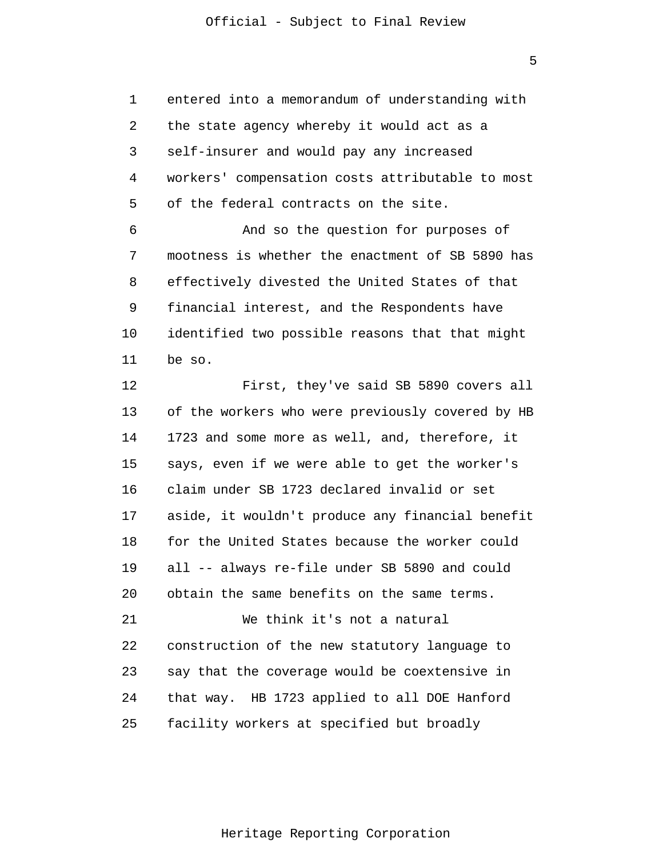5

1 2 3 4 5 6 7 8 9 10 11 12 13 14 15 16 17 18 19 20 21 22 23 24 25 entered into a memorandum of understanding with the state agency whereby it would act as a self-insurer and would pay any increased workers' compensation costs attributable to most of the federal contracts on the site. And so the question for purposes of mootness is whether the enactment of SB 5890 has effectively divested the United States of that financial interest, and the Respondents have identified two possible reasons that that might be so. First, they've said SB 5890 covers all of the workers who were previously covered by HB 1723 and some more as well, and, therefore, it says, even if we were able to get the worker's claim under SB 1723 declared invalid or set aside, it wouldn't produce any financial benefit for the United States because the worker could all -- always re-file under SB 5890 and could obtain the same benefits on the same terms. We think it's not a natural construction of the new statutory language to say that the coverage would be coextensive in that way. HB 1723 applied to all DOE Hanford facility workers at specified but broadly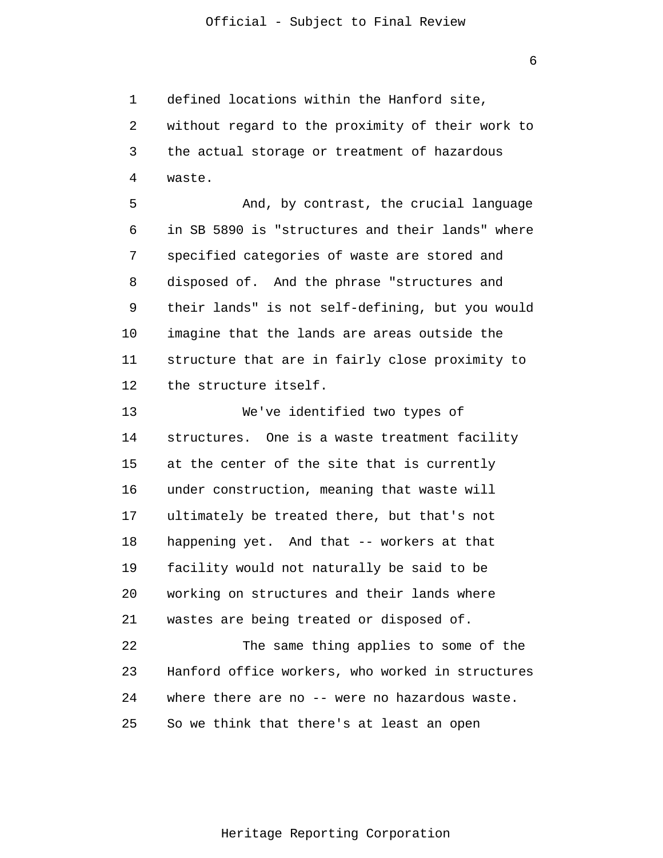1 2 3 4 defined locations within the Hanford site, without regard to the proximity of their work to the actual storage or treatment of hazardous waste.

5 6 7 8 9 10 11 12 And, by contrast, the crucial language in SB 5890 is "structures and their lands" where specified categories of waste are stored and disposed of. And the phrase "structures and their lands" is not self-defining, but you would imagine that the lands are areas outside the structure that are in fairly close proximity to the structure itself.

13 14 15 16 17 18 19 20 21 22 23 We've identified two types of structures. One is a waste treatment facility at the center of the site that is currently under construction, meaning that waste will ultimately be treated there, but that's not happening yet. And that -- workers at that facility would not naturally be said to be working on structures and their lands where wastes are being treated or disposed of. The same thing applies to some of the Hanford office workers, who worked in structures

25 So we think that there's at least an open

24

Heritage Reporting Corporation

where there are no -- were no hazardous waste.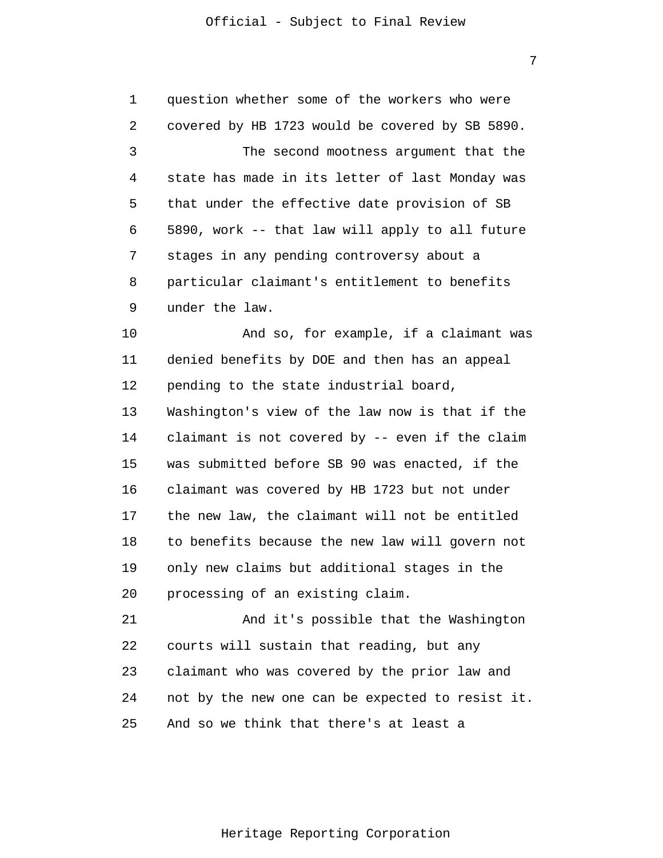7

1 2 3 4 5 6 7 8 9 10 11 12 13 14 15 16 17 18 19 20 21 22 23 24 25 question whether some of the workers who were covered by HB 1723 would be covered by SB 5890. The second mootness argument that the state has made in its letter of last Monday was that under the effective date provision of SB 5890, work -- that law will apply to all future stages in any pending controversy about a particular claimant's entitlement to benefits under the law. And so, for example, if a claimant was denied benefits by DOE and then has an appeal pending to the state industrial board, Washington's view of the law now is that if the claimant is not covered by -- even if the claim was submitted before SB 90 was enacted, if the claimant was covered by HB 1723 but not under the new law, the claimant will not be entitled to benefits because the new law will govern not only new claims but additional stages in the processing of an existing claim. And it's possible that the Washington courts will sustain that reading, but any claimant who was covered by the prior law and not by the new one can be expected to resist it. And so we think that there's at least a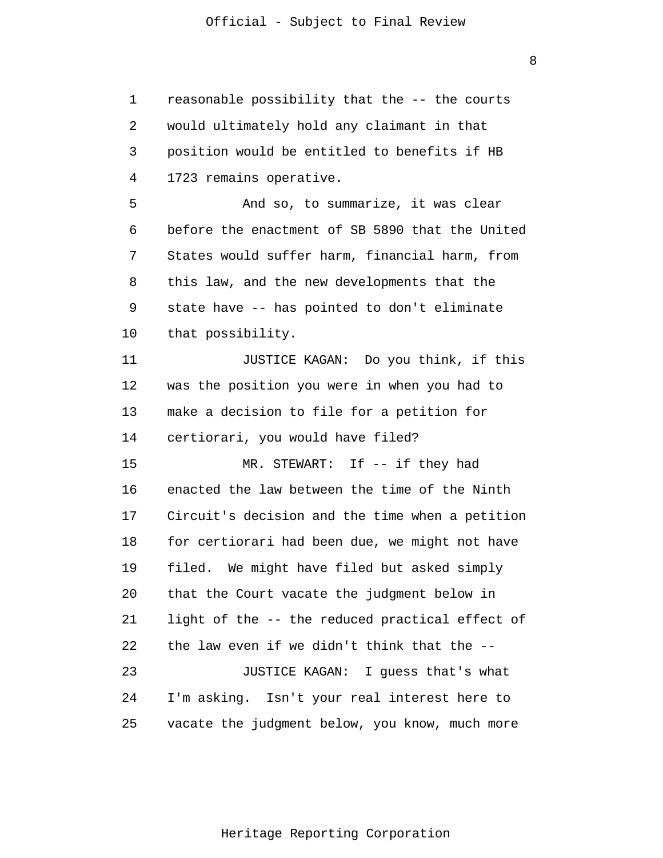1 2 3 4 5 6 7 8 9 10 11 12 13 14 15 16 17 18 19 20 21 22 23 24 25 reasonable possibility that the -- the courts would ultimately hold any claimant in that position would be entitled to benefits if HB 1723 remains operative. And so, to summarize, it was clear before the enactment of SB 5890 that the United States would suffer harm, financial harm, from this law, and the new developments that the state have -- has pointed to don't eliminate that possibility. JUSTICE KAGAN: Do you think, if this was the position you were in when you had to make a decision to file for a petition for certiorari, you would have filed? MR. STEWART: If -- if they had enacted the law between the time of the Ninth Circuit's decision and the time when a petition for certiorari had been due, we might not have filed. We might have filed but asked simply that the Court vacate the judgment below in light of the -- the reduced practical effect of the law even if we didn't think that the -- JUSTICE KAGAN: I guess that's what I'm asking. Isn't your real interest here to vacate the judgment below, you know, much more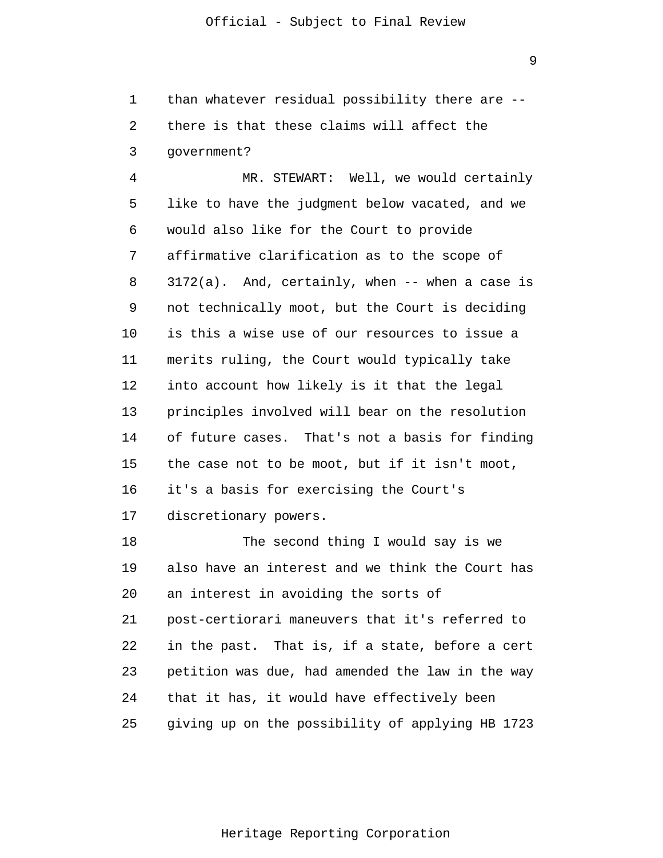1 2 3 than whatever residual possibility there are - there is that these claims will affect the government?

4 5 6 7 8 9 10 11 12 13 14 15 16 17 MR. STEWART: Well, we would certainly like to have the judgment below vacated, and we would also like for the Court to provide affirmative clarification as to the scope of  $3172(a)$ . And, certainly, when  $-$ - when a case is not technically moot, but the Court is deciding is this a wise use of our resources to issue a merits ruling, the Court would typically take into account how likely is it that the legal principles involved will bear on the resolution of future cases. That's not a basis for finding the case not to be moot, but if it isn't moot, it's a basis for exercising the Court's discretionary powers.

18 19 20 21 22 23 24 25 The second thing I would say is we also have an interest and we think the Court has an interest in avoiding the sorts of post-certiorari maneuvers that it's referred to in the past. That is, if a state, before a cert petition was due, had amended the law in the way that it has, it would have effectively been giving up on the possibility of applying HB 1723

Heritage Reporting Corporation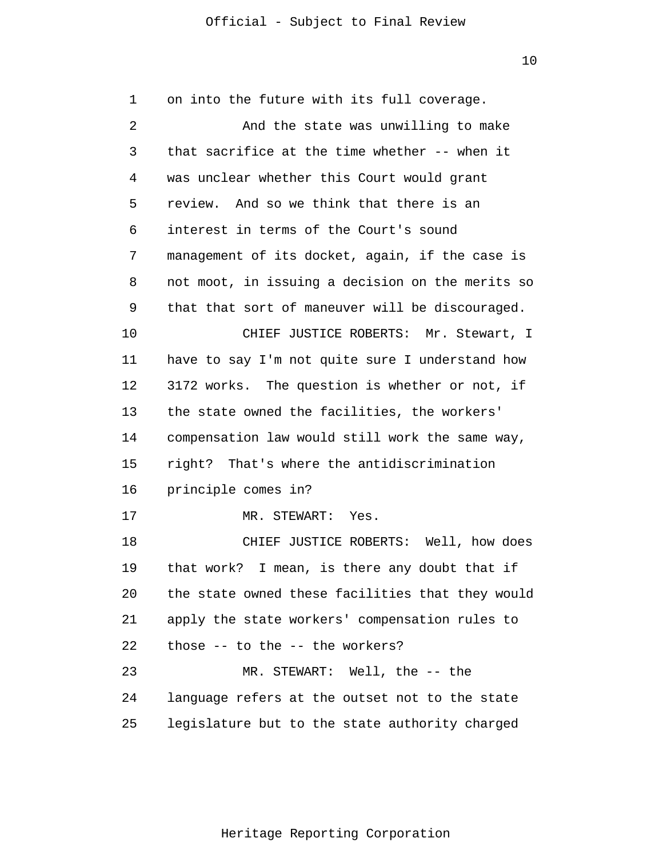1 2 3 4 5 6 7 8 9 10 11 12 13 14 15 16 17 18 19 20 21 22 23 24 25 on into the future with its full coverage. And the state was unwilling to make that sacrifice at the time whether -- when it was unclear whether this Court would grant review. And so we think that there is an interest in terms of the Court's sound management of its docket, again, if the case is not moot, in issuing a decision on the merits so that that sort of maneuver will be discouraged. CHIEF JUSTICE ROBERTS: Mr. Stewart, I have to say I'm not quite sure I understand how 3172 works. The question is whether or not, if the state owned the facilities, the workers' compensation law would still work the same way, right? That's where the antidiscrimination principle comes in? MR. STEWART: Yes. CHIEF JUSTICE ROBERTS: Well, how does that work? I mean, is there any doubt that if the state owned these facilities that they would apply the state workers' compensation rules to those -- to the -- the workers? MR. STEWART: Well, the -- the language refers at the outset not to the state legislature but to the state authority charged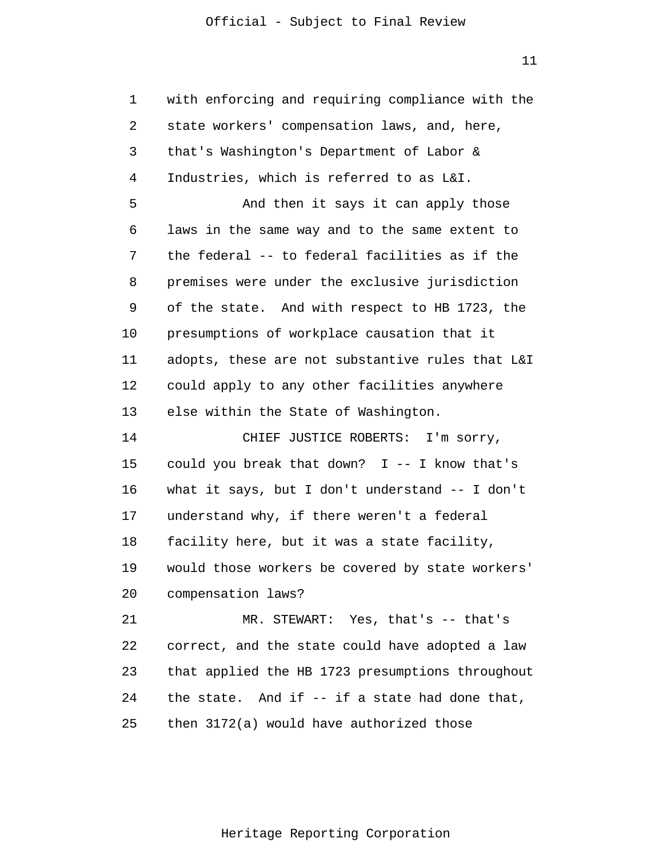11

| 1  | with enforcing and requiring compliance with the |
|----|--------------------------------------------------|
| 2  | state workers' compensation laws, and, here,     |
| 3  | that's Washington's Department of Labor &        |
| 4  | Industries, which is referred to as L&I.         |
| 5  | And then it says it can apply those              |
| 6  | laws in the same way and to the same extent to   |
| 7  | the federal -- to federal facilities as if the   |
| 8  | premises were under the exclusive jurisdiction   |
| 9  | of the state. And with respect to HB 1723, the   |
| 10 | presumptions of workplace causation that it      |
| 11 | adopts, these are not substantive rules that L&I |
| 12 | could apply to any other facilities anywhere     |
| 13 | else within the State of Washington.             |
| 14 | CHIEF JUSTICE ROBERTS: I'm sorry,                |
| 15 | could you break that down? $I$ -- I know that's  |
| 16 | what it says, but I don't understand -- I don't  |
| 17 | understand why, if there weren't a federal       |
| 18 | facility here, but it was a state facility,      |
| 19 | would those workers be covered by state workers' |
| 20 | compensation laws?                               |
| 21 | MR. STEWART: Yes, that's -- that's               |
| 22 | correct, and the state could have adopted a law  |
| 23 | that applied the HB 1723 presumptions throughout |
| 24 | the state. And if $-$ if a state had done that,  |
| 25 | then 3172(a) would have authorized those         |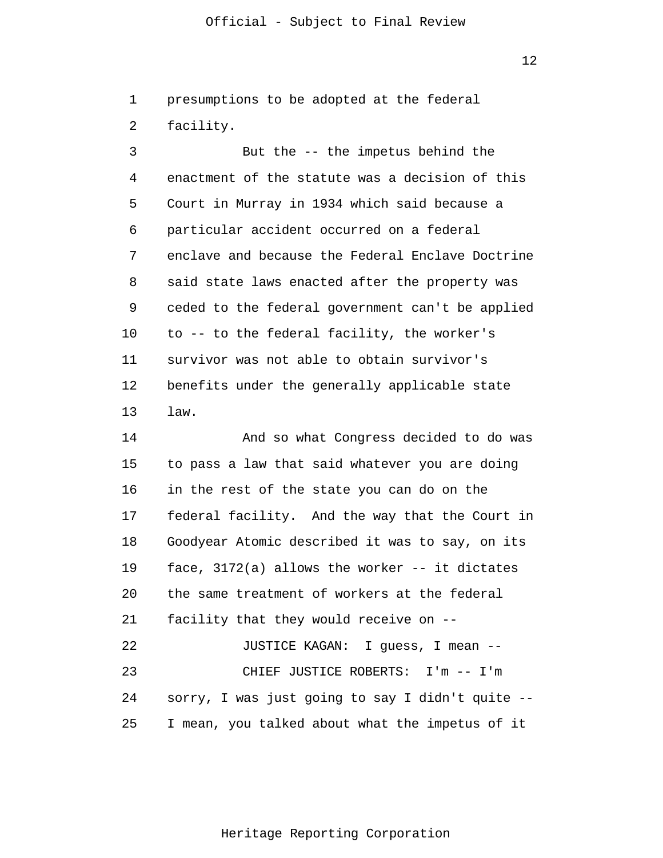1 2 presumptions to be adopted at the federal facility.

3 4 5 6 7 8 9 10 11 12 13 But the -- the impetus behind the enactment of the statute was a decision of this Court in Murray in 1934 which said because a particular accident occurred on a federal enclave and because the Federal Enclave Doctrine said state laws enacted after the property was ceded to the federal government can't be applied to -- to the federal facility, the worker's survivor was not able to obtain survivor's benefits under the generally applicable state law.

14 15 16 17 18 19 20 21 22 23 24 25 And so what Congress decided to do was to pass a law that said whatever you are doing in the rest of the state you can do on the federal facility. And the way that the Court in Goodyear Atomic described it was to say, on its face, 3172(a) allows the worker -- it dictates the same treatment of workers at the federal facility that they would receive on -- JUSTICE KAGAN: I guess, I mean -- CHIEF JUSTICE ROBERTS: I'm -- I'm sorry, I was just going to say I didn't quite -- I mean, you talked about what the impetus of it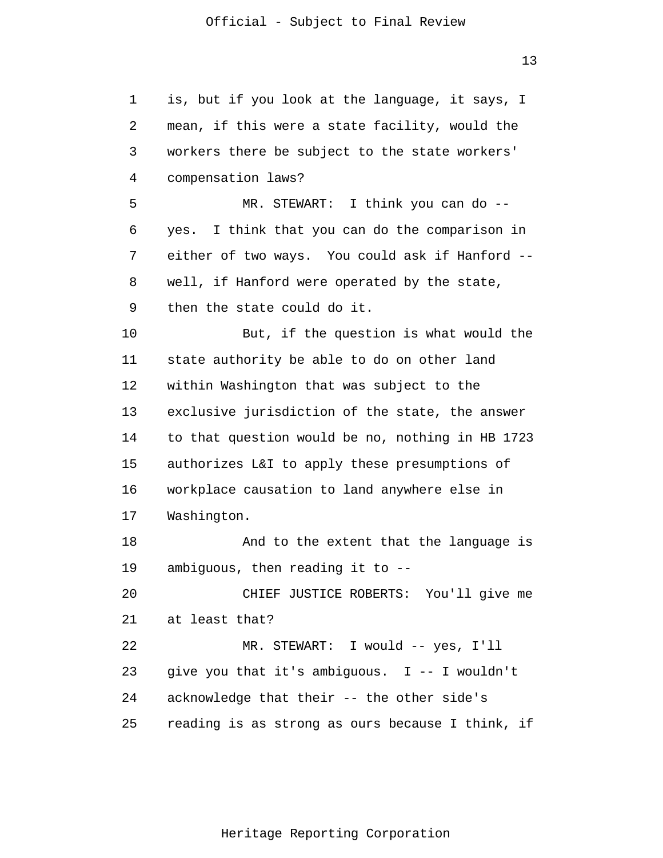1 2 3 4 5 6 7 8 9 10 11 12 13 14 15 16 17 18 19 20 21 22 23 24 25 is, but if you look at the language, it says, I mean, if this were a state facility, would the workers there be subject to the state workers' compensation laws? MR. STEWART: I think you can do - yes. I think that you can do the comparison in either of two ways. You could ask if Hanford - well, if Hanford were operated by the state, then the state could do it. But, if the question is what would the state authority be able to do on other land within Washington that was subject to the exclusive jurisdiction of the state, the answer to that question would be no, nothing in HB 1723 authorizes L&I to apply these presumptions of workplace causation to land anywhere else in Washington. And to the extent that the language is ambiguous, then reading it to -- CHIEF JUSTICE ROBERTS: You'll give me at least that? MR. STEWART: I would -- yes, I'll give you that it's ambiguous. I -- I wouldn't acknowledge that their -- the other side's reading is as strong as ours because I think, if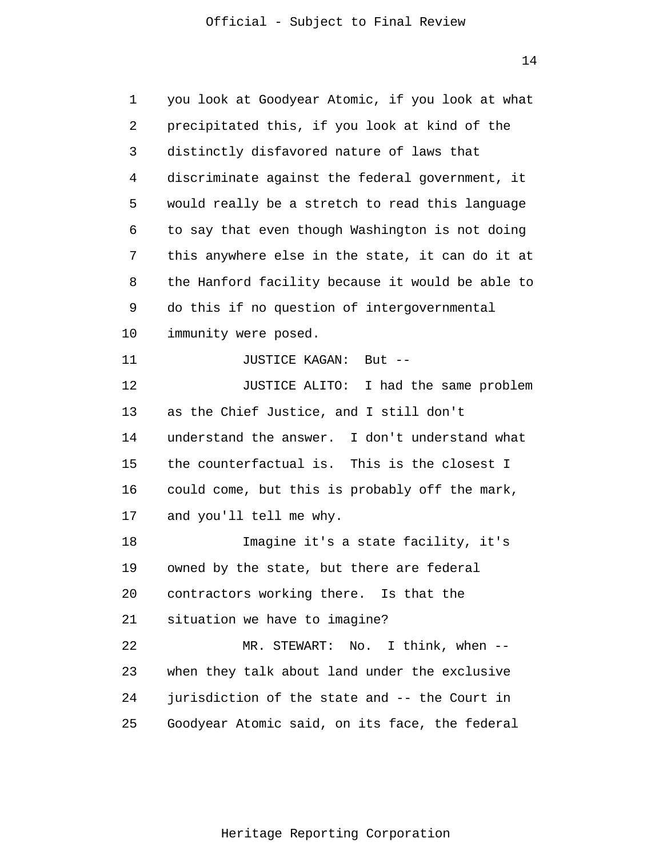1 2 3 4 5 6 7 8 9 10 11 12 13 14 15 16 17 18 19 20 21 22 23 24 25 you look at Goodyear Atomic, if you look at what precipitated this, if you look at kind of the distinctly disfavored nature of laws that discriminate against the federal government, it would really be a stretch to read this language to say that even though Washington is not doing this anywhere else in the state, it can do it at the Hanford facility because it would be able to do this if no question of intergovernmental immunity were posed. JUSTICE KAGAN: But -- JUSTICE ALITO: I had the same problem as the Chief Justice, and I still don't understand the answer. I don't understand what the counterfactual is. This is the closest I could come, but this is probably off the mark, and you'll tell me why. Imagine it's a state facility, it's owned by the state, but there are federal contractors working there. Is that the situation we have to imagine? MR. STEWART: No. I think, when -when they talk about land under the exclusive jurisdiction of the state and -- the Court in Goodyear Atomic said, on its face, the federal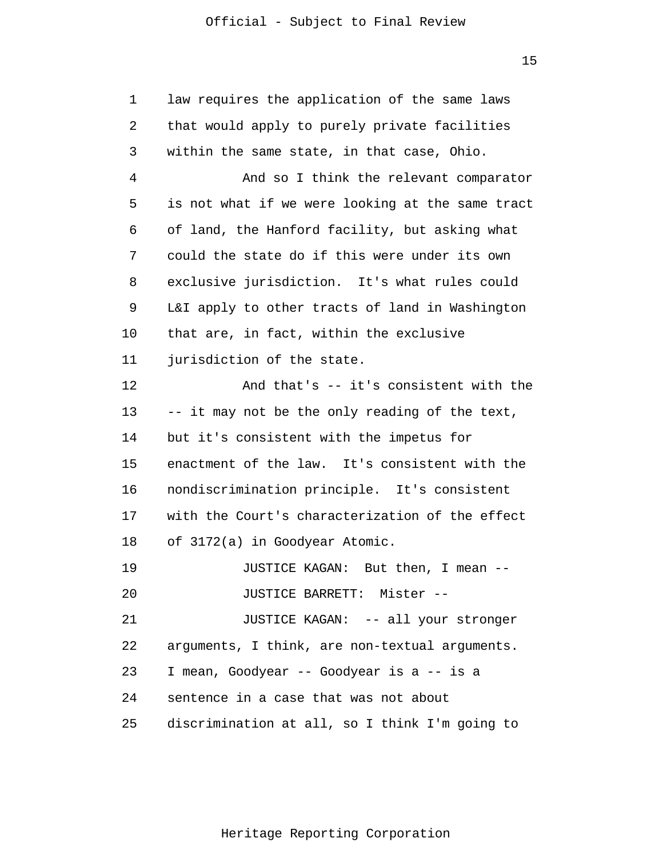| 1  | law requires the application of the same laws    |
|----|--------------------------------------------------|
| 2  | that would apply to purely private facilities    |
| 3  | within the same state, in that case, Ohio.       |
| 4  | And so I think the relevant comparator           |
| 5  | is not what if we were looking at the same tract |
| 6  | of land, the Hanford facility, but asking what   |
| 7  | could the state do if this were under its own    |
| 8  | exclusive jurisdiction. It's what rules could    |
| 9  | L&I apply to other tracts of land in Washington  |
| 10 | that are, in fact, within the exclusive          |
| 11 | jurisdiction of the state.                       |
| 12 | And that's $--$ it's consistent with the         |
| 13 | -- it may not be the only reading of the text,   |
| 14 | but it's consistent with the impetus for         |
| 15 | enactment of the law. It's consistent with the   |
| 16 | nondiscrimination principle. It's consistent     |
| 17 | with the Court's characterization of the effect  |
| 18 | of 3172(a) in Goodyear Atomic.                   |
| 19 | JUSTICE KAGAN: But then, I mean --               |
| 20 | JUSTICE BARRETT: Mister --                       |
| 21 | JUSTICE KAGAN: -- all your stronger              |
| 22 | arguments, I think, are non-textual arguments.   |
| 23 | I mean, Goodyear -- Goodyear is a -- is a        |
| 24 | sentence in a case that was not about            |
| 25 | discrimination at all, so I think I'm going to   |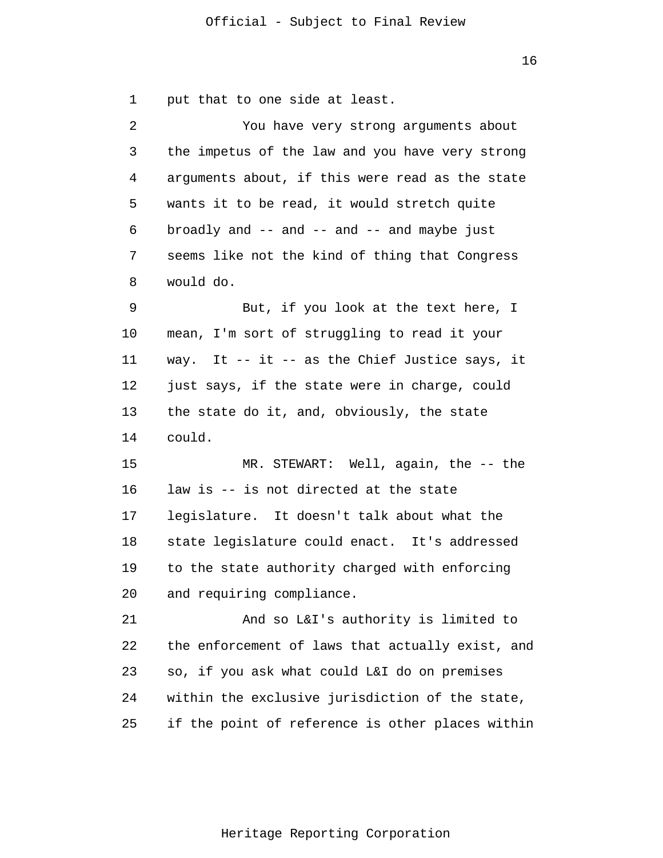1 put that to one side at least.

| $\overline{2}$ | You have very strong arguments about             |
|----------------|--------------------------------------------------|
| 3              | the impetus of the law and you have very strong  |
| 4              | arguments about, if this were read as the state  |
| 5              | wants it to be read, it would stretch quite      |
| 6              | broadly and -- and -- and -- and maybe just      |
| 7              | seems like not the kind of thing that Congress   |
| 8              | would do.                                        |
| 9              | But, if you look at the text here, I             |
| 10             | mean, I'm sort of struggling to read it your     |
| 11             | way. It -- it -- as the Chief Justice says, it   |
| 12             | just says, if the state were in charge, could    |
| 13             | the state do it, and, obviously, the state       |
| 14             | could.                                           |
| 15             | MR. STEWART: Well, again, the -- the             |
| 16             | law is -- is not directed at the state           |
| 17             | legislature. It doesn't talk about what the      |
| 18             | state legislature could enact. It's addressed    |
| 19             | to the state authority charged with enforcing    |
| 20             | and requiring compliance.                        |
| 21             | And so L&I's authority is limited to             |
| 22             | the enforcement of laws that actually exist, and |
| 23             | so, if you ask what could L&I do on premises     |
| 24             | within the exclusive jurisdiction of the state,  |
| 25             | if the point of reference is other places within |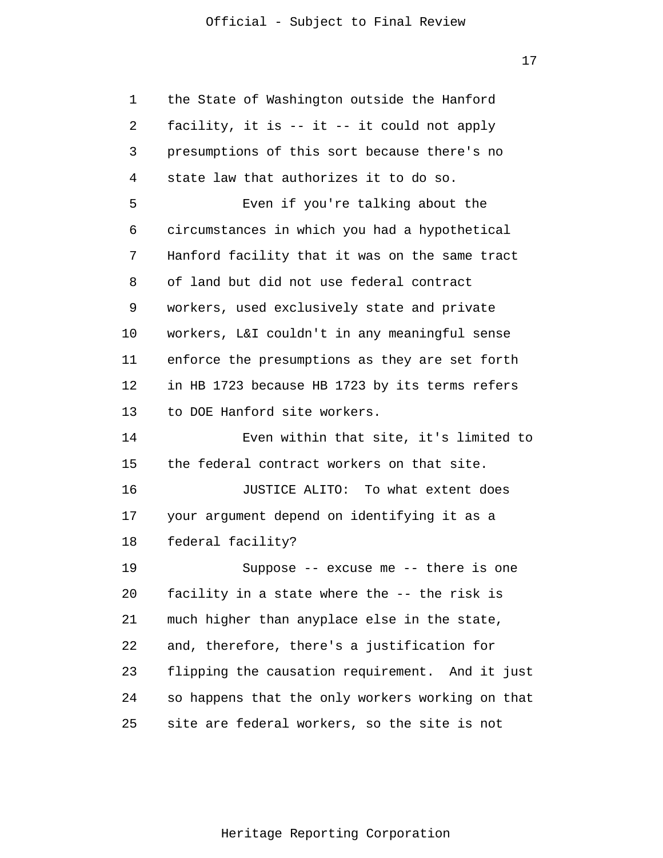17

| 1  | the State of Washington outside the Hanford      |
|----|--------------------------------------------------|
| 2  | facility, it is -- it -- it could not apply      |
| 3  | presumptions of this sort because there's no     |
| 4  | state law that authorizes it to do so.           |
| 5  | Even if you're talking about the                 |
| 6  | circumstances in which you had a hypothetical    |
| 7  | Hanford facility that it was on the same tract   |
| 8  | of land but did not use federal contract         |
| 9  | workers, used exclusively state and private      |
| 10 | workers, L&I couldn't in any meaningful sense    |
| 11 | enforce the presumptions as they are set forth   |
| 12 | in HB 1723 because HB 1723 by its terms refers   |
| 13 | to DOE Hanford site workers.                     |
| 14 | Even within that site, it's limited to           |
| 15 | the federal contract workers on that site.       |
| 16 | JUSTICE ALITO: To what extent does               |
| 17 | your argument depend on identifying it as a      |
| 18 | federal facility?                                |
| 19 | Suppose -- excuse me -- there is one             |
| 20 | facility in a state where the -- the risk is     |
| 21 | much higher than anyplace else in the state,     |
| 22 | and, therefore, there's a justification for      |
| 23 | flipping the causation requirement. And it just  |
| 24 | so happens that the only workers working on that |
| 25 | site are federal workers, so the site is not     |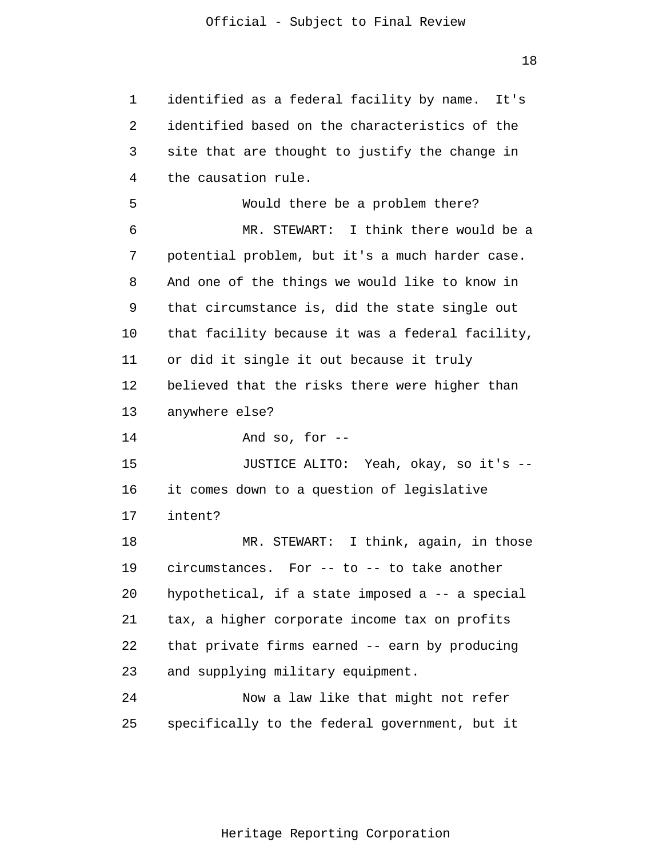1 2 3 4 5 6 7 8 9 10 11 12 13 14 15 16 17 18 19 20 21 22 23 24 25 identified as a federal facility by name. It's identified based on the characteristics of the site that are thought to justify the change in the causation rule. Would there be a problem there? MR. STEWART: I think there would be a potential problem, but it's a much harder case. And one of the things we would like to know in that circumstance is, did the state single out that facility because it was a federal facility, or did it single it out because it truly believed that the risks there were higher than anywhere else? And so, for -- JUSTICE ALITO: Yeah, okay, so it's - it comes down to a question of legislative intent? MR. STEWART: I think, again, in those circumstances. For -- to -- to take another hypothetical, if a state imposed a -- a special tax, a higher corporate income tax on profits that private firms earned -- earn by producing and supplying military equipment. Now a law like that might not refer specifically to the federal government, but it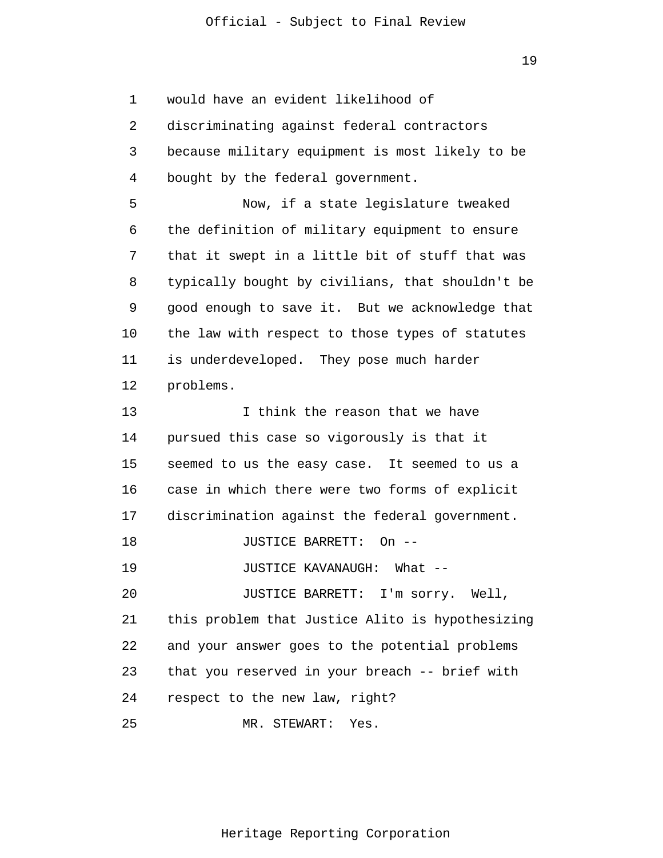1 2 3 4 5 6 7 8 9 10 11 12 13 14 15 16 17 18 19 20 21 22 23 24 25 would have an evident likelihood of discriminating against federal contractors because military equipment is most likely to be bought by the federal government. Now, if a state legislature tweaked the definition of military equipment to ensure that it swept in a little bit of stuff that was typically bought by civilians, that shouldn't be good enough to save it. But we acknowledge that the law with respect to those types of statutes is underdeveloped. They pose much harder problems. I think the reason that we have pursued this case so vigorously is that it seemed to us the easy case. It seemed to us a case in which there were two forms of explicit discrimination against the federal government. JUSTICE BARRETT: On -- JUSTICE KAVANAUGH: What -- JUSTICE BARRETT: I'm sorry. Well, this problem that Justice Alito is hypothesizing and your answer goes to the potential problems that you reserved in your breach -- brief with respect to the new law, right? MR. STEWART: Yes.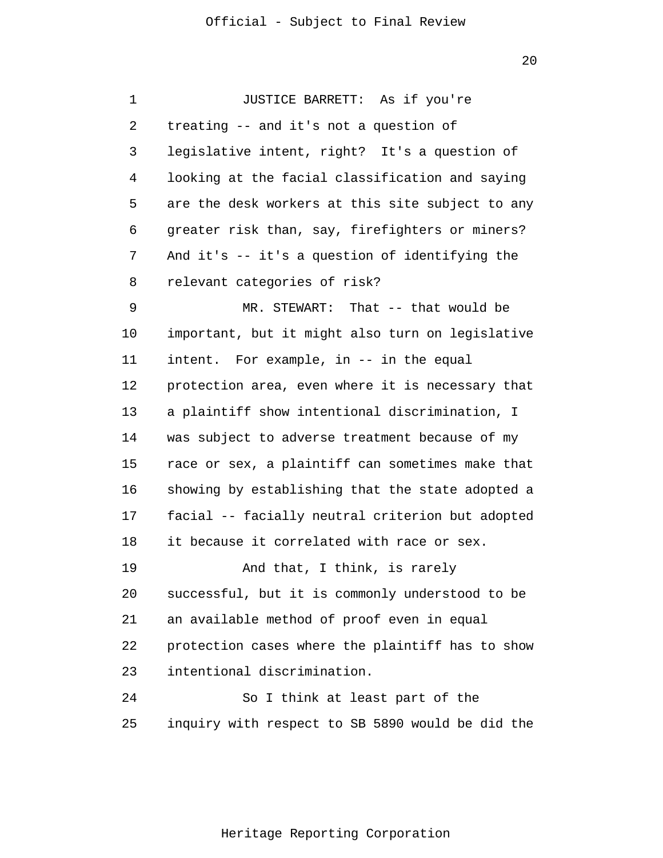1 2 3 4 5 6 7 8 9 10 11 12 13 14 15 16 17 18 19 20 21 22 23 24 25 JUSTICE BARRETT: As if you're treating -- and it's not a question of legislative intent, right? It's a question of looking at the facial classification and saying are the desk workers at this site subject to any greater risk than, say, firefighters or miners? And it's -- it's a question of identifying the relevant categories of risk? MR. STEWART: That -- that would be important, but it might also turn on legislative intent. For example, in -- in the equal protection area, even where it is necessary that a plaintiff show intentional discrimination, I was subject to adverse treatment because of my race or sex, a plaintiff can sometimes make that showing by establishing that the state adopted a facial -- facially neutral criterion but adopted it because it correlated with race or sex. And that, I think, is rarely successful, but it is commonly understood to be an available method of proof even in equal protection cases where the plaintiff has to show intentional discrimination. So I think at least part of the inquiry with respect to SB 5890 would be did the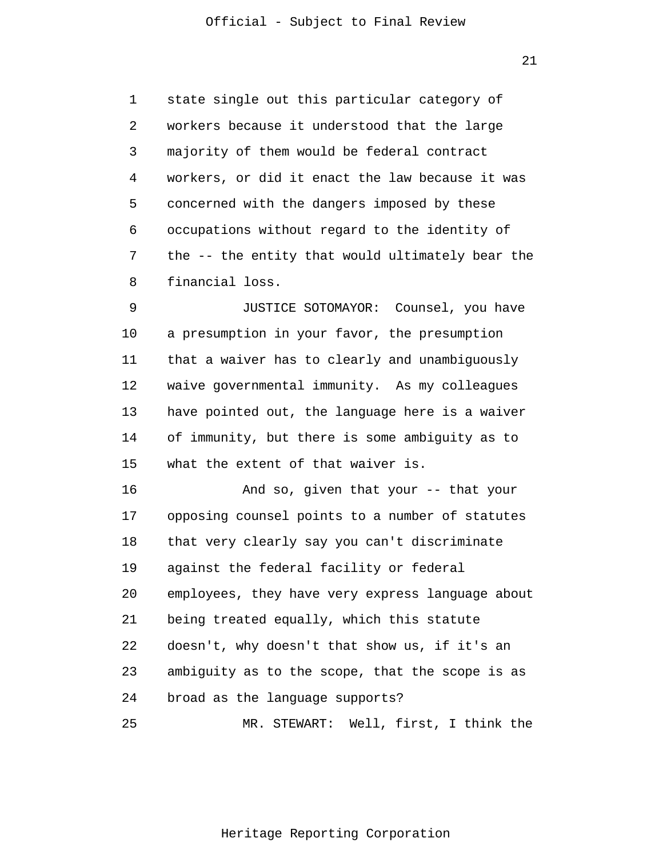1 2 3 4 5 6 7 8 state single out this particular category of workers because it understood that the large majority of them would be federal contract workers, or did it enact the law because it was concerned with the dangers imposed by these occupations without regard to the identity of the -- the entity that would ultimately bear the financial loss.

9 10 11 12 13 14 15 JUSTICE SOTOMAYOR: Counsel, you have a presumption in your favor, the presumption that a waiver has to clearly and unambiguously waive governmental immunity. As my colleagues have pointed out, the language here is a waiver of immunity, but there is some ambiguity as to what the extent of that waiver is.

16 17 18 19 20 21 22 23 24 25 And so, given that your -- that your opposing counsel points to a number of statutes that very clearly say you can't discriminate against the federal facility or federal employees, they have very express language about being treated equally, which this statute doesn't, why doesn't that show us, if it's an ambiguity as to the scope, that the scope is as broad as the language supports? MR. STEWART: Well, first, I think the

Heritage Reporting Corporation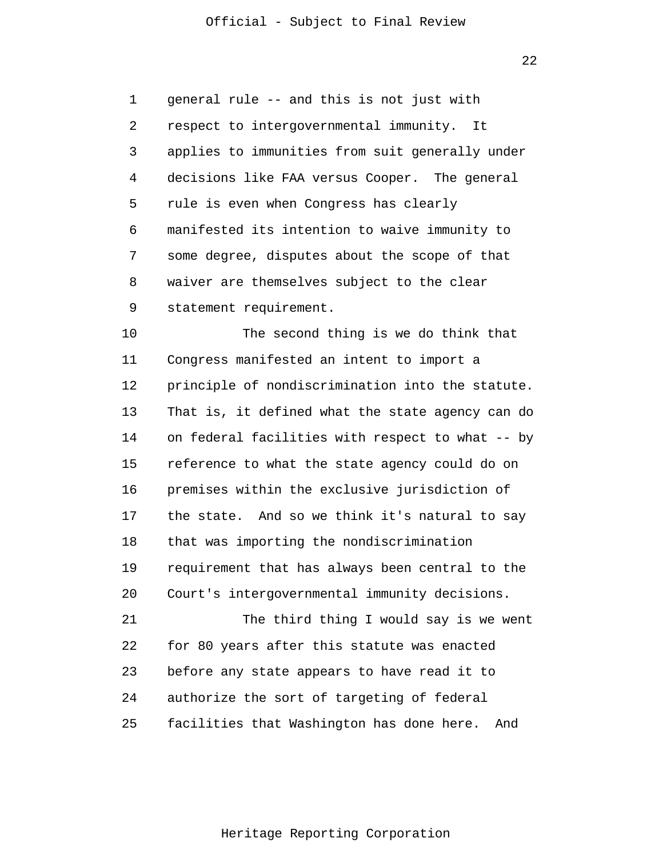22

1 2 3 4 5 6 7 8 9 general rule -- and this is not just with respect to intergovernmental immunity. It applies to immunities from suit generally under decisions like FAA versus Cooper. The general rule is even when Congress has clearly manifested its intention to waive immunity to some degree, disputes about the scope of that waiver are themselves subject to the clear statement requirement.

10 11 12 13 14 15 16 17 18 19 20 21 22 The second thing is we do think that Congress manifested an intent to import a principle of nondiscrimination into the statute. That is, it defined what the state agency can do on federal facilities with respect to what -- by reference to what the state agency could do on premises within the exclusive jurisdiction of the state. And so we think it's natural to say that was importing the nondiscrimination requirement that has always been central to the Court's intergovernmental immunity decisions. The third thing I would say is we went for 80 years after this statute was enacted

24 authorize the sort of targeting of federal

before any state appears to have read it to

23

25 facilities that Washington has done here. And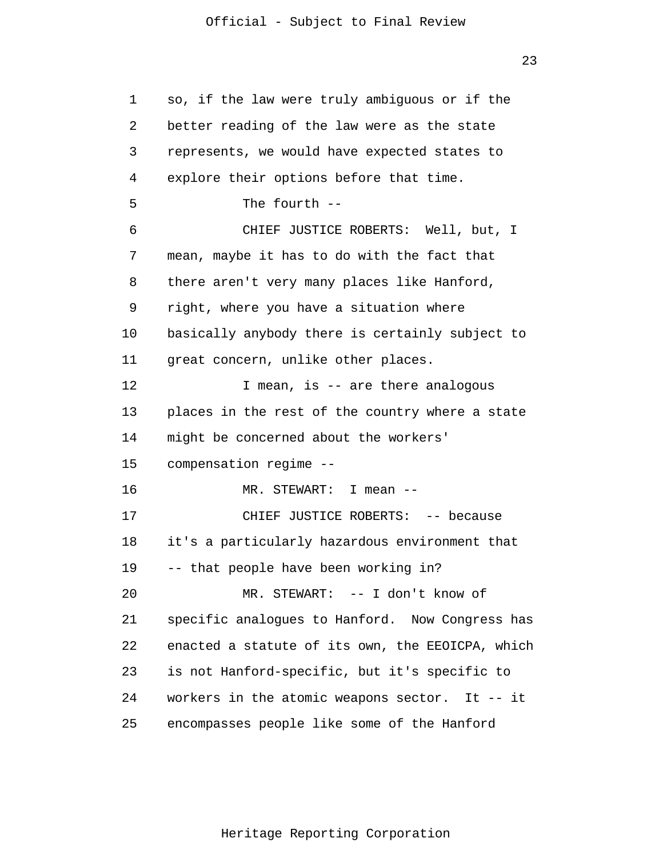1 2 3 4 5 6 7 8 9 10 11 12 13 14 15 16 17 18 19 20 21 22 23 24 25 so, if the law were truly ambiguous or if the better reading of the law were as the state represents, we would have expected states to explore their options before that time. The fourth -- CHIEF JUSTICE ROBERTS: Well, but, I mean, maybe it has to do with the fact that there aren't very many places like Hanford, right, where you have a situation where basically anybody there is certainly subject to great concern, unlike other places. I mean, is -- are there analogous places in the rest of the country where a state might be concerned about the workers' compensation regime -- MR. STEWART: I mean -- CHIEF JUSTICE ROBERTS: -- because it's a particularly hazardous environment that -- that people have been working in? MR. STEWART: -- I don't know of specific analogues to Hanford. Now Congress has enacted a statute of its own, the EEOICPA, which is not Hanford-specific, but it's specific to workers in the atomic weapons sector. It -- it encompasses people like some of the Hanford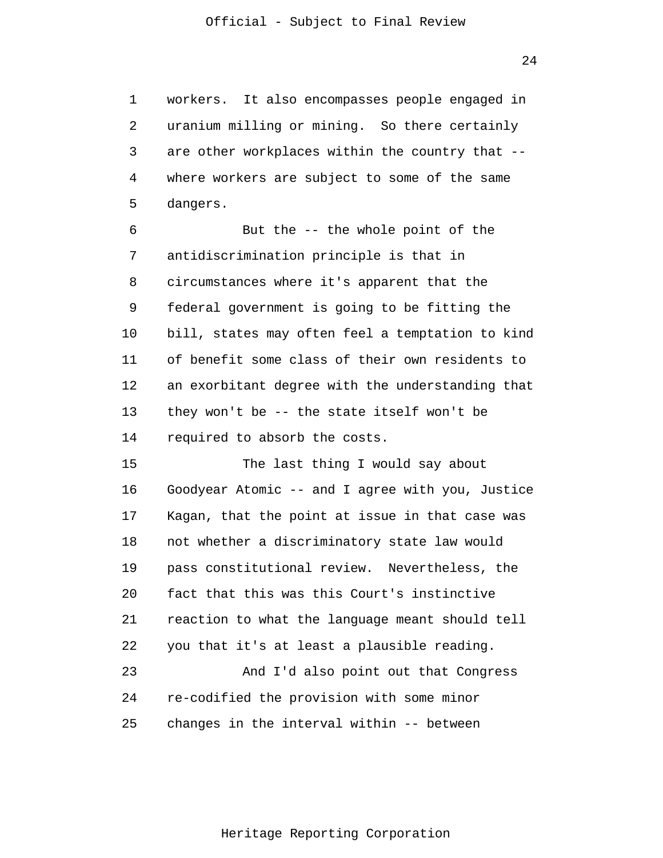1 2 3 4 5 workers. It also encompasses people engaged in uranium milling or mining. So there certainly are other workplaces within the country that - where workers are subject to some of the same dangers.

6 7 8 9 10 11 12 13 14 But the -- the whole point of the antidiscrimination principle is that in circumstances where it's apparent that the federal government is going to be fitting the bill, states may often feel a temptation to kind of benefit some class of their own residents to an exorbitant degree with the understanding that they won't be -- the state itself won't be required to absorb the costs.

15 16 17 18 19 20 21 22 23 24 25 The last thing I would say about Goodyear Atomic -- and I agree with you, Justice Kagan, that the point at issue in that case was not whether a discriminatory state law would pass constitutional review. Nevertheless, the fact that this was this Court's instinctive reaction to what the language meant should tell you that it's at least a plausible reading. And I'd also point out that Congress re-codified the provision with some minor changes in the interval within -- between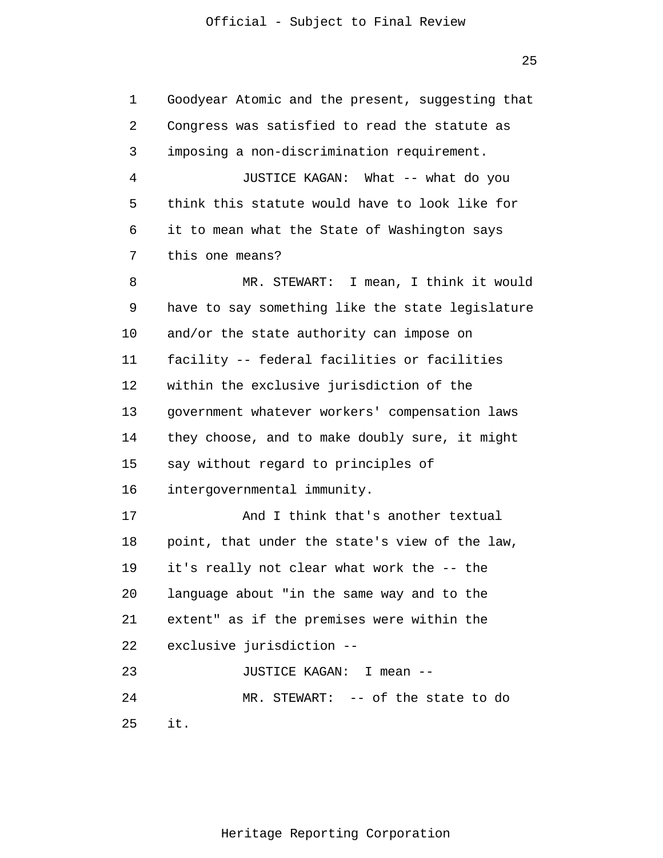1 2 3 4 5 6 7 8 9 10 11 12 13 14 15 16 17 18 19 20 21 22 23 24 25 Goodyear Atomic and the present, suggesting that Congress was satisfied to read the statute as imposing a non-discrimination requirement. JUSTICE KAGAN: What -- what do you think this statute would have to look like for it to mean what the State of Washington says this one means? MR. STEWART: I mean, I think it would have to say something like the state legislature and/or the state authority can impose on facility -- federal facilities or facilities within the exclusive jurisdiction of the government whatever workers' compensation laws they choose, and to make doubly sure, it might say without regard to principles of intergovernmental immunity. And I think that's another textual point, that under the state's view of the law, it's really not clear what work the -- the language about "in the same way and to the extent" as if the premises were within the exclusive jurisdiction -- JUSTICE KAGAN: I mean -- MR. STEWART: -- of the state to do it.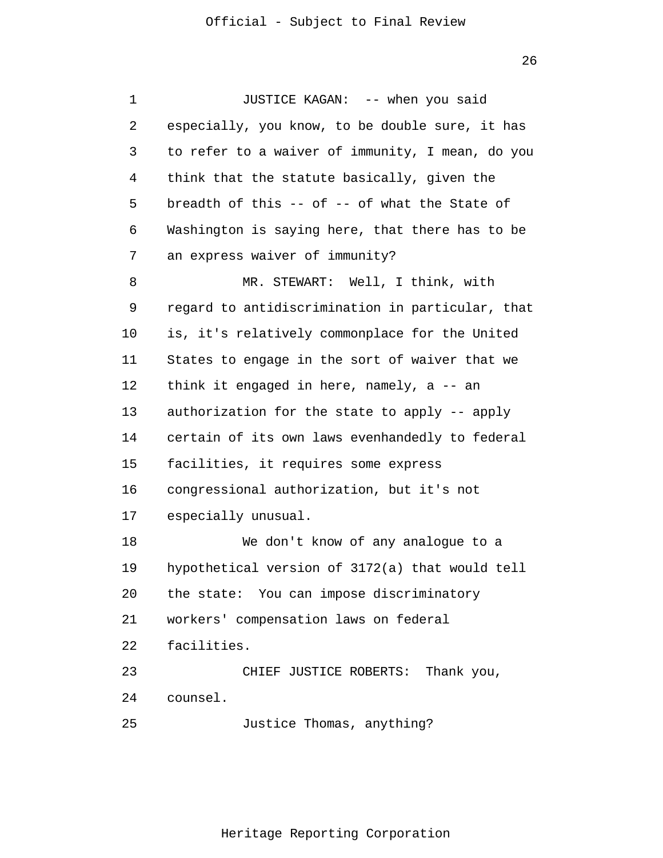1 2 3 4 5 6 7 8 9 10 11 12 13 14 15 16 17 18 19 20 21 22 23 24 25 JUSTICE KAGAN: -- when you said especially, you know, to be double sure, it has to refer to a waiver of immunity, I mean, do you think that the statute basically, given the breadth of this  $-$  of  $-$  of what the State of Washington is saying here, that there has to be an express waiver of immunity? MR. STEWART: Well, I think, with regard to antidiscrimination in particular, that is, it's relatively commonplace for the United States to engage in the sort of waiver that we think it engaged in here, namely, a -- an authorization for the state to apply -- apply certain of its own laws evenhandedly to federal facilities, it requires some express congressional authorization, but it's not especially unusual. We don't know of any analogue to a hypothetical version of 3172(a) that would tell the state: You can impose discriminatory workers' compensation laws on federal facilities. CHIEF JUSTICE ROBERTS: Thank you, counsel. Justice Thomas, anything?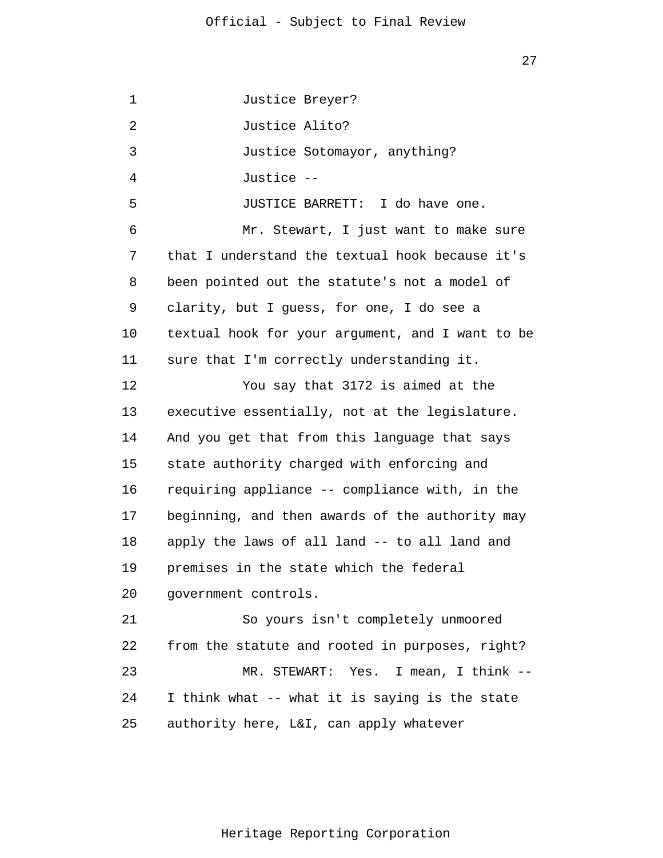1 2 3 4 5 6 7 8 9 10 11 12 13 14 15 16 17 18 19 20 21 22 23 24 25 Justice Breyer? Justice Alito? Justice Sotomayor, anything? Justice -- JUSTICE BARRETT: I do have one. Mr. Stewart, I just want to make sure that I understand the textual hook because it's been pointed out the statute's not a model of clarity, but I guess, for one, I do see a textual hook for your argument, and I want to be sure that I'm correctly understanding it. You say that 3172 is aimed at the executive essentially, not at the legislature. And you get that from this language that says state authority charged with enforcing and requiring appliance -- compliance with, in the beginning, and then awards of the authority may apply the laws of all land -- to all land and premises in the state which the federal government controls. So yours isn't completely unmoored from the statute and rooted in purposes, right? MR. STEWART: Yes. I mean, I think -- I think what -- what it is saying is the state authority here, L&I, can apply whatever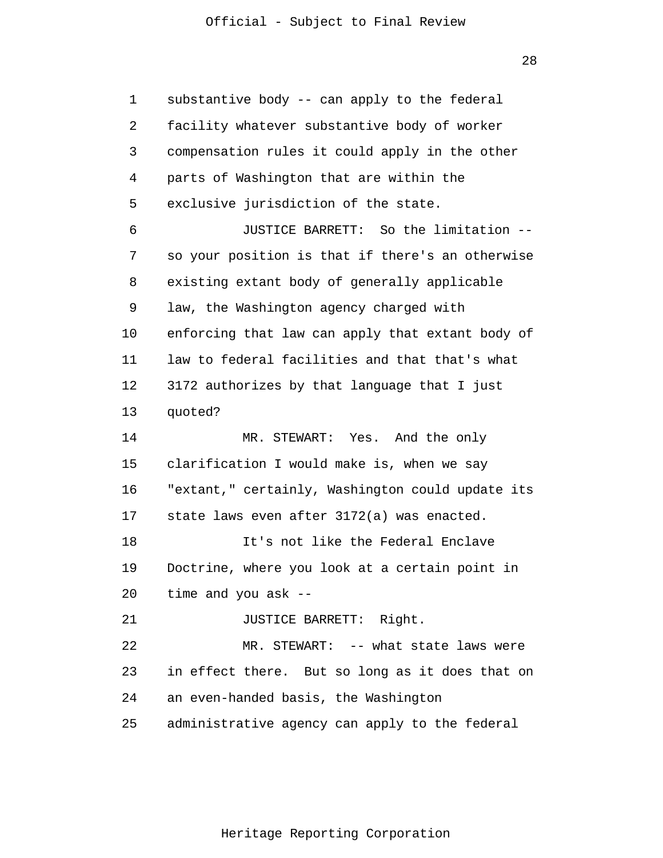28

1 2 3 4 5 6 7 8 9 10 11 12 13 14 15 16 17 18 19 20 21 22 23 24 25 substantive body -- can apply to the federal facility whatever substantive body of worker compensation rules it could apply in the other parts of Washington that are within the exclusive jurisdiction of the state. JUSTICE BARRETT: So the limitation - so your position is that if there's an otherwise existing extant body of generally applicable law, the Washington agency charged with enforcing that law can apply that extant body of law to federal facilities and that that's what 3172 authorizes by that language that I just quoted? MR. STEWART: Yes. And the only clarification I would make is, when we say "extant," certainly, Washington could update its state laws even after 3172(a) was enacted. It's not like the Federal Enclave Doctrine, where you look at a certain point in time and you ask -- JUSTICE BARRETT: Right. MR. STEWART: -- what state laws were in effect there. But so long as it does that on an even-handed basis, the Washington administrative agency can apply to the federal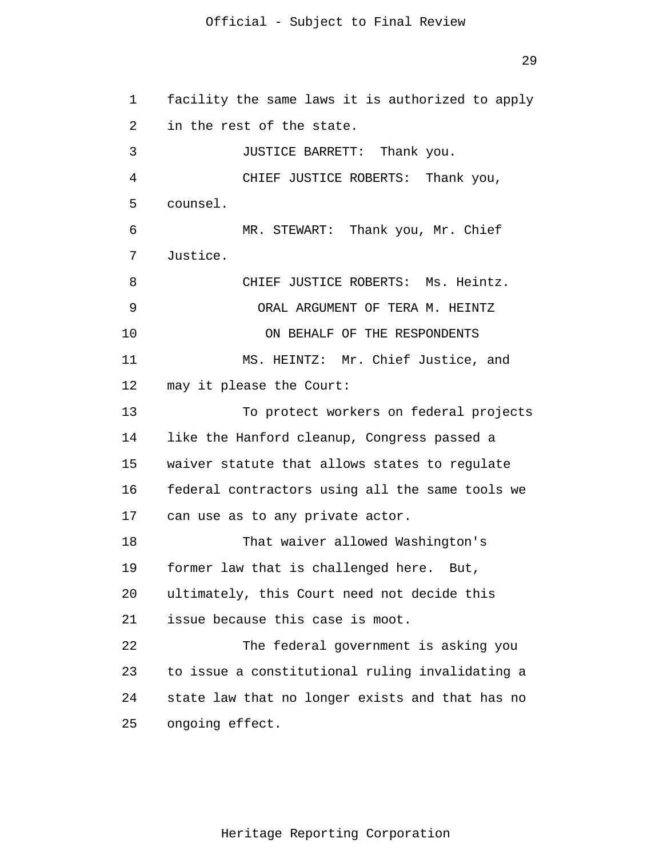```
1 
 2 
 3 
 4 
 5 
 6 
 7 
 8 
 9 
10 
11 
12 
13 
14 
15 
16 
17 
18 
19 
20 
21 
22 
23 
24 
25 
      facility the same laws it is authorized to apply 
      in the rest of the state.
                 JUSTICE BARRETT: Thank you.
                 CHIEF JUSTICE ROBERTS: Thank you,
       counsel.
                 MR. STEWART: Thank you, Mr. Chief
       Justice.
                 CHIEF JUSTICE ROBERTS: Ms. Heintz.
                    ORAL ARGUMENT OF TERA M. HEINTZ 
                    ON BEHALF OF THE RESPONDENTS 
                MS. HEINTZ: Mr. Chief Justice, and 
      may it please the Court: 
                To protect workers on federal projects 
      like the Hanford cleanup, Congress passed a 
      waiver statute that allows states to regulate 
      federal contractors using all the same tools we 
      can use as to any private actor. 
                That waiver allowed Washington's 
      former law that is challenged here. But, 
      ultimately, this Court need not decide this 
      issue because this case is moot. 
                The federal government is asking you 
      to issue a constitutional ruling invalidating a 
      state law that no longer exists and that has no 
      ongoing effect.
```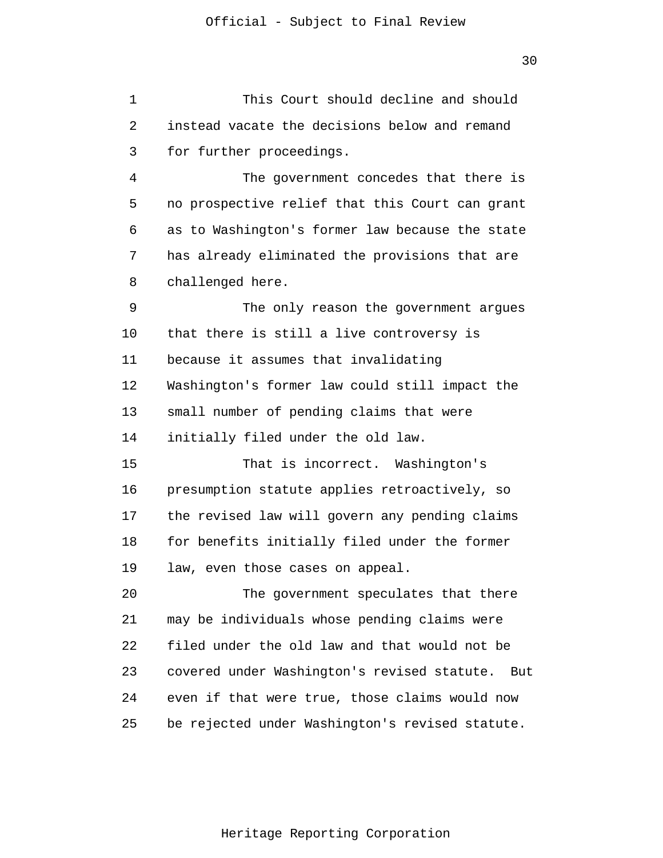1 2 3 4 5 6 7 8 This Court should decline and should instead vacate the decisions below and remand for further proceedings. The government concedes that there is no prospective relief that this Court can grant as to Washington's former law because the state has already eliminated the provisions that are challenged here.

9 10 11 12 13 14 The only reason the government argues that there is still a live controversy is because it assumes that invalidating Washington's former law could still impact the small number of pending claims that were initially filed under the old law.

15 16 17 18 19 That is incorrect. Washington's presumption statute applies retroactively, so the revised law will govern any pending claims for benefits initially filed under the former law, even those cases on appeal.

20 21 22 23 24 25 The government speculates that there may be individuals whose pending claims were filed under the old law and that would not be covered under Washington's revised statute. But even if that were true, those claims would now be rejected under Washington's revised statute.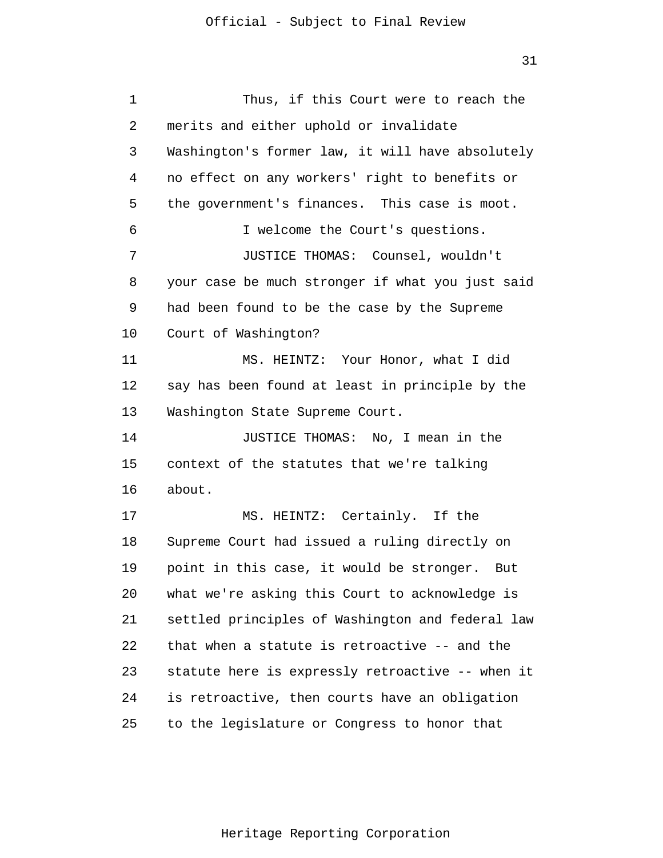1 2 3 4 5 6 7 8 9 10 11 12 13 14 15 16 17 18 19 20 21 22 23 24 25 Thus, if this Court were to reach the merits and either uphold or invalidate Washington's former law, it will have absolutely no effect on any workers' right to benefits or the government's finances. This case is moot. I welcome the Court's questions. JUSTICE THOMAS: Counsel, wouldn't your case be much stronger if what you just said had been found to be the case by the Supreme Court of Washington? MS. HEINTZ: Your Honor, what I did say has been found at least in principle by the Washington State Supreme Court. JUSTICE THOMAS: No, I mean in the context of the statutes that we're talking about. MS. HEINTZ: Certainly. If the Supreme Court had issued a ruling directly on point in this case, it would be stronger. But what we're asking this Court to acknowledge is settled principles of Washington and federal law that when a statute is retroactive -- and the statute here is expressly retroactive -- when it is retroactive, then courts have an obligation to the legislature or Congress to honor that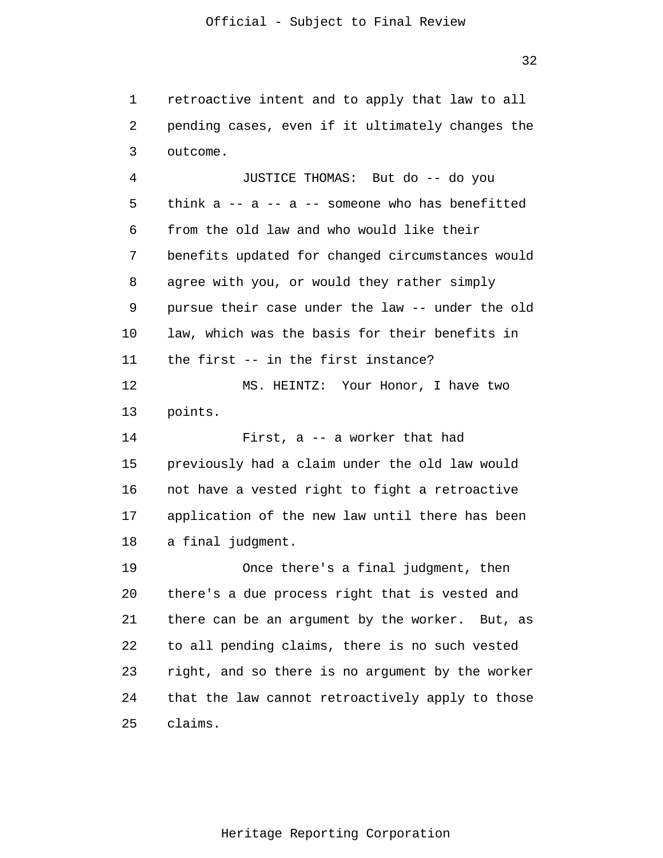1 2 3 retroactive intent and to apply that law to all pending cases, even if it ultimately changes the outcome.

4 5 6 7 8 9 10 11 12 13 14 15 16 17 18 19 20 21 22 23 24 JUSTICE THOMAS: But do -- do you think  $a$  --  $a$  --  $a$  -- someone who has benefitted from the old law and who would like their benefits updated for changed circumstances would agree with you, or would they rather simply pursue their case under the law -- under the old law, which was the basis for their benefits in the first -- in the first instance? MS. HEINTZ: Your Honor, I have two points. First, a -- a worker that had previously had a claim under the old law would not have a vested right to fight a retroactive application of the new law until there has been a final judgment. Once there's a final judgment, then there's a due process right that is vested and there can be an argument by the worker. But, as to all pending claims, there is no such vested right, and so there is no argument by the worker that the law cannot retroactively apply to those

25

claims.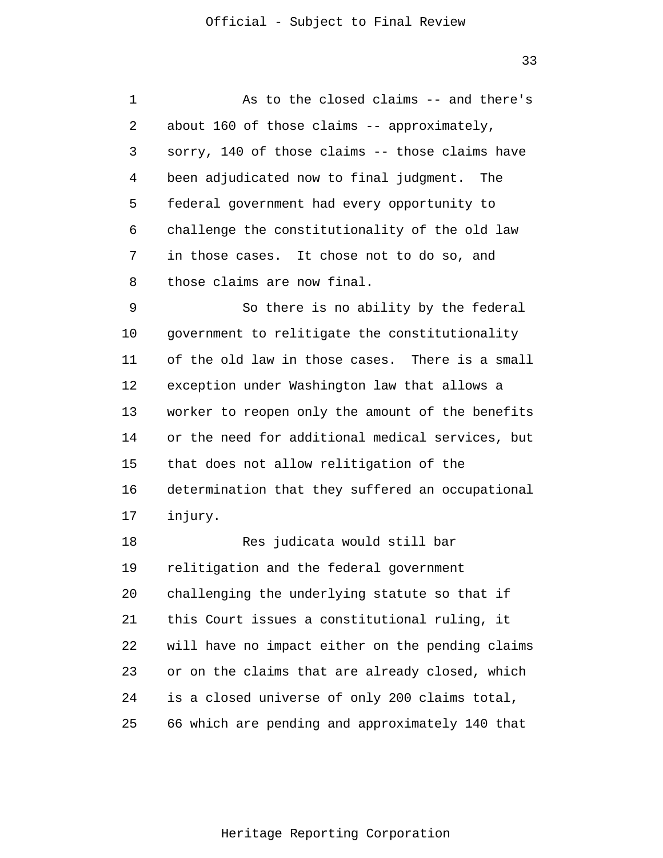1 2 3 4 5 6 7 8 9 10 11 12 13 14 As to the closed claims -- and there's about 160 of those claims -- approximately, sorry, 140 of those claims -- those claims have been adjudicated now to final judgment. The federal government had every opportunity to challenge the constitutionality of the old law in those cases. It chose not to do so, and those claims are now final. So there is no ability by the federal government to relitigate the constitutionality of the old law in those cases. There is a small exception under Washington law that allows a worker to reopen only the amount of the benefits or the need for additional medical services, but

15 16 17 that does not allow relitigation of the determination that they suffered an occupational injury.

18 19 20 21 22 23 24 25 Res judicata would still bar relitigation and the federal government challenging the underlying statute so that if this Court issues a constitutional ruling, it will have no impact either on the pending claims or on the claims that are already closed, which is a closed universe of only 200 claims total, 66 which are pending and approximately 140 that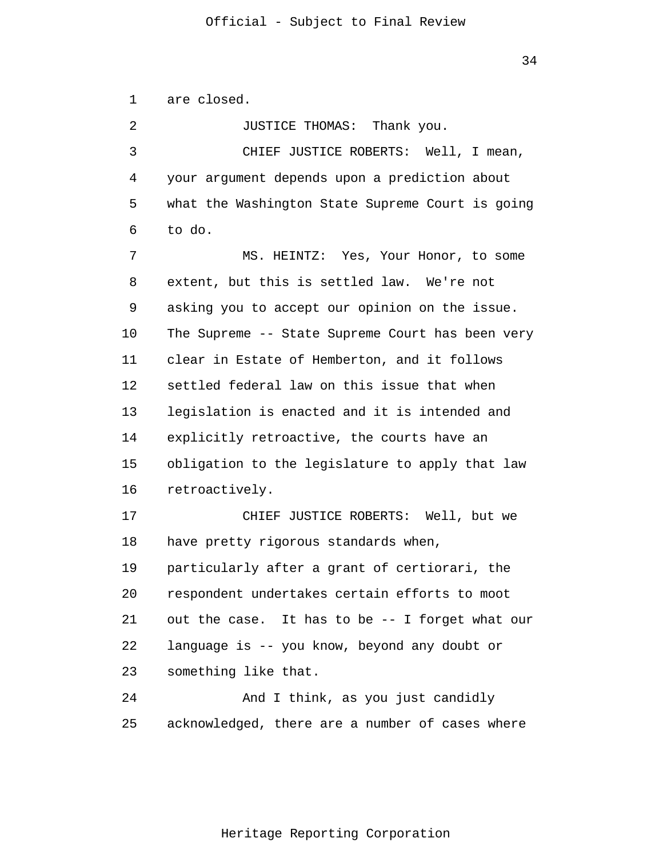1 are closed.

2 3 4 5 6 7 8 9 10 11 12 13 14 15 16 17 18 19 20 21 22 23 24 25 JUSTICE THOMAS: Thank you. CHIEF JUSTICE ROBERTS: Well, I mean, your argument depends upon a prediction about what the Washington State Supreme Court is going to do. MS. HEINTZ: Yes, Your Honor, to some extent, but this is settled law. We're not asking you to accept our opinion on the issue. The Supreme -- State Supreme Court has been very clear in Estate of Hemberton, and it follows settled federal law on this issue that when legislation is enacted and it is intended and explicitly retroactive, the courts have an obligation to the legislature to apply that law retroactively. CHIEF JUSTICE ROBERTS: Well, but we have pretty rigorous standards when, particularly after a grant of certiorari, the respondent undertakes certain efforts to moot out the case. It has to be -- I forget what our language is -- you know, beyond any doubt or something like that. And I think, as you just candidly acknowledged, there are a number of cases where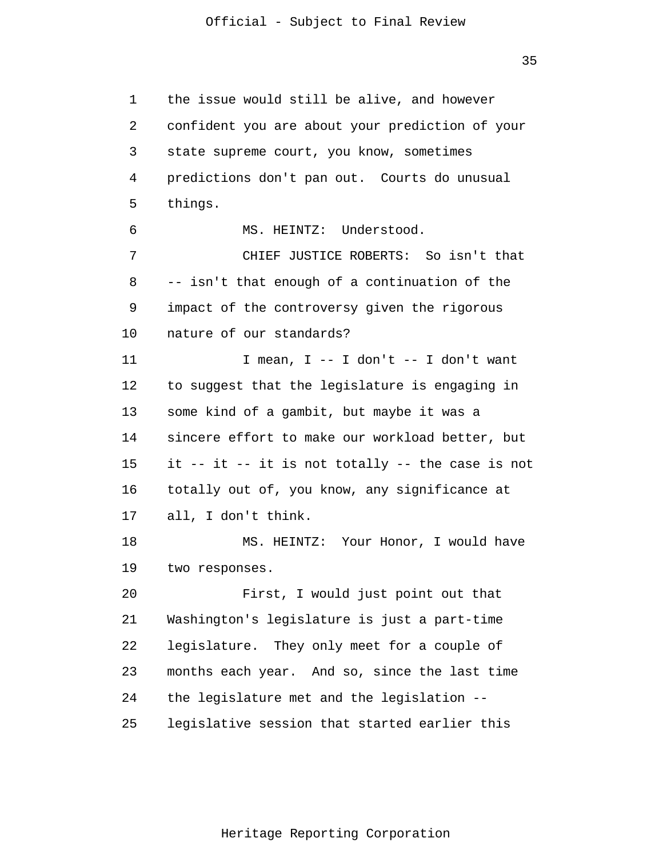1 2 3 4 5 6 7 8 9 10 11 12 13 14 15 16 17 18 19 20 21 22 23 24 25 the issue would still be alive, and however confident you are about your prediction of your state supreme court, you know, sometimes predictions don't pan out. Courts do unusual things. MS. HEINTZ: Understood. CHIEF JUSTICE ROBERTS: So isn't that -- isn't that enough of a continuation of the impact of the controversy given the rigorous nature of our standards? I mean, I -- I don't -- I don't want to suggest that the legislature is engaging in some kind of a gambit, but maybe it was a sincere effort to make our workload better, but it -- it -- it is not totally -- the case is not totally out of, you know, any significance at all, I don't think. MS. HEINTZ: Your Honor, I would have two responses. First, I would just point out that Washington's legislature is just a part-time legislature. They only meet for a couple of months each year. And so, since the last time the legislature met and the legislation - legislative session that started earlier this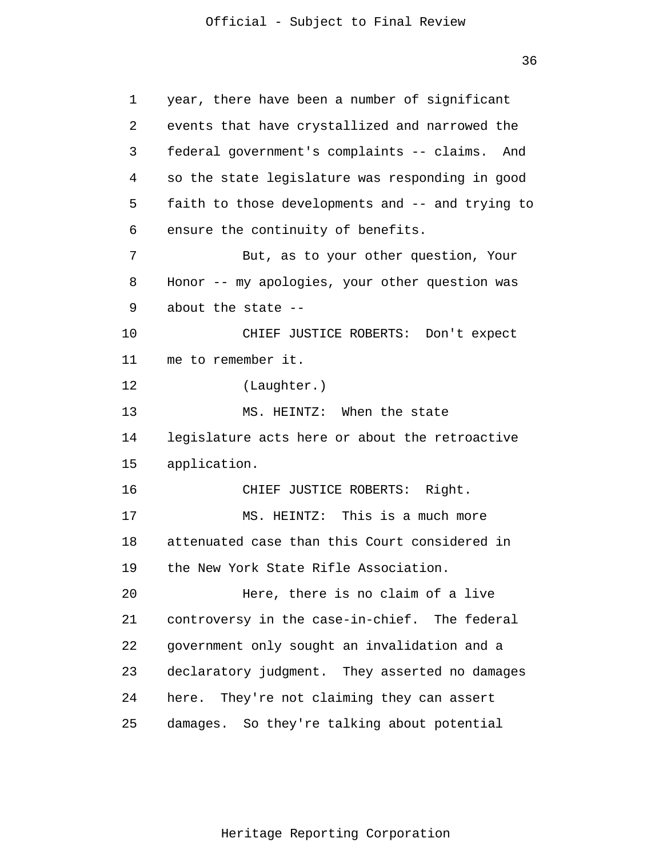1 2 3 4 5 6 7 8 9 10 11 12 13 14 15 16 17 18 19 20 21 22 23 24 25 year, there have been a number of significant events that have crystallized and narrowed the federal government's complaints -- claims. And so the state legislature was responding in good faith to those developments and -- and trying to ensure the continuity of benefits. But, as to your other question, Your Honor -- my apologies, your other question was about the state -- CHIEF JUSTICE ROBERTS: Don't expect me to remember it. (Laughter.) MS. HEINTZ: When the state legislature acts here or about the retroactive application. CHIEF JUSTICE ROBERTS: Right. MS. HEINTZ: This is a much more attenuated case than this Court considered in the New York State Rifle Association. Here, there is no claim of a live controversy in the case-in-chief. The federal government only sought an invalidation and a declaratory judgment. They asserted no damages here. They're not claiming they can assert damages. So they're talking about potential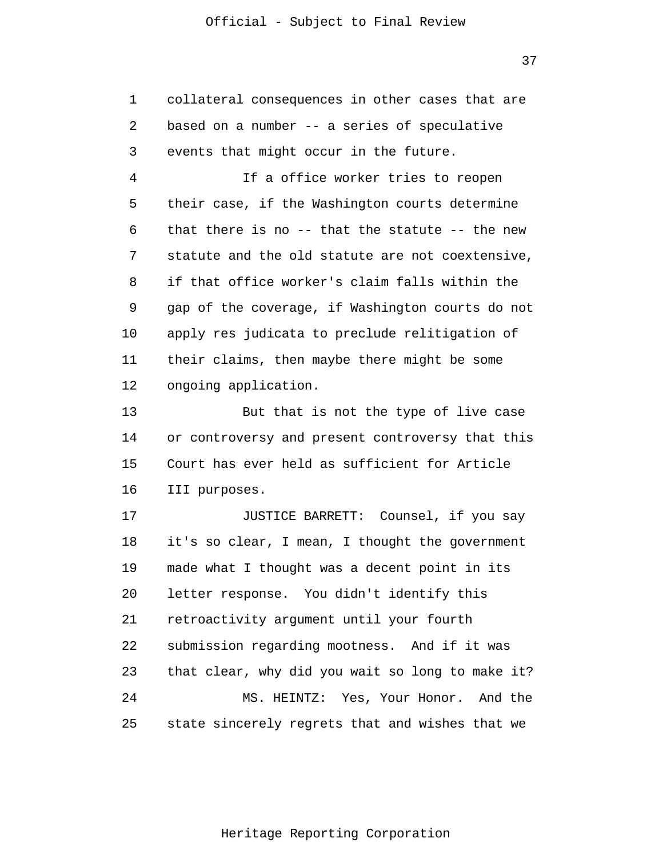1 2 3 collateral consequences in other cases that are based on a number -- a series of speculative events that might occur in the future.

4 5 6 7 8 9 10 11 12 If a office worker tries to reopen their case, if the Washington courts determine that there is no -- that the statute -- the new statute and the old statute are not coextensive, if that office worker's claim falls within the gap of the coverage, if Washington courts do not apply res judicata to preclude relitigation of their claims, then maybe there might be some ongoing application.

13 14 15 16 But that is not the type of live case or controversy and present controversy that this Court has ever held as sufficient for Article III purposes.

17 18 19 20 21 22 23 24 25 JUSTICE BARRETT: Counsel, if you say it's so clear, I mean, I thought the government made what I thought was a decent point in its letter response. You didn't identify this retroactivity argument until your fourth submission regarding mootness. And if it was that clear, why did you wait so long to make it? MS. HEINTZ: Yes, Your Honor. And the state sincerely regrets that and wishes that we

37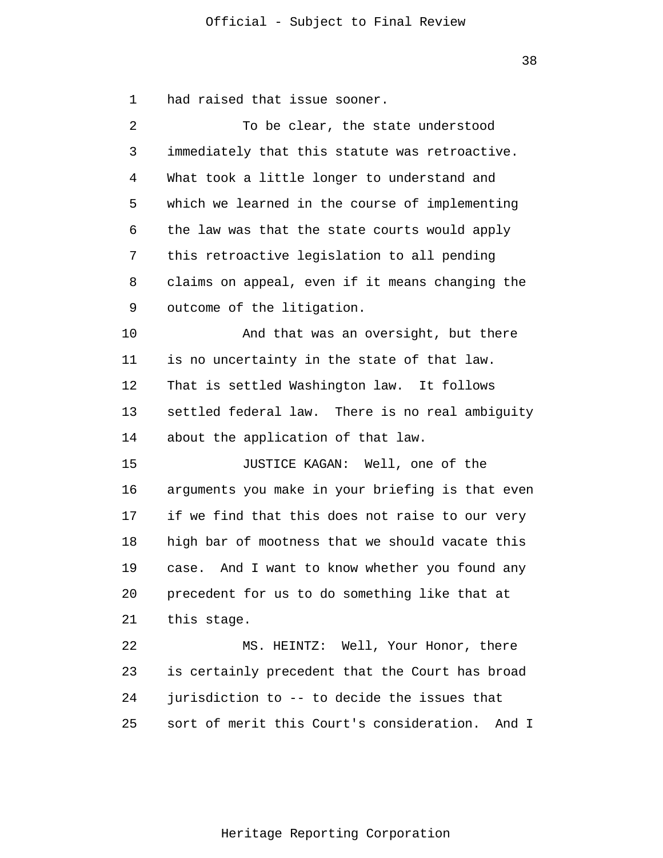1 had raised that issue sooner.

| 2  | To be clear, the state understood                  |
|----|----------------------------------------------------|
| 3  | immediately that this statute was retroactive.     |
| 4  | What took a little longer to understand and        |
| 5  | which we learned in the course of implementing     |
| 6  | the law was that the state courts would apply      |
| 7  | this retroactive legislation to all pending        |
| 8  | claims on appeal, even if it means changing the    |
| 9  | outcome of the litigation.                         |
| 10 | And that was an oversight, but there               |
| 11 | is no uncertainty in the state of that law.        |
| 12 | That is settled Washington law. It follows         |
| 13 | settled federal law. There is no real ambiguity    |
| 14 | about the application of that law.                 |
| 15 | JUSTICE KAGAN: Well, one of the                    |
| 16 | arguments you make in your briefing is that even   |
| 17 | if we find that this does not raise to our very    |
| 18 | high bar of mootness that we should vacate this    |
| 19 | case. And I want to know whether you found any     |
| 20 | precedent for us to do something like that at      |
| 21 | this stage.                                        |
| 22 | MS. HEINTZ: Well, Your Honor, there                |
| 23 | is certainly precedent that the Court has broad    |
| 24 | jurisdiction to -- to decide the issues that       |
| 25 | sort of merit this Court's consideration.<br>And I |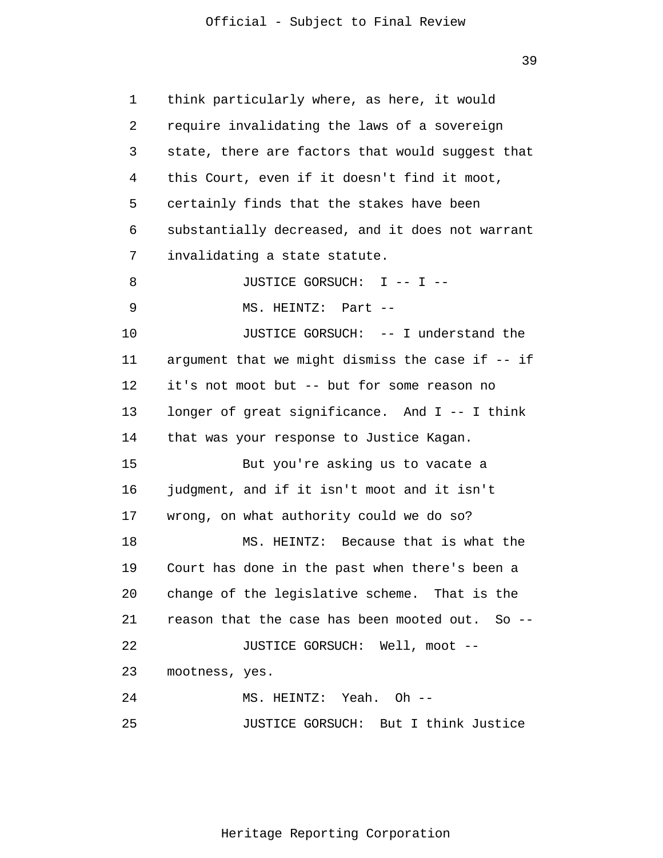39

1 2 3 4 5 6 7 8 9 10 11 12 13 14 15 16 17 18 19 20 21 22 23 24 25 think particularly where, as here, it would require invalidating the laws of a sovereign state, there are factors that would suggest that this Court, even if it doesn't find it moot, certainly finds that the stakes have been substantially decreased, and it does not warrant invalidating a state statute. JUSTICE GORSUCH: I -- I --MS. HEINTZ: Part -- JUSTICE GORSUCH: -- I understand the argument that we might dismiss the case if -- if it's not moot but -- but for some reason no longer of great significance. And I -- I think that was your response to Justice Kagan. But you're asking us to vacate a judgment, and if it isn't moot and it isn't wrong, on what authority could we do so? MS. HEINTZ: Because that is what the Court has done in the past when there's been a change of the legislative scheme. That is the reason that the case has been mooted out. So -- JUSTICE GORSUCH: Well, moot - mootness, yes. MS. HEINTZ: Yeah. Oh -- JUSTICE GORSUCH: But I think Justice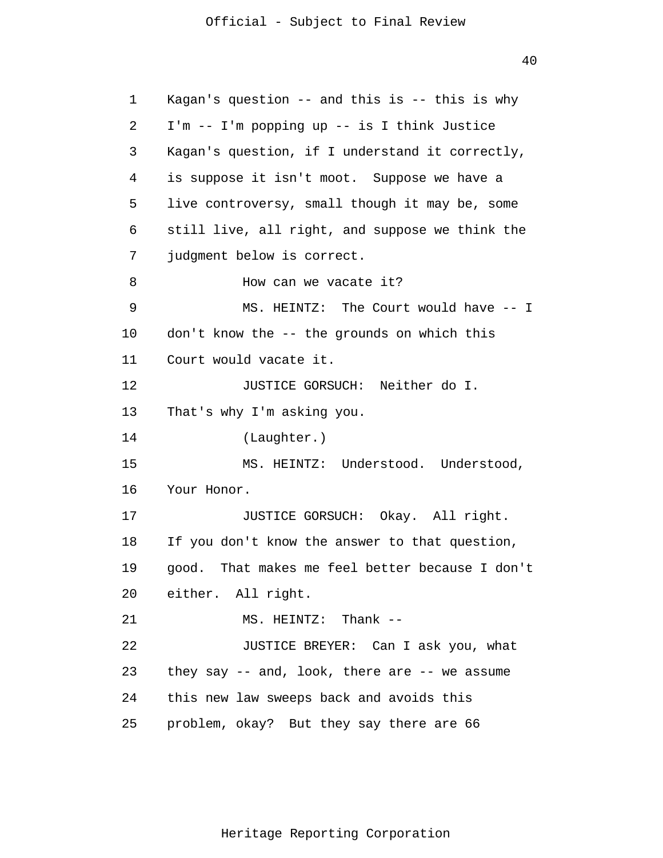40

1 2 3 4 5 6 7 8 9 10 11 12 13 14 15 16 17 18 19 20 21 22 23 24 25 Kagan's question -- and this is -- this is why I'm -- I'm popping up -- is I think Justice Kagan's question, if I understand it correctly, is suppose it isn't moot. Suppose we have a live controversy, small though it may be, some still live, all right, and suppose we think the judgment below is correct. How can we vacate it? MS. HEINTZ: The Court would have -- I don't know the -- the grounds on which this Court would vacate it. JUSTICE GORSUCH: Neither do I. That's why I'm asking you. (Laughter.) MS. HEINTZ: Understood. Understood, Your Honor. JUSTICE GORSUCH: Okay. All right. If you don't know the answer to that question, good. That makes me feel better because I don't either. All right. MS. HEINTZ: Thank -- JUSTICE BREYER: Can I ask you, what they say -- and, look, there are -- we assume this new law sweeps back and avoids this problem, okay? But they say there are 66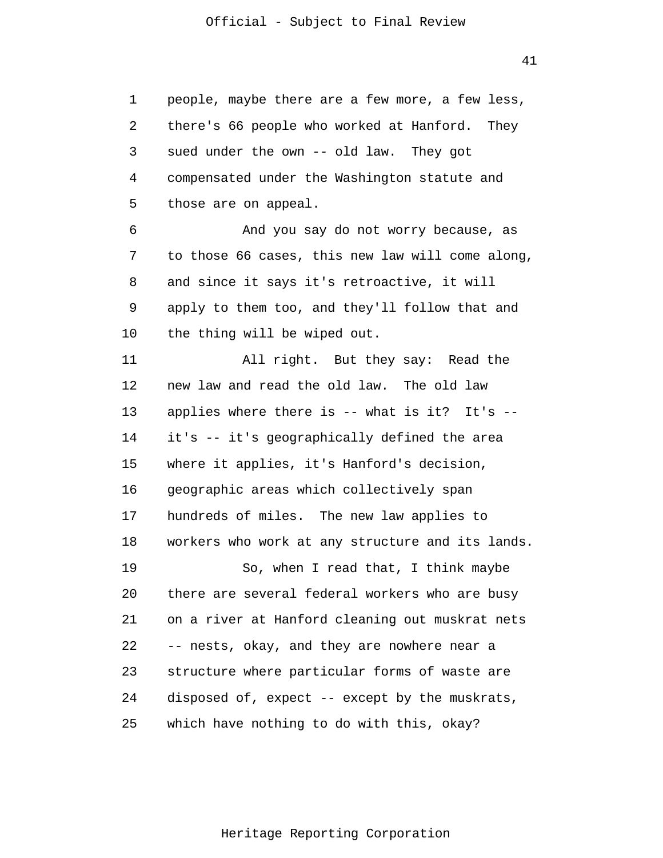1 2 3 4 5 people, maybe there are a few more, a few less, there's 66 people who worked at Hanford. They sued under the own -- old law. They got compensated under the Washington statute and those are on appeal.

6 7 8 9 10 And you say do not worry because, as to those 66 cases, this new law will come along, and since it says it's retroactive, it will apply to them too, and they'll follow that and the thing will be wiped out.

11 12 13 14 15 16 17 18 19 20 21 22 23 24 25 All right. But they say: Read the new law and read the old law. The old law applies where there is -- what is it? It's - it's -- it's geographically defined the area where it applies, it's Hanford's decision, geographic areas which collectively span hundreds of miles. The new law applies to workers who work at any structure and its lands. So, when I read that, I think maybe there are several federal workers who are busy on a river at Hanford cleaning out muskrat nets -- nests, okay, and they are nowhere near a structure where particular forms of waste are disposed of, expect -- except by the muskrats, which have nothing to do with this, okay?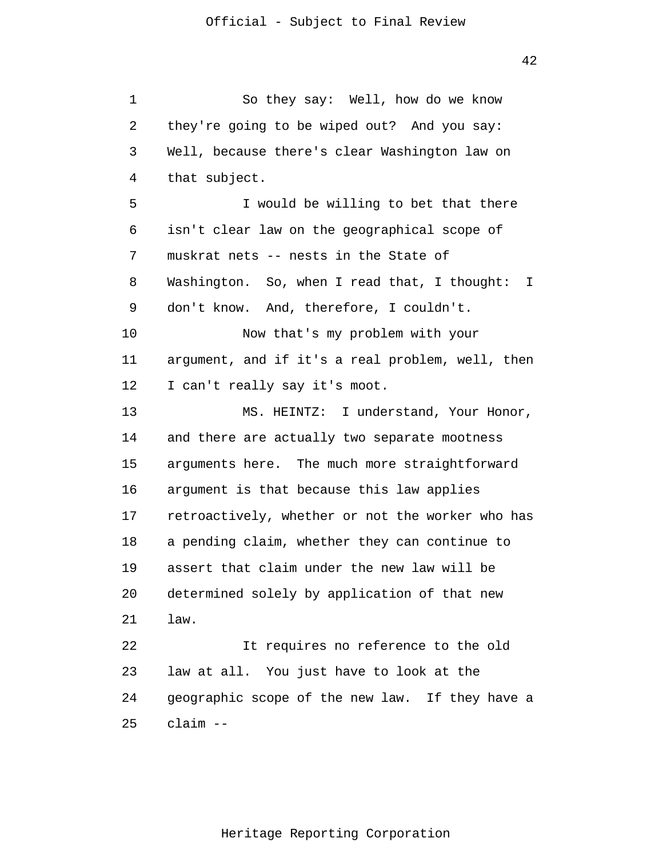1 2 3 4 5 6 7 8 9 10 11 12 13 14 15 16 17 18 19 20 21 22 23 24 25 So they say: Well, how do we know they're going to be wiped out? And you say: Well, because there's clear Washington law on that subject. I would be willing to bet that there isn't clear law on the geographical scope of muskrat nets -- nests in the State of Washington. So, when I read that, I thought: I don't know. And, therefore, I couldn't. Now that's my problem with your argument, and if it's a real problem, well, then I can't really say it's moot. MS. HEINTZ: I understand, Your Honor, and there are actually two separate mootness arguments here. The much more straightforward argument is that because this law applies retroactively, whether or not the worker who has a pending claim, whether they can continue to assert that claim under the new law will be determined solely by application of that new law. It requires no reference to the old law at all. You just have to look at the geographic scope of the new law. If they have a claim --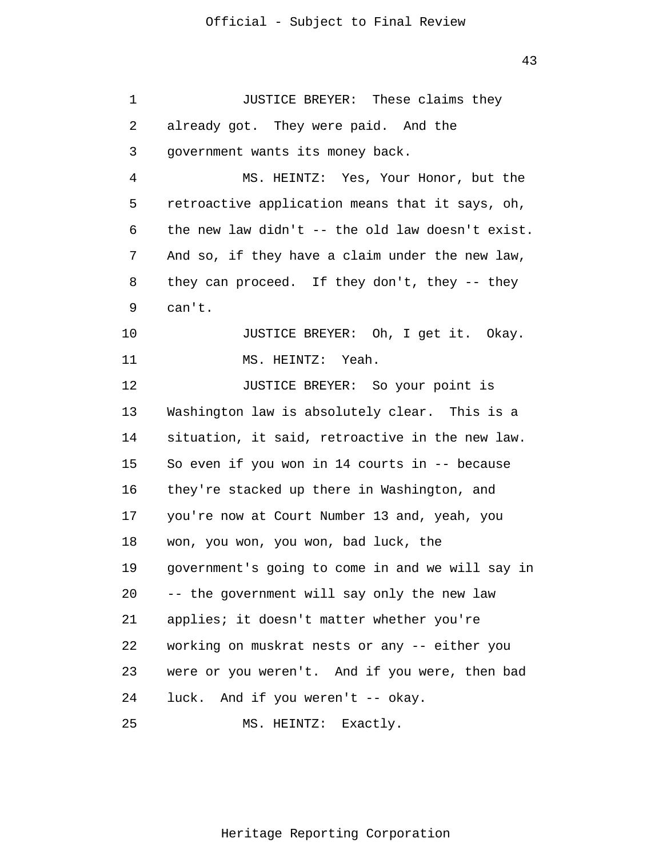| 1  | JUSTICE BREYER: These claims they                |
|----|--------------------------------------------------|
| 2  | already got. They were paid. And the             |
| 3  | government wants its money back.                 |
| 4  | MS. HEINTZ: Yes, Your Honor, but the             |
| 5  | retroactive application means that it says, oh,  |
| 6  | the new law didn't -- the old law doesn't exist. |
| 7  | And so, if they have a claim under the new law,  |
| 8  | they can proceed. If they don't, they -- they    |
| 9  | can't.                                           |
| 10 | JUSTICE BREYER: Oh, I get it. Okay.              |
| 11 | MS. HEINTZ: Yeah.                                |
| 12 | JUSTICE BREYER: So your point is                 |
| 13 | Washington law is absolutely clear. This is a    |
| 14 | situation, it said, retroactive in the new law.  |
| 15 | So even if you won in 14 courts in -- because    |
| 16 | they're stacked up there in Washington, and      |
| 17 | you're now at Court Number 13 and, yeah, you     |
| 18 | won, you won, you won, bad luck, the             |
| 19 | government's going to come in and we will say in |
| 20 | -- the government will say only the new law      |
| 21 | applies; it doesn't matter whether you're        |
| 22 | working on muskrat nests or any -- either you    |
| 23 | were or you weren't. And if you were, then bad   |
| 24 | luck. And if you weren't -- okay.                |
| 25 | MS. HEINTZ: Exactly.                             |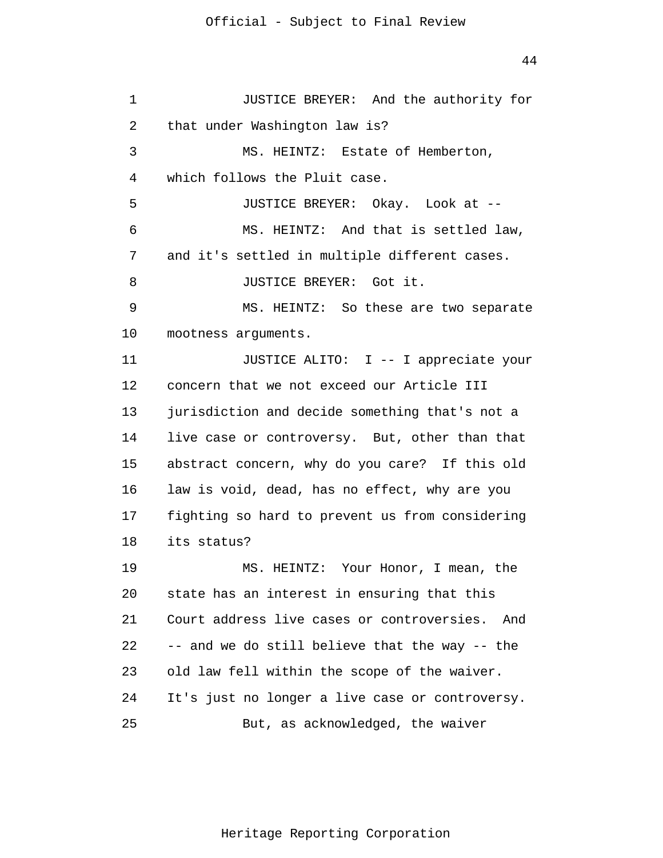1 2 3 4 5 6 7 8 9 10 11 12 13 14 15 16 17 18 19 20 21 22 23 24 25 JUSTICE BREYER: And the authority for that under Washington law is? MS. HEINTZ: Estate of Hemberton, which follows the Pluit case. JUSTICE BREYER: Okay. Look at -- MS. HEINTZ: And that is settled law, and it's settled in multiple different cases. JUSTICE BREYER: Got it. MS. HEINTZ: So these are two separate mootness arguments. JUSTICE ALITO: I -- I appreciate your concern that we not exceed our Article III jurisdiction and decide something that's not a live case or controversy. But, other than that abstract concern, why do you care? If this old law is void, dead, has no effect, why are you fighting so hard to prevent us from considering its status? MS. HEINTZ: Your Honor, I mean, the state has an interest in ensuring that this Court address live cases or controversies. And -- and we do still believe that the way -- the old law fell within the scope of the waiver. It's just no longer a live case or controversy. But, as acknowledged, the waiver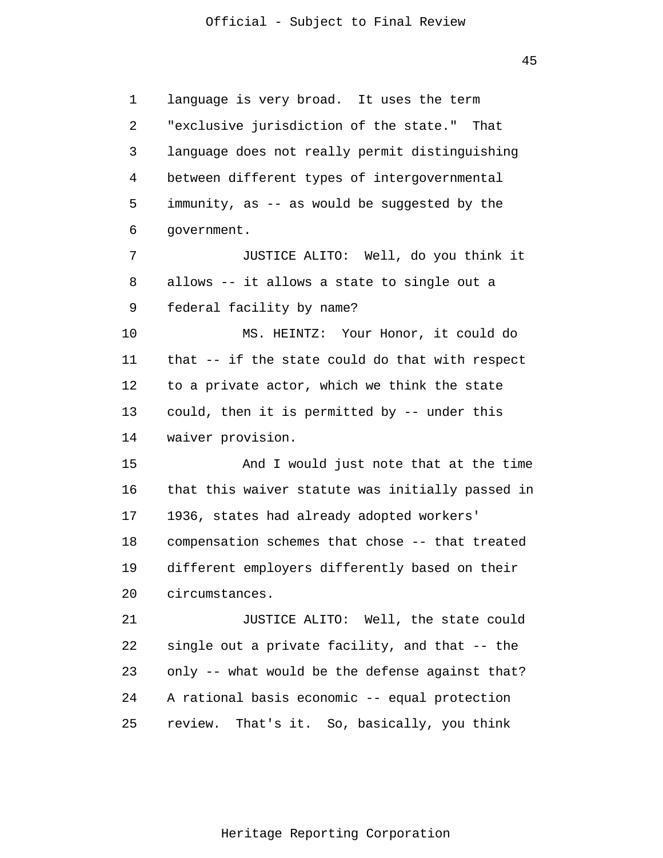45

1 2 3 4 5 6 7 8 9 10 11 12 13 14 15 16 17 18 19 20 21 22 23 24 25 language is very broad. It uses the term "exclusive jurisdiction of the state." That language does not really permit distinguishing between different types of intergovernmental immunity, as -- as would be suggested by the government. JUSTICE ALITO: Well, do you think it allows -- it allows a state to single out a federal facility by name? MS. HEINTZ: Your Honor, it could do that -- if the state could do that with respect to a private actor, which we think the state could, then it is permitted by -- under this waiver provision. And I would just note that at the time that this waiver statute was initially passed in 1936, states had already adopted workers' compensation schemes that chose -- that treated different employers differently based on their circumstances. JUSTICE ALITO: Well, the state could single out a private facility, and that -- the only -- what would be the defense against that? A rational basis economic -- equal protection review. That's it. So, basically, you think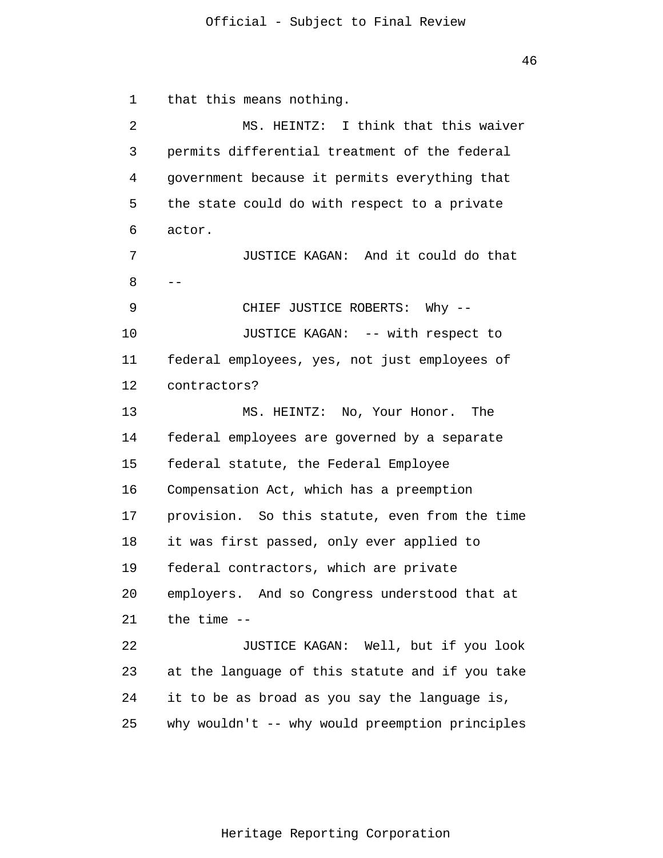1 2 3 4 5 6 7 8 9 10 11 12 13 14 15 16 17 18 19 20 21 22 23 24 25 - that this means nothing. MS. HEINTZ: I think that this waiver permits differential treatment of the federal government because it permits everything that the state could do with respect to a private actor. JUSTICE KAGAN: And it could do that CHIEF JUSTICE ROBERTS: Why -- JUSTICE KAGAN: -- with respect to federal employees, yes, not just employees of contractors? MS. HEINTZ: No, Your Honor. The federal employees are governed by a separate federal statute, the Federal Employee Compensation Act, which has a preemption provision. So this statute, even from the time it was first passed, only ever applied to federal contractors, which are private employers. And so Congress understood that at the time -- JUSTICE KAGAN: Well, but if you look at the language of this statute and if you take it to be as broad as you say the language is, why wouldn't -- why would preemption principles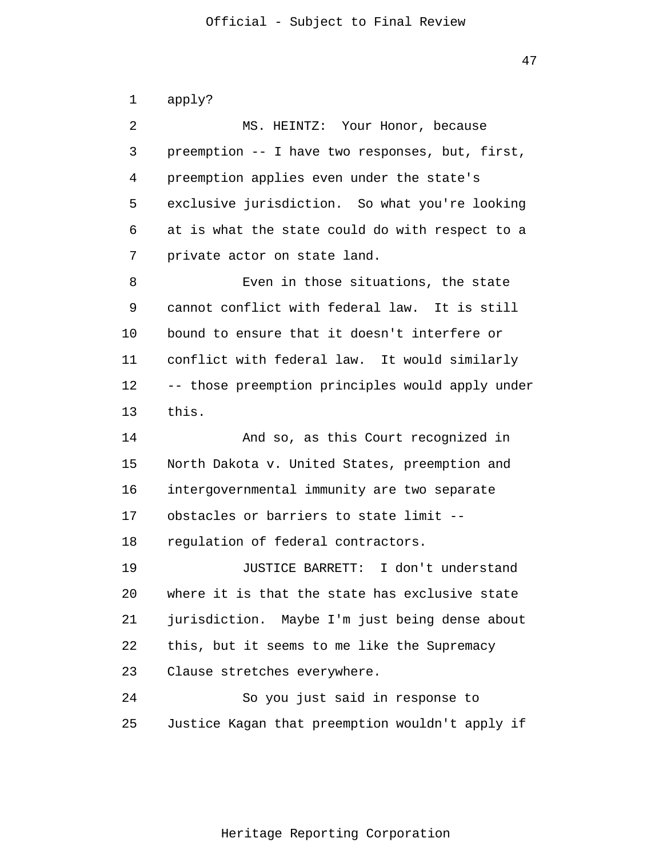1 2 3 4 5 6 7 8 9 10 11 12 13 14 15 16 17 18 19 20 21 22 23 24 25 apply? MS. HEINTZ: Your Honor, because preemption -- I have two responses, but, first, preemption applies even under the state's exclusive jurisdiction. So what you're looking at is what the state could do with respect to a private actor on state land. Even in those situations, the state cannot conflict with federal law. It is still bound to ensure that it doesn't interfere or conflict with federal law. It would similarly -- those preemption principles would apply under this. And so, as this Court recognized in North Dakota v. United States, preemption and intergovernmental immunity are two separate obstacles or barriers to state limit - regulation of federal contractors. JUSTICE BARRETT: I don't understand where it is that the state has exclusive state jurisdiction. Maybe I'm just being dense about this, but it seems to me like the Supremacy Clause stretches everywhere. So you just said in response to Justice Kagan that preemption wouldn't apply if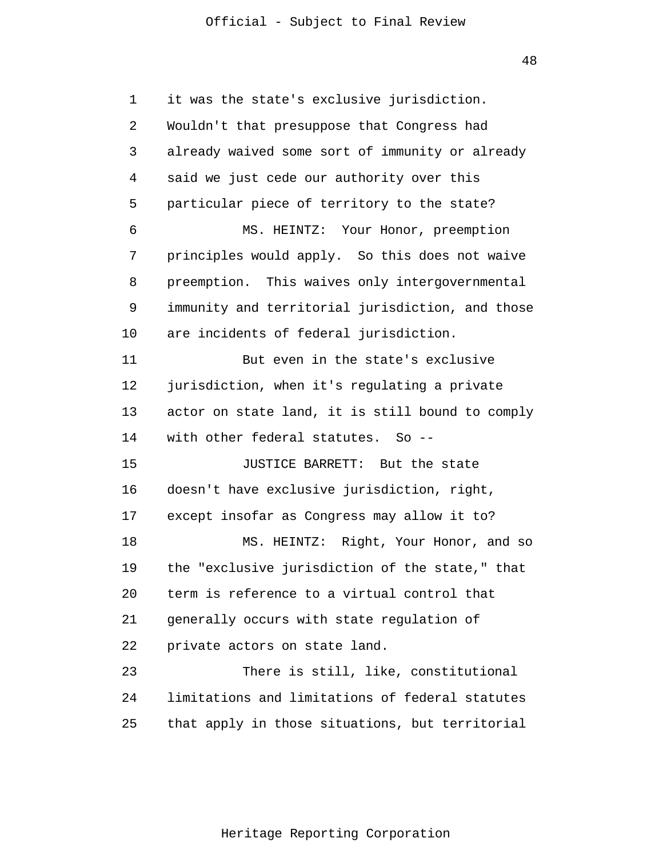48

1 2 3 4 5 6 7 8 9 10 11 12 13 14 15 16 17 18 19 20 21 22 23 24 25 it was the state's exclusive jurisdiction. Wouldn't that presuppose that Congress had already waived some sort of immunity or already said we just cede our authority over this particular piece of territory to the state? MS. HEINTZ: Your Honor, preemption principles would apply. So this does not waive preemption. This waives only intergovernmental immunity and territorial jurisdiction, and those are incidents of federal jurisdiction. But even in the state's exclusive jurisdiction, when it's regulating a private actor on state land, it is still bound to comply with other federal statutes. So --JUSTICE BARRETT: But the state doesn't have exclusive jurisdiction, right, except insofar as Congress may allow it to? MS. HEINTZ: Right, Your Honor, and so the "exclusive jurisdiction of the state," that term is reference to a virtual control that generally occurs with state regulation of private actors on state land. There is still, like, constitutional limitations and limitations of federal statutes that apply in those situations, but territorial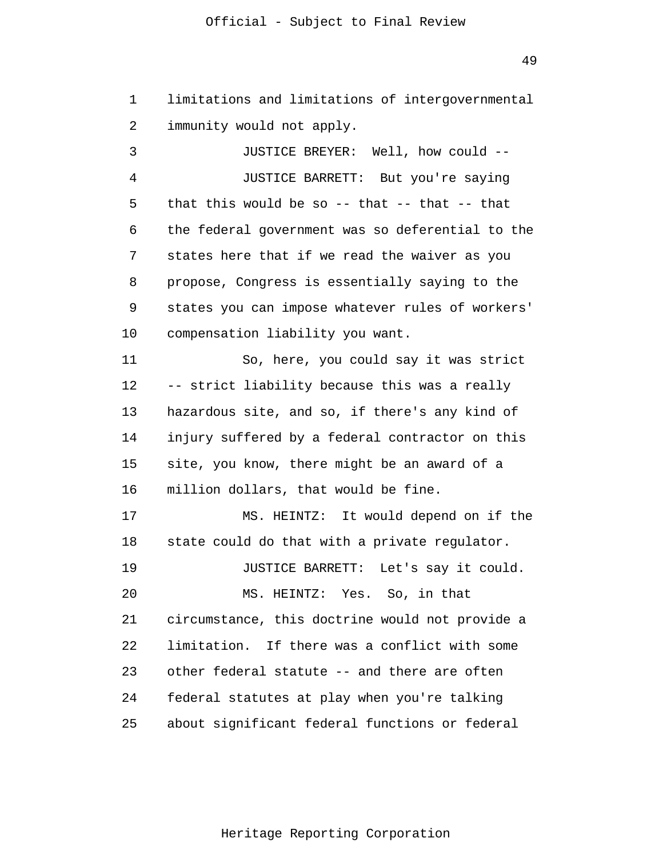1 2 limitations and limitations of intergovernmental immunity would not apply.

3 4 5 6 7 8 9 10 11 12 13 14 15 16 17 18 19 20 21 22 23 24 25 JUSTICE BREYER: Well, how could -- JUSTICE BARRETT: But you're saying that this would be so  $-$ - that  $-$ - that  $-$ - that the federal government was so deferential to the states here that if we read the waiver as you propose, Congress is essentially saying to the states you can impose whatever rules of workers' compensation liability you want. So, here, you could say it was strict -- strict liability because this was a really hazardous site, and so, if there's any kind of injury suffered by a federal contractor on this site, you know, there might be an award of a million dollars, that would be fine. MS. HEINTZ: It would depend on if the state could do that with a private regulator. JUSTICE BARRETT: Let's say it could. MS. HEINTZ: Yes. So, in that circumstance, this doctrine would not provide a limitation. If there was a conflict with some other federal statute -- and there are often federal statutes at play when you're talking about significant federal functions or federal

Heritage Reporting Corporation

49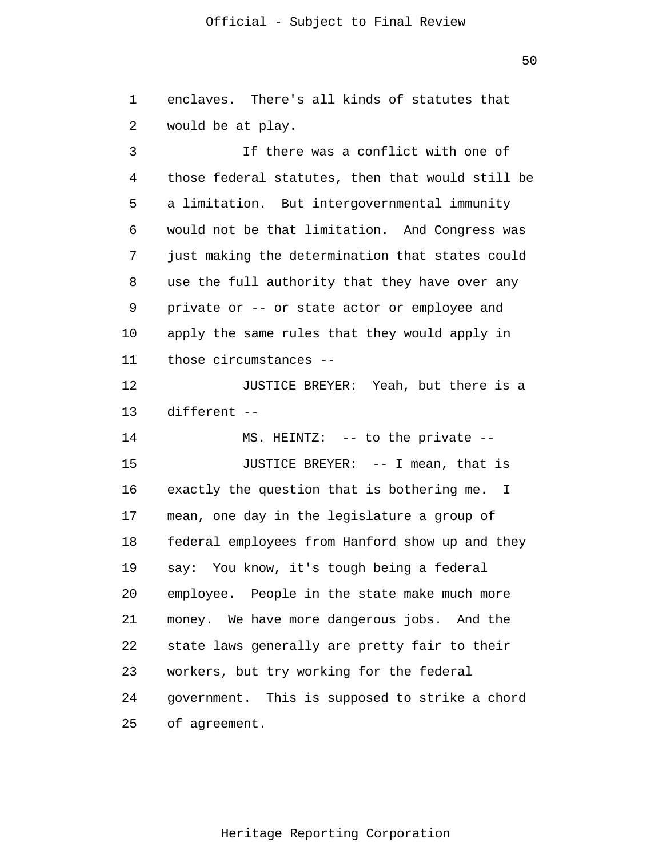1 2 3 enclaves. There's all kinds of statutes that would be at play. If there was a conflict with one of

4 5 6 7 8 9 10 11 those federal statutes, then that would still be a limitation. But intergovernmental immunity would not be that limitation. And Congress was just making the determination that states could use the full authority that they have over any private or -- or state actor or employee and apply the same rules that they would apply in those circumstances --

12 13 JUSTICE BREYER: Yeah, but there is a different --

14 15 16 17 18 19 20 21 22 23 24 25 MS. HEINTZ: -- to the private -- JUSTICE BREYER: -- I mean, that is exactly the question that is bothering me. I mean, one day in the legislature a group of federal employees from Hanford show up and they say: You know, it's tough being a federal employee. People in the state make much more money. We have more dangerous jobs. And the state laws generally are pretty fair to their workers, but try working for the federal government. This is supposed to strike a chord of agreement.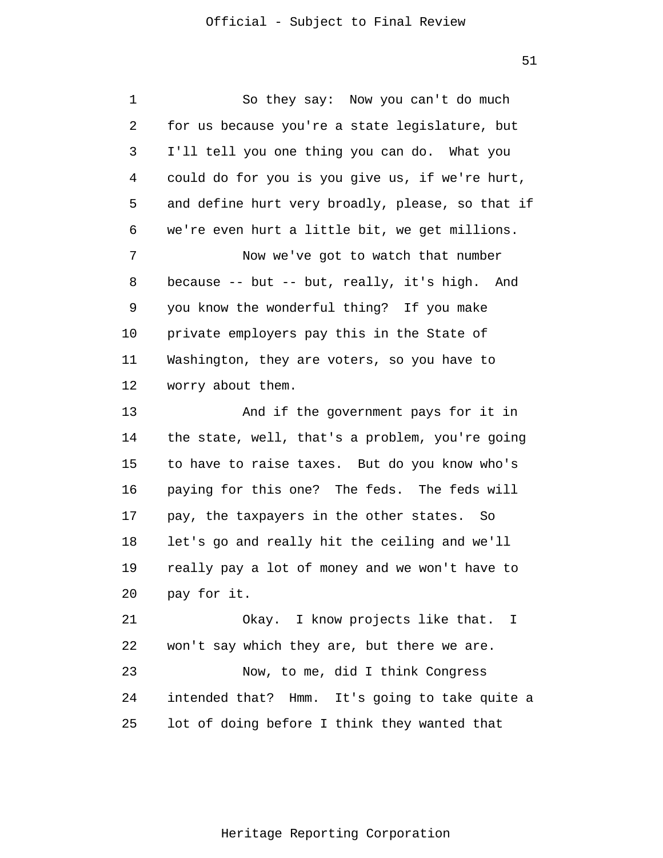51

1 2 3 4 5 6 7 8 9 10 11 12 13 14 15 16 17 18 19 20 21 22 23 24 25 So they say: Now you can't do much for us because you're a state legislature, but I'll tell you one thing you can do. What you could do for you is you give us, if we're hurt, and define hurt very broadly, please, so that if we're even hurt a little bit, we get millions. Now we've got to watch that number because -- but -- but, really, it's high. And you know the wonderful thing? If you make private employers pay this in the State of Washington, they are voters, so you have to worry about them. And if the government pays for it in the state, well, that's a problem, you're going to have to raise taxes. But do you know who's paying for this one? The feds. The feds will pay, the taxpayers in the other states. So let's go and really hit the ceiling and we'll really pay a lot of money and we won't have to pay for it. Okay. I know projects like that. I won't say which they are, but there we are. Now, to me, did I think Congress intended that? Hmm. It's going to take quite a lot of doing before I think they wanted that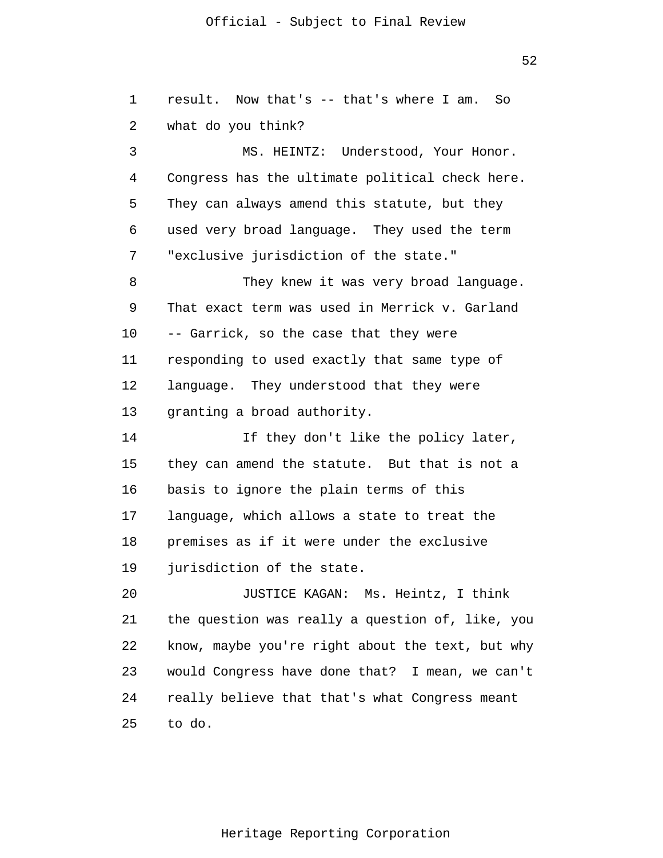52

1 2 3 4 5 6 7 8 9 10 11 12 13 14 15 16 17 18 19 20 21 22 23 24 25 result. Now that's -- that's where I am. So what do you think? MS. HEINTZ: Understood, Your Honor. Congress has the ultimate political check here. They can always amend this statute, but they used very broad language. They used the term "exclusive jurisdiction of the state." They knew it was very broad language. That exact term was used in Merrick v. Garland -- Garrick, so the case that they were responding to used exactly that same type of language. They understood that they were granting a broad authority. If they don't like the policy later, they can amend the statute. But that is not a basis to ignore the plain terms of this language, which allows a state to treat the premises as if it were under the exclusive jurisdiction of the state. JUSTICE KAGAN: Ms. Heintz, I think the question was really a question of, like, you know, maybe you're right about the text, but why would Congress have done that? I mean, we can't really believe that that's what Congress meant to do.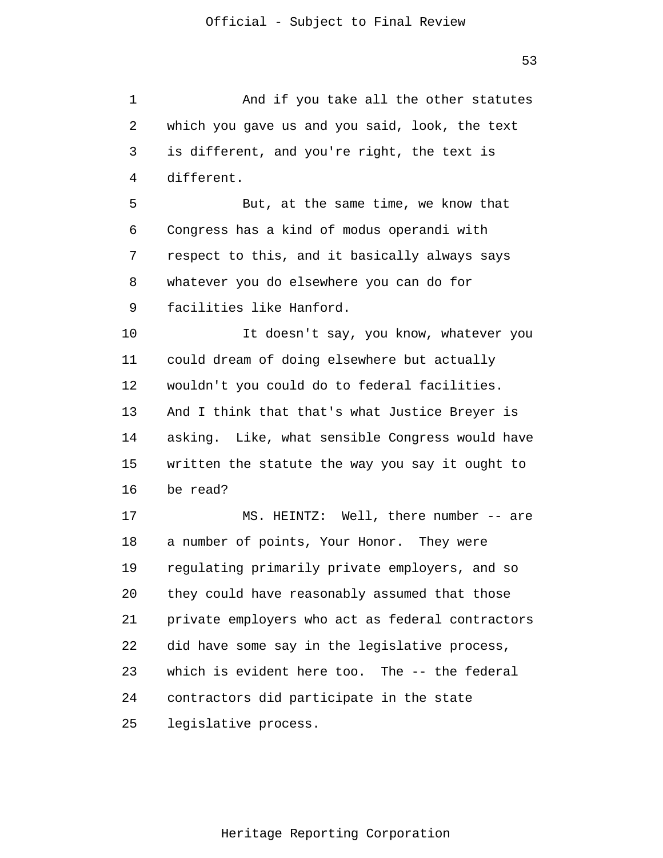1 2 3 4 5 6 7 8 9 10 11 12 13 14 15 16 17 18 19 20 21 22 23 24 25 And if you take all the other statutes which you gave us and you said, look, the text is different, and you're right, the text is different. But, at the same time, we know that Congress has a kind of modus operandi with respect to this, and it basically always says whatever you do elsewhere you can do for facilities like Hanford. It doesn't say, you know, whatever you could dream of doing elsewhere but actually wouldn't you could do to federal facilities. And I think that that's what Justice Breyer is asking. Like, what sensible Congress would have written the statute the way you say it ought to be read? MS. HEINTZ: Well, there number -- are a number of points, Your Honor. They were regulating primarily private employers, and so they could have reasonably assumed that those private employers who act as federal contractors did have some say in the legislative process, which is evident here too. The -- the federal contractors did participate in the state legislative process.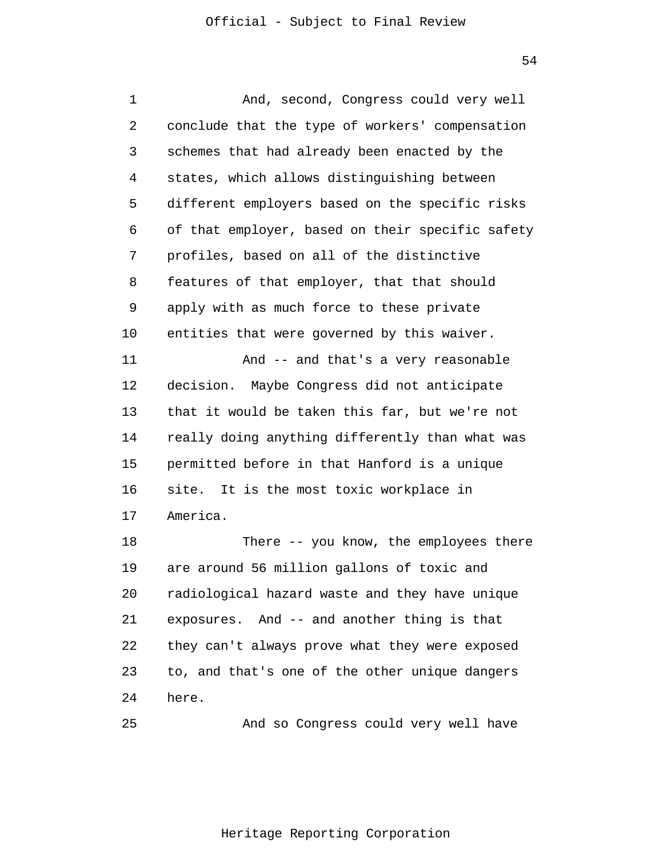1 2 3 4 5 6 7 8 9 10 11 12 13 14 15 16 17 18 19 20 21 22 23 24 And, second, Congress could very well conclude that the type of workers' compensation schemes that had already been enacted by the states, which allows distinguishing between different employers based on the specific risks of that employer, based on their specific safety profiles, based on all of the distinctive features of that employer, that that should apply with as much force to these private entities that were governed by this waiver. And -- and that's a very reasonable decision. Maybe Congress did not anticipate that it would be taken this far, but we're not really doing anything differently than what was permitted before in that Hanford is a unique site. It is the most toxic workplace in America. There -- you know, the employees there are around 56 million gallons of toxic and radiological hazard waste and they have unique exposures. And -- and another thing is that they can't always prove what they were exposed to, and that's one of the other unique dangers here.

25 And so Congress could very well have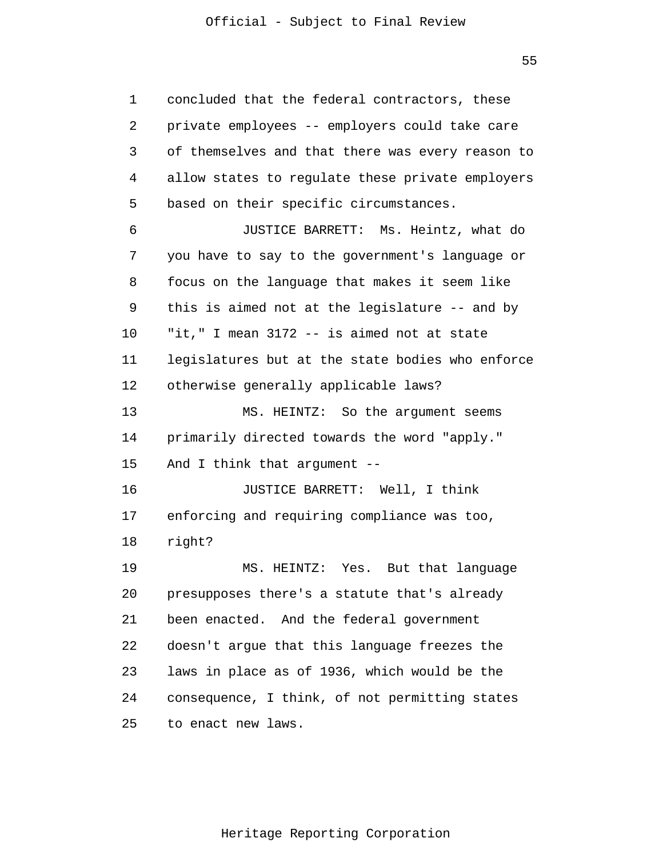1 2 3 4 5 6 7 8 9 10 11 12 13 14 15 16 17 18 19 20 21 22 23 24 25 concluded that the federal contractors, these private employees -- employers could take care of themselves and that there was every reason to allow states to regulate these private employers based on their specific circumstances. JUSTICE BARRETT: Ms. Heintz, what do you have to say to the government's language or focus on the language that makes it seem like this is aimed not at the legislature -- and by "it," I mean 3172 -- is aimed not at state legislatures but at the state bodies who enforce otherwise generally applicable laws? MS. HEINTZ: So the argument seems primarily directed towards the word "apply." And I think that argument -- JUSTICE BARRETT: Well, I think enforcing and requiring compliance was too, right? MS. HEINTZ: Yes. But that language presupposes there's a statute that's already been enacted. And the federal government doesn't argue that this language freezes the laws in place as of 1936, which would be the consequence, I think, of not permitting states to enact new laws.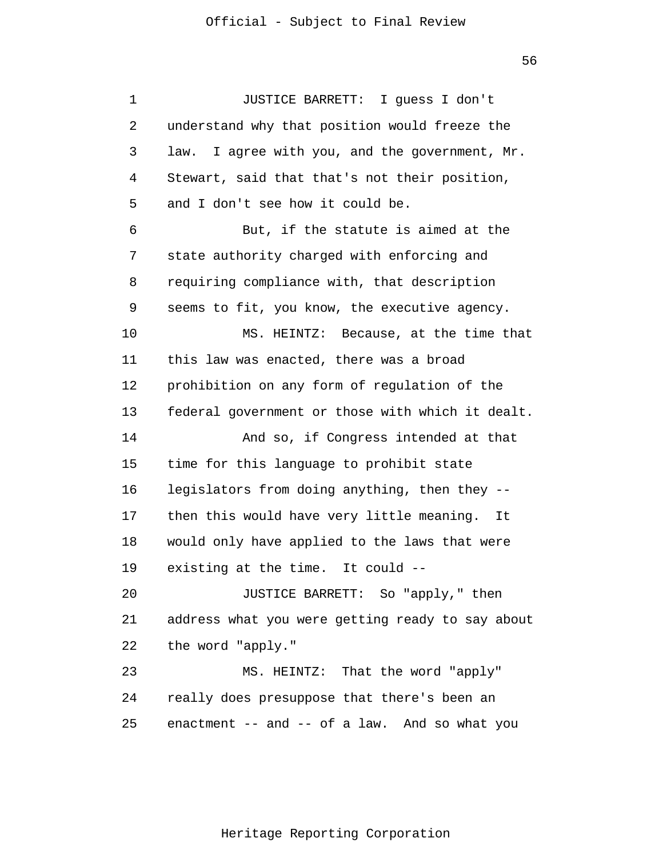1 2 3 4 5 6 7 8 9 10 11 12 13 14 15 16 17 18 19 20 21 22 23 24 25 JUSTICE BARRETT: I guess I don't understand why that position would freeze the law. I agree with you, and the government, Mr. Stewart, said that that's not their position, and I don't see how it could be. But, if the statute is aimed at the state authority charged with enforcing and requiring compliance with, that description seems to fit, you know, the executive agency. MS. HEINTZ: Because, at the time that this law was enacted, there was a broad prohibition on any form of regulation of the federal government or those with which it dealt. And so, if Congress intended at that time for this language to prohibit state legislators from doing anything, then they - then this would have very little meaning. It would only have applied to the laws that were existing at the time. It could -- JUSTICE BARRETT: So "apply," then address what you were getting ready to say about the word "apply." MS. HEINTZ: That the word "apply" really does presuppose that there's been an enactment -- and -- of a law. And so what you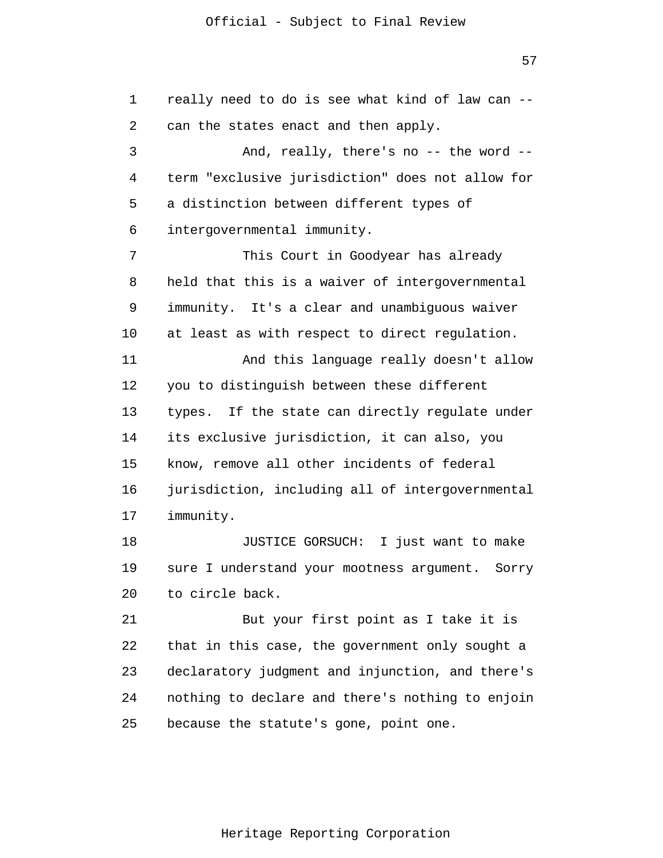57

1 2 3 4 5 6 7 8 9 10 11 12 13 14 15 16 17 18 19 20 21 22 23 24 25 really need to do is see what kind of law can - can the states enact and then apply. And, really, there's no -- the word - term "exclusive jurisdiction" does not allow for a distinction between different types of intergovernmental immunity. This Court in Goodyear has already held that this is a waiver of intergovernmental immunity. It's a clear and unambiguous waiver at least as with respect to direct regulation. And this language really doesn't allow you to distinguish between these different types. If the state can directly regulate under its exclusive jurisdiction, it can also, you know, remove all other incidents of federal jurisdiction, including all of intergovernmental immunity. JUSTICE GORSUCH: I just want to make sure I understand your mootness argument. Sorry to circle back. But your first point as I take it is that in this case, the government only sought a declaratory judgment and injunction, and there's nothing to declare and there's nothing to enjoin because the statute's gone, point one.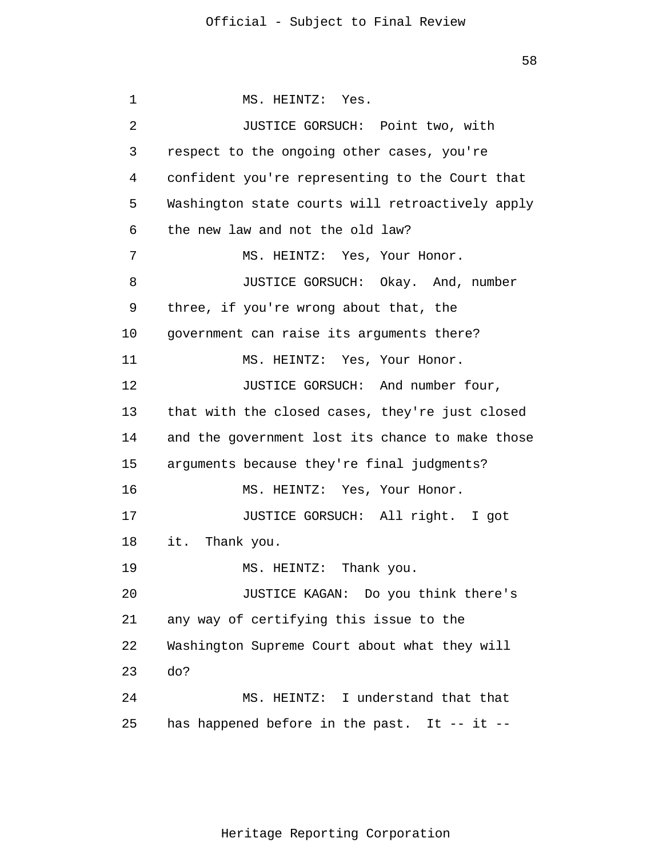1 2 3 4 5 6 7 8 9 10 11 12 13 14 15 16 17 18 19 20 21 22 23 24 25 MS. HEINTZ: Yes. JUSTICE GORSUCH: Point two, with respect to the ongoing other cases, you're confident you're representing to the Court that Washington state courts will retroactively apply the new law and not the old law? MS. HEINTZ: Yes, Your Honor. JUSTICE GORSUCH: Okay. And, number three, if you're wrong about that, the government can raise its arguments there? MS. HEINTZ: Yes, Your Honor. JUSTICE GORSUCH: And number four, that with the closed cases, they're just closed and the government lost its chance to make those arguments because they're final judgments? MS. HEINTZ: Yes, Your Honor. JUSTICE GORSUCH: All right. I got it. Thank you. MS. HEINTZ: Thank you. JUSTICE KAGAN: Do you think there's any way of certifying this issue to the Washington Supreme Court about what they will do? MS. HEINTZ: I understand that that has happened before in the past. It -- it --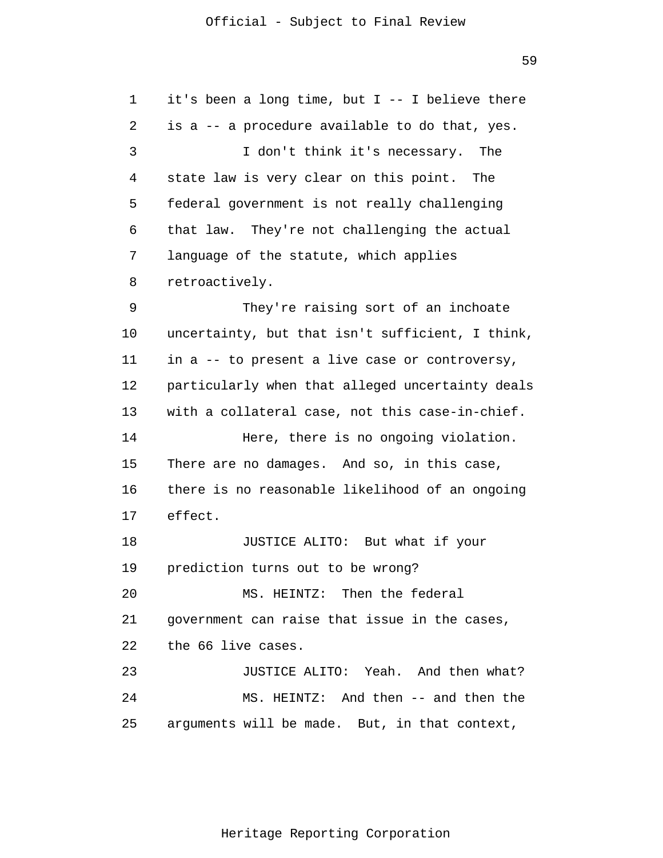1 2 3 4 5 6 7 8 9 10 11 12 13 14 15 16 17 18 19 20 21 22 23 24 25 it's been a long time, but I -- I believe there is a -- a procedure available to do that, yes. I don't think it's necessary. The state law is very clear on this point. The federal government is not really challenging that law. They're not challenging the actual language of the statute, which applies retroactively. They're raising sort of an inchoate uncertainty, but that isn't sufficient, I think, in a -- to present a live case or controversy, particularly when that alleged uncertainty deals with a collateral case, not this case-in-chief. Here, there is no ongoing violation. There are no damages. And so, in this case, there is no reasonable likelihood of an ongoing effect. JUSTICE ALITO: But what if your prediction turns out to be wrong? MS. HEINTZ: Then the federal government can raise that issue in the cases, the 66 live cases. JUSTICE ALITO: Yeah. And then what? MS. HEINTZ: And then -- and then the arguments will be made. But, in that context,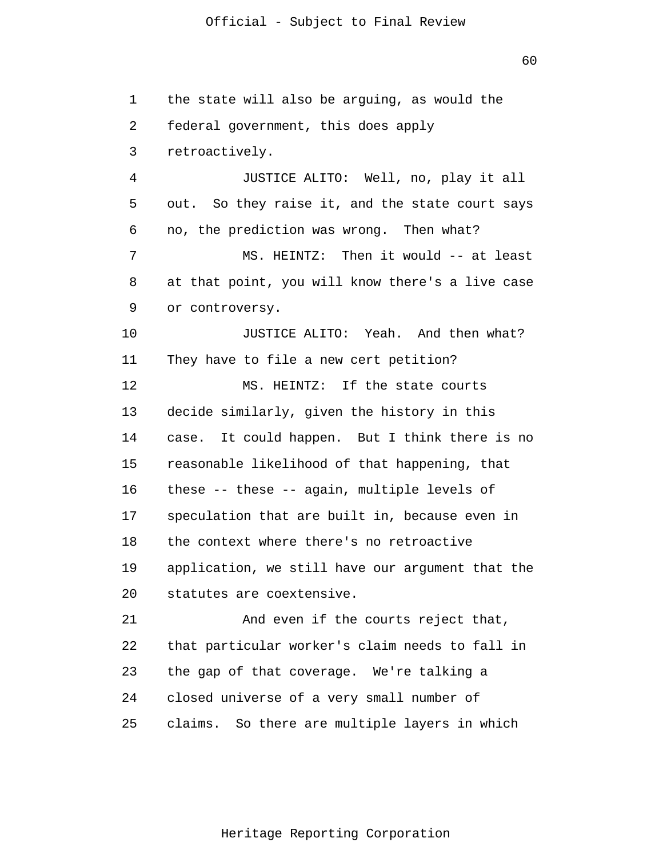1 2 3 4 5 6 7 8 9 10 11 12 13 14 15 16 17 18 19 20 21 22 23 24 25 the state will also be arguing, as would the federal government, this does apply retroactively. JUSTICE ALITO: Well, no, play it all out. So they raise it, and the state court says no, the prediction was wrong. Then what? MS. HEINTZ: Then it would -- at least at that point, you will know there's a live case or controversy. JUSTICE ALITO: Yeah. And then what? They have to file a new cert petition? MS. HEINTZ: If the state courts decide similarly, given the history in this case. It could happen. But I think there is no reasonable likelihood of that happening, that these -- these -- again, multiple levels of speculation that are built in, because even in the context where there's no retroactive application, we still have our argument that the statutes are coextensive. And even if the courts reject that, that particular worker's claim needs to fall in the gap of that coverage. We're talking a closed universe of a very small number of claims. So there are multiple layers in which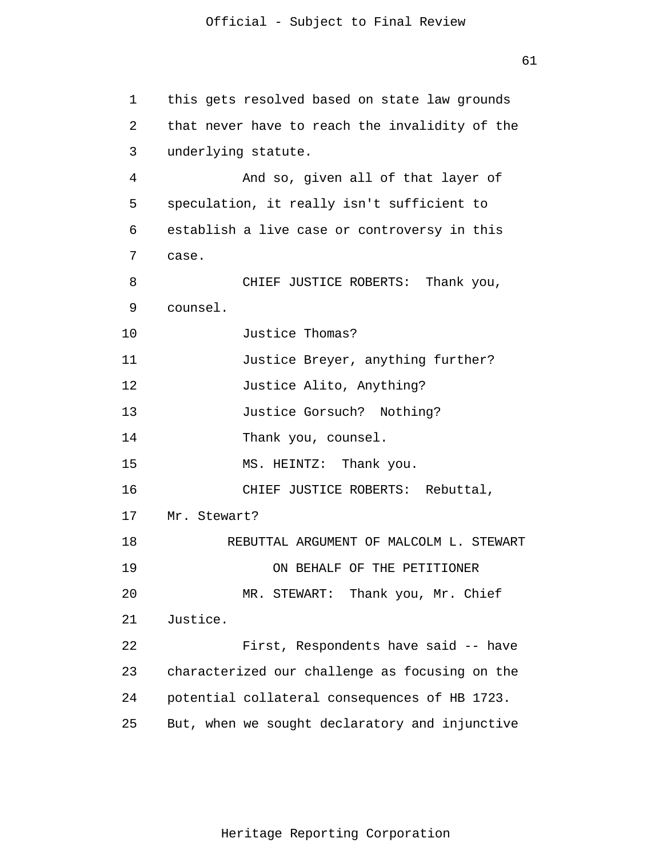1 2 3 4 5 6 7 8 9 10 11 12 13 14 15 16 17 18 19 20 21 22 23 24 25 this gets resolved based on state law grounds that never have to reach the invalidity of the underlying statute. And so, given all of that layer of speculation, it really isn't sufficient to establish a live case or controversy in this case. CHIEF JUSTICE ROBERTS: Thank you, counsel. Justice Thomas? Justice Breyer, anything further? Justice Alito, Anything? Justice Gorsuch? Nothing? Thank you, counsel. MS. HEINTZ: Thank you. CHIEF JUSTICE ROBERTS: Rebuttal, Mr. Stewart? REBUTTAL ARGUMENT OF MALCOLM L. STEWART ON BEHALF OF THE PETITIONER MR. STEWART: Thank you, Mr. Chief Justice. First, Respondents have said -- have characterized our challenge as focusing on the potential collateral consequences of HB 1723. But, when we sought declaratory and injunctive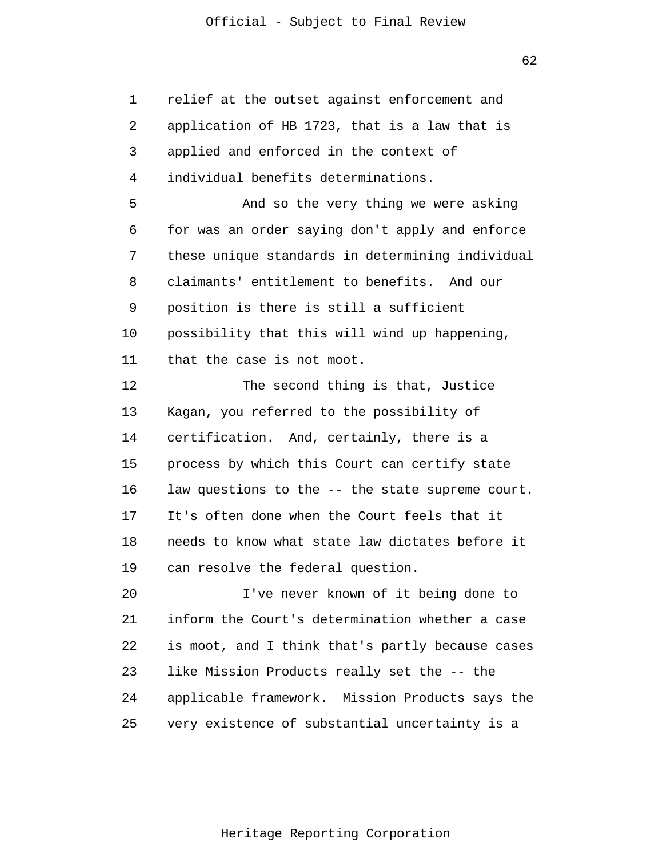1 2 3 4 5 6 7 8 9 10 11 12 13 14 15 16 17 18 19 20 21 22 23 24 25 relief at the outset against enforcement and application of HB 1723, that is a law that is applied and enforced in the context of individual benefits determinations. And so the very thing we were asking for was an order saying don't apply and enforce these unique standards in determining individual claimants' entitlement to benefits. And our position is there is still a sufficient possibility that this will wind up happening, that the case is not moot. The second thing is that, Justice Kagan, you referred to the possibility of certification. And, certainly, there is a process by which this Court can certify state law questions to the -- the state supreme court. It's often done when the Court feels that it needs to know what state law dictates before it can resolve the federal question. I've never known of it being done to inform the Court's determination whether a case is moot, and I think that's partly because cases like Mission Products really set the -- the applicable framework. Mission Products says the very existence of substantial uncertainty is a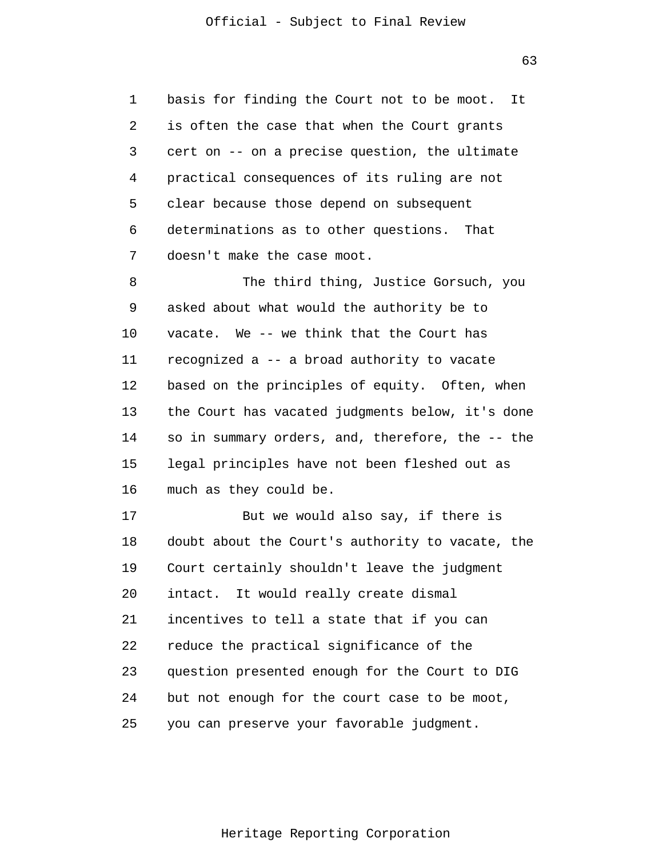1 2 3 4 5 6 7 basis for finding the Court not to be moot. It is often the case that when the Court grants cert on -- on a precise question, the ultimate practical consequences of its ruling are not clear because those depend on subsequent determinations as to other questions. That doesn't make the case moot.

8 9 10 11 12 13 14 15 16 The third thing, Justice Gorsuch, you asked about what would the authority be to vacate. We -- we think that the Court has recognized a -- a broad authority to vacate based on the principles of equity. Often, when the Court has vacated judgments below, it's done so in summary orders, and, therefore, the -- the legal principles have not been fleshed out as much as they could be.

17 18 19 20 21 22 23 24 25 But we would also say, if there is doubt about the Court's authority to vacate, the Court certainly shouldn't leave the judgment intact. It would really create dismal incentives to tell a state that if you can reduce the practical significance of the question presented enough for the Court to DIG but not enough for the court case to be moot, you can preserve your favorable judgment.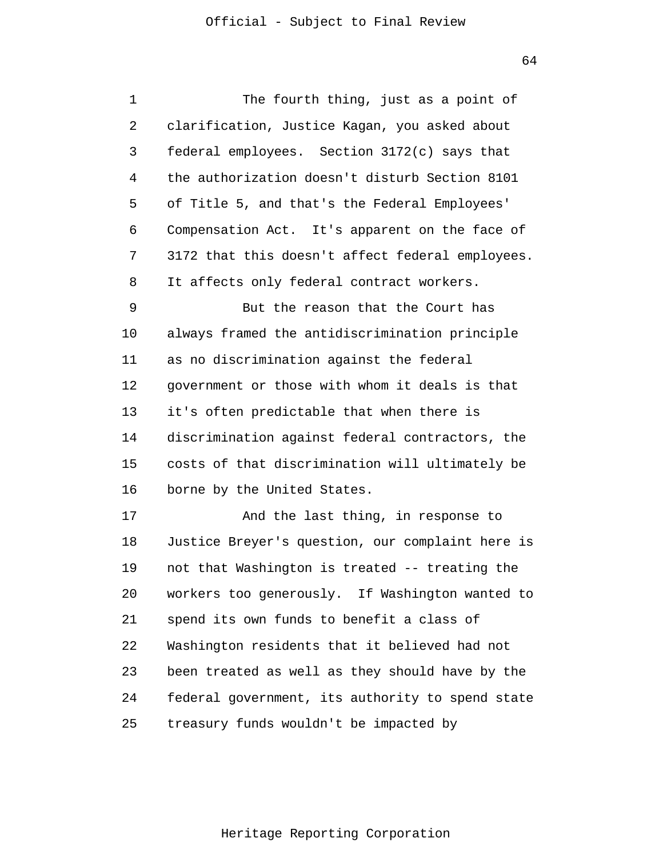| 1  | The fourth thing, just as a point of             |
|----|--------------------------------------------------|
| 2  | clarification, Justice Kagan, you asked about    |
| 3  | federal employees. Section 3172(c) says that     |
| 4  | the authorization doesn't disturb Section 8101   |
| 5  | of Title 5, and that's the Federal Employees'    |
| 6  | Compensation Act. It's apparent on the face of   |
| 7  | 3172 that this doesn't affect federal employees. |
| 8  | It affects only federal contract workers.        |
| 9  | But the reason that the Court has                |
| 10 | always framed the antidiscrimination principle   |
| 11 | as no discrimination against the federal         |
| 12 | government or those with whom it deals is that   |
| 13 | it's often predictable that when there is        |
| 14 | discrimination against federal contractors, the  |
| 15 | costs of that discrimination will ultimately be  |
| 16 | borne by the United States.                      |
| 17 | And the last thing, in response to               |
| 18 | Justice Breyer's question, our complaint here is |
| 19 | not that Washington is treated -- treating the   |
| 20 | workers too generously. If Washington wanted to  |
| 21 | spend its own funds to benefit a class of        |
| 22 | Washington residents that it believed had not    |
| 23 | been treated as well as they should have by the  |
| 24 | federal government, its authority to spend state |
| 25 | treasury funds wouldn't be impacted by           |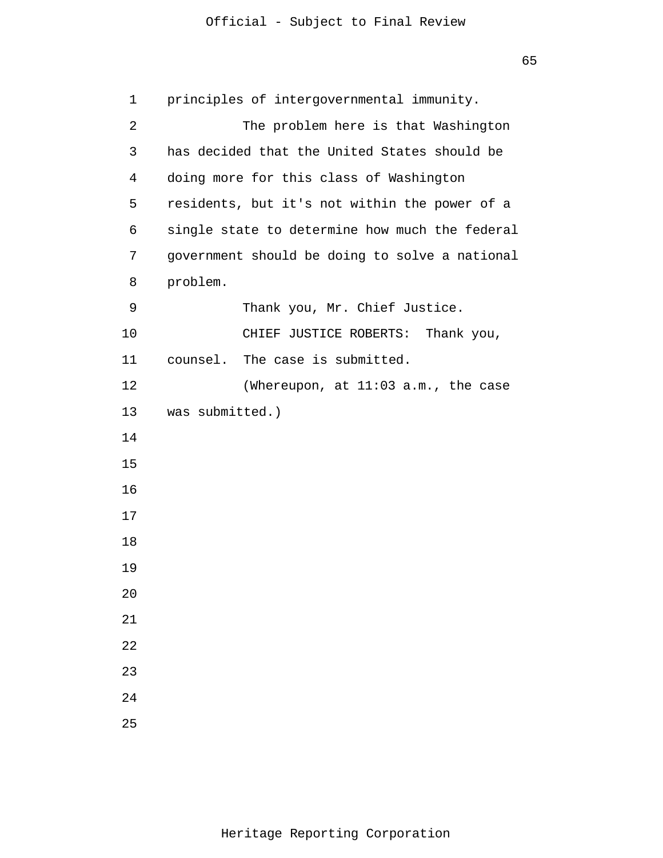```
1 
 2 
 3 
 4 
 5 
 6 
 7 
 8 
 9 
10 
11 
12 
13 
14
15
16
17
18
19
20
21
22
23
24
25
       principles of intergovernmental immunity.
                  The problem here is that Washington 
      has decided that the United States should be
       doing more for this class of Washington 
      residents, but it's not within the power of a
       single state to determine how much the federal 
      government should be doing to solve a national
       problem.
                  Thank you, Mr. Chief Justice. 
                CHIEF JUSTICE ROBERTS: Thank you, 
      counsel. The case is submitted. 
                 (Whereupon, at 11:03 a.m., the case 
      was submitted.)
```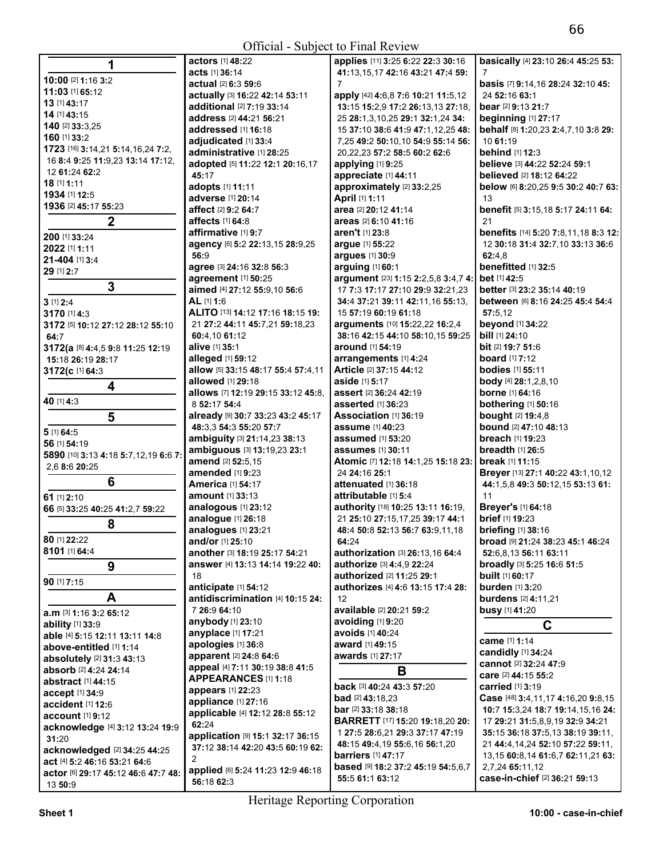| 1                                    | <b>actors</b> [1] <b>48:</b> 22    | applies [11] 3:25 6:22 22:3 30:16             | basically [4] 23:10 26:4 45:25 53:       |
|--------------------------------------|------------------------------------|-----------------------------------------------|------------------------------------------|
|                                      | acts [1] 36:14                     | 41:13,15,17 42:16 43:21 47:4 59:              |                                          |
| 10:00 [2] 1:16 3:2                   | actual [2] 6:3 59:6                | 7                                             | basis [7] 9:14,16 28:24 32:10 45:        |
| 11:03 [1] 65:12                      | actually [3] 16:22 42:14 53:11     | apply [42] 4:6,8 7:6 10:21 11:5,12            | 24 52:16 63:1                            |
| 13 [1] 43:17                         | additional [2] 7:19 33:14          | 13:15 15:2,9 17:2 26:13,13 27:18,             | bear [2] 9:13 21:7                       |
| 14 [1] 43:15                         | address [2] 44:21 56:21            | 25 28:1,3,10,25 29:1 32:1,24 34:              | beginning $[1]$ 27:17                    |
| 140 [2] 33:3,25                      | addressed [1] 16:18                | 15 37:10 38:6 41:9 47:1,12,25 48:             | behalf [8] 1:20,23 2:4,7,10 3:8 29:      |
| 160 [1] 33:2                         | adjudicated [1] 33:4               | 7,25 49:2 50:10,10 54:9 55:14 56:             | 10 61:19                                 |
| 1723 [16] 3:14,21 5:14,16,24 7:2,    | administrative [1] 28:25           | 20, 22, 23 57: 2 58: 5 60: 2 62: 6            | behind [1] 12:3                          |
| 16 8:4 9:25 11:9,23 13:14 17:12,     | adopted [5] 11:22 12:1 20:16,17    | applying [1] 9:25                             | believe [3] 44:22 52:24 59:1             |
| 12 61:24 62:2                        | 45:17                              | appreciate [1] 44:11                          | believed [2] 18:12 64:22                 |
| 18 [1] 1:11                          | adopts [1] 11:11                   | approximately [2] 33:2,25                     | below [6] 8:20,25 9:5 30:2 40:7 63:      |
| 1934 [1] 12:5                        | adverse [1] 20:14                  | April [1] 1:11                                | 13                                       |
| 1936 [2] 45:17 55:23                 | affect [2] 9:2 64:7                | area [2] 20:12 41:14                          | benefit [5] 3:15,18 5:17 24:11 64:       |
| $\boldsymbol{2}$                     | affects [1] 64:8                   | areas [2] 6:10 41:16                          | 21                                       |
|                                      |                                    |                                               |                                          |
| 200 [1] 33:24                        | affirmative [1] 9:7                | aren't [1] 23:8                               | benefits [14] 5:20 7:8,11,18 8:3 12:     |
| 2022 [1] 1:11                        | agency [6] 5:2 22:13,15 28:9,25    | argue [1] 55:22                               | 12 30:18 31:4 32:7,10 33:13 36:6         |
| 21-404 [1] 3:4                       | 56:9                               | argues [1] 30:9                               | 62:4.8                                   |
| 29 [1] 2:7                           | agree [3] 24:16 32:8 56:3          | arguing [1] 60:1                              | benefitted [1] 32:5                      |
| 3                                    | agreement [1] 50:25                | argument [23] 1:15 2:2,5,8 3:4,7 4:           | bet [1] 42:5                             |
|                                      | aimed [4] 27:12 55:9,10 56:6       | 17 7:3 17:17 27:10 29:9 32:21.23              | better [3] 23:2 35:14 40:19              |
| $3$ [1] $2:4$                        | AL [1] 1:6                         | 34:4 37:21 39:11 42:11,16 55:13,              | between [6] 8:16 24:25 45:4 54:4         |
| 3170 [1] 4:3                         | ALITO [13] 14:12 17:16 18:15 19:   | 15 57:19 60:19 61:18                          | 57:5,12                                  |
| 3172 [5] 10:12 27:12 28:12 55:10     | 21 27:2 44:11 45:7,21 59:18,23     | arguments [10] 15:22,22 16:2,4                | beyond [1] 34:22                         |
| 64:7                                 | 60:4,10 61:12                      | 38:16 42:15 44:10 58:10,15 59:25              | bill [1] 24:10                           |
| 3172(a [8] 4:4,5 9:8 11:25 12:19     | alive [1] 35:1                     | around [1] 54:19                              | <b>bit</b> [2] <b>19:7 51:</b> 6         |
| 15:18 26:19 28:17                    | alleged [1] 59:12                  | arrangements [1] 4:24                         | <b>board</b> [1] 7:12                    |
| 3172(c [1] 64:3                      | allow [5] 33:15 48:17 55:4 57:4,11 | Article [2] 37:15 44:12                       | bodies [1] 55:11                         |
|                                      | allowed [1] 29:18                  | aside [1] 5:17                                | body [4] 28:1,2,8,10                     |
| 4                                    | allows [7] 12:19 29:15 33:12 45:8. | assert [2] 36:24 42:19                        | <b>borne</b> [1] 64:16                   |
| 40 [1] 4:3                           | 8 52:17 54:4                       | asserted [1] 36:23                            | <b>bothering</b> [1] 50:16               |
| 5                                    | already [9] 30:7 33:23 43:2 45:17  | Association [1] 36:19                         | <b>bought</b> [2] 19:4,8                 |
|                                      | 48:3.3 54:3 55:20 57:7             | assume [1] 40:23                              | bound [2] 47:10 48:13                    |
| 5 [1] 64:5                           | ambiguity [3] 21:14,23 38:13       | assumed [1] 53:20                             | breach [1] 19:23                         |
| 56 [1] 54:19                         | ambiguous [3] 13:19,23 23:1        | <b>assumes</b> [1] 30:11                      | breadth $[1]$ 26:5                       |
| 5890 [10] 3:13 4:18 5:7,12,19 6:6 7: | amend [2] 52:5,15                  | Atomic [7] 12:18 14:1,25 15:18 23:            | break [1] 11:15                          |
| 2,6 8:6 20:25                        | amended [1] 9:23                   | 24 24:16 25:1                                 | Breyer [13] 27:1 40:22 43:1,10,12        |
| 6                                    | <b>America [1] 54:17</b>           | attenuated [1] 36:18                          | 44:1,5,8 49:3 50:12,15 53:13 61:         |
|                                      |                                    |                                               |                                          |
| 61 [1] 2:10                          | <b>amount</b> [1] <b>33:</b> 13    | attributable [1] 5:4                          | 11                                       |
| 66 [5] 33:25 40:25 41:2,7 59:22      | analogous [1] 23:12                | authority [18] 10:25 13:11 16:19,             | Breyer's [1] 64:18                       |
| 8                                    | analogue [1] 26:18                 | 21 25:10 27:15,17,25 39:17 44:1               | brief [1] 19:23                          |
|                                      | analogues [1] 23:21                | 48:4 50:8 52:13 56:7 63:9,11,18               | <b>briefing</b> [1] 38:16                |
| 80 [1] 22:22                         | and/or [1] 25:10                   | 64:24                                         | <b>broad</b> [9] 21:24 38:23 45:1 46:24  |
| 8101 [1] 64:4                        | another [3] 18:19 25:17 54:21      | authorization [3] 26:13,16 64:4               | 52:6,8,13 56:11 63:11                    |
| 9                                    | answer [4] 13:13 14:14 19:22 40:   | authorize [3] 4:4,9 22:24                     | broadly [3] 5:25 16:6 51:5               |
| 90 [1] 7:15                          | 18                                 | authorized [2] 11:25 29:1                     | <b>built</b> [1] 60:17                   |
|                                      | anticipate [1] 54:12               | authorizes [4] 4:6 13:15 17:4 28:             | <b>burden</b> [1] 3:20                   |
| A                                    | antidiscrimination [4] 10:15 24:   | 12                                            | burdens [2] 4:11,21                      |
| <b>a.m</b> [3] <b>1:16 3:2 65:12</b> | 7 26:9 64:10                       | available [2] 20:21 59:2                      | <b>busy</b> [1] 41:20                    |
| ability [1] 33:9                     | anybody [1] 23:10                  | avoiding [1] 9:20                             | $\mathbf C$                              |
| able [4] 5:15 12:11 13:11 14:8       | anyplace [1] 17:21                 | avoids [1] 40:24                              |                                          |
| above-entitled [1] 1:14              | apologies [1] 36:8                 | award [1] 49:15                               | came [1] 1:14                            |
| absolutely [2] 31:3 43:13            | apparent [2] 24:8 64:6             | awards [1] 27:17                              | candidly [1] 34:24                       |
| absorb [2] 4:24 24:14                | appeal [4] 7:11 30:19 38:8 41:5    |                                               | cannot [2] 32:24 47:9                    |
| abstract [1] 44:15                   | APPEARANCES [1] 1:18               | B                                             | care [2] 44:15 55:2                      |
|                                      | appears [1] 22:23                  | back [3] 40:24 43:3 57:20                     | carried [1] 3:19                         |
| accept [1] 34:9                      | appliance [1] 27:16                | <b>bad</b> [2] $43:18,23$                     | Case [48] 3:4, 11, 17 4: 16, 20 9: 8, 15 |
| accident [1] 12:6                    | applicable [4] 12:12 28:8 55:12    | <b>bar</b> [2] 33:18 38:18                    | 10:7 15:3,24 18:7 19:14,15,16 24:        |
| <b>account</b> [1] 9:12              | 62:24                              | <b>BARRETT</b> [17] <b>15:20 19:18,20 20:</b> | 17 29:21 31:5,8,9,19 32:9 34:21          |
| acknowledge [4] 3:12 13:24 19:9      |                                    | 1 27:5 28:6,21 29:3 37:17 47:19               | 35:15 36:18 37:5,13 38:19 39:11,         |
| 31:20                                | application [9] 15:1 32:17 36:15   | 48:15 49:4,19 55:6,16 56:1,20                 | 21 44:4, 14, 24 52:10 57:22 59:11,       |
| acknowledged [2] 34:25 44:25         | 37:12 38:14 42:20 43:5 60:19 62:   | <b>barriers</b> [1] 47:17                     | 13,15 60:8,14 61:6,7 62:11,21 63:        |
| act [4] 5:2 46:16 53:21 64:6         | 2                                  | <b>based</b> [9] 18:2 37:2 45:19 54:5,6,7     | 2,7,24 65:11,12                          |
| actor [6] 29:17 45:12 46:6 47:7 48:  | applied [6] 5:24 11:23 12:9 46:18  | 55:5 61:1 63:12                               | case-in-chief [2] 36:21 59:13            |
| 13 50:9                              | 56:18 62:3                         |                                               |                                          |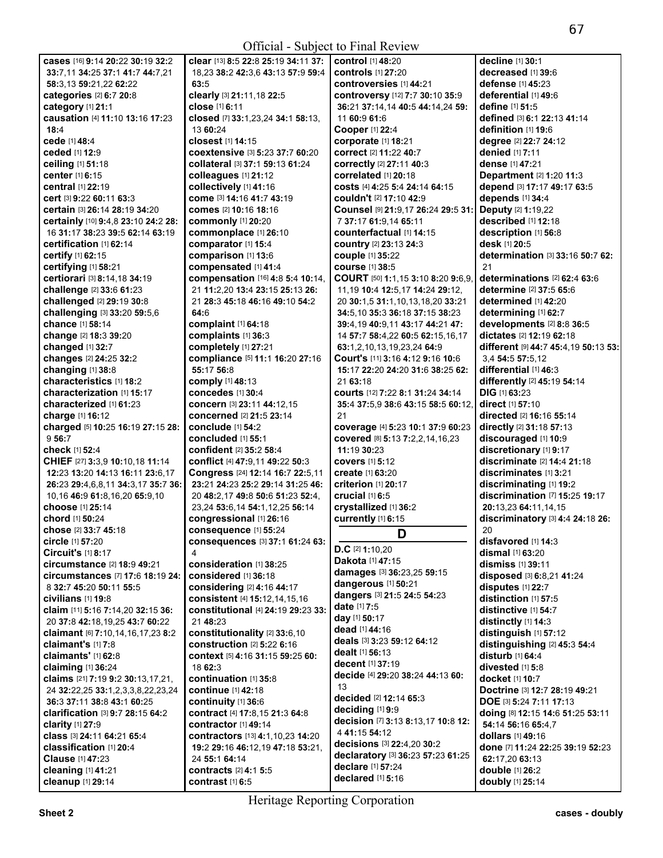|                                         | clear [13] 8:5 22:8 25:19 34:11 37:                | control [1] 48:20                   | decline [1] 30:1                     |
|-----------------------------------------|----------------------------------------------------|-------------------------------------|--------------------------------------|
| cases [16] 9:14 20:22 30:19 32:2        |                                                    |                                     |                                      |
| 33:7.11 34:25 37:1 41:7 44:7.21         | 18,23 38:2 42:3,6 43:13 57:9 59:4                  | controls [1] 27:20                  | decreased [1] 39:6                   |
| 58:3,13 59:21,22 62:22                  | 63:5                                               | controversies [1] 44:21             | defense [1] 45:23                    |
| categories [2] 6:7 20:8                 | clearly [3] 21:11,18 22:5                          | controversy [12] 7:7 30:10 35:9     | deferential [1] 49:6                 |
|                                         |                                                    |                                     |                                      |
| category [1] 21:1                       | close [1] 6:11                                     | 36:21 37:14,14 40:5 44:14,24 59:    | define [1] 51:5                      |
| causation [4] 11:10 13:16 17:23         | closed [7] 33:1,23,24 34:1 58:13,                  | 11 60:9 61:6                        | defined [3] 6:1 22:13 41:14          |
| 18:4                                    | 13 60:24                                           | Cooper [1] 22:4                     | definition [1] 19:6                  |
|                                         |                                                    |                                     |                                      |
| cede [1] 48:4                           | closest [1] 14:15                                  | corporate [1] 18:21                 | degree [2] 22:7 24:12                |
| ceded [1] 12:9                          | coextensive [3] 5:23 37:7 60:20                    | correct [2] 11:22 40:7              | <b>denied</b> [1] 7:11               |
| ceiling [1] 51:18                       | collateral [3] 37:1 59:13 61:24                    | correctly [2] 27:11 40:3            | dense [1] 47:21                      |
|                                         |                                                    |                                     |                                      |
| center [1] 6:15                         | colleagues [1] 21:12                               | correlated [1] 20:18                | Department [2] 1:20 11:3             |
| central [1] 22:19                       | collectively [1] 41:16                             | COStS [4] 4:25 5:4 24:14 64:15      | depend [3] 17:17 49:17 63:5          |
| cert [3] 9:22 60:11 63:3                | come [3] 14:16 41:7 43:19                          | couldn't [2] 17:10 42:9             | depends [1] 34:4                     |
|                                         |                                                    |                                     |                                      |
| certain [3] 26:14 28:19 34:20           | comes [2] 10:16 18:16                              | Counsel [9] 21:9,17 26:24 29:5 31:  | Deputy [2] 1:19,22                   |
| certainly [10] 9:4,8 23:10 24:2 28:     | commonly [1] 20:20                                 | 7 37:17 61:9,14 65:11               | described [1] 12:18                  |
| 16 31:17 38:23 39:5 62:14 63:19         | commonplace [1] 26:10                              | counterfactual [1] 14:15            | description [1] 56:8                 |
|                                         |                                                    |                                     | desk [1] 20:5                        |
| certification [1] 62:14                 | comparator [1] 15:4                                | country [2] 23:13 24:3              |                                      |
| certify [1] 62:15                       | comparison [1] 13:6                                | couple [1] 35:22                    | determination [3] 33:16 50:7 62:     |
| certifying [1] 58:21                    | compensated [1] 41:4                               | <b>course</b> [1] 38:5              | 21                                   |
|                                         |                                                    |                                     | determinations [2] 62:4 63:6         |
| certiorari [3] 8:14,18 34:19            | compensation [16] 4:8 5:4 10:14,                   | COURT [50] 1:1,15 3:10 8:20 9:6,9,  |                                      |
| challenge [2] 33:6 61:23                | 21 11:2,20 13:4 23:15 25:13 26:                    | 11, 19 10:4 12:5, 17 14: 24 29: 12, | determine [2] 37:5 65:6              |
| challenged [2] 29:19 30:8               | 21 28:3 45:18 46:16 49:10 54:2                     | 20 30:1,5 31:1,10,13,18,20 33:21    | determined [1] 42:20                 |
|                                         |                                                    |                                     |                                      |
| challenging [3] 33:20 59:5,6            | 64:6                                               | 34:5, 10 35:3 36:18 37:15 38:23     | determining [1] 62:7                 |
| chance [1] 58:14                        | complaint [1] 64:18                                | 39:4,19 40:9,11 43:17 44:21 47:     | developments [2] 8:8 36:5            |
| change [2] 18:3 39:20                   | complaints [1] 36:3                                | 14 57:7 58:4,22 60:5 62:15,16,17    | dictates [2] 12:19 62:18             |
| changed [1] 32:7                        |                                                    |                                     |                                      |
|                                         | completely [1] 27:21                               | 63:1,2,10,13,19,23,24 64:9          | different [9] 44:7 45:4,19 50:13 53: |
| changes [2] 24:25 32:2                  | compliance [5] 11:1 16:20 27:16                    | Court's [11] 3:16 4:12 9:16 10:6    | 3,4 54:5 57:5,12                     |
| changing [1] 38:8                       | 55:17 56:8                                         | 15:17 22:20 24:20 31:6 38:25 62:    | differential [1] 46:3                |
| characteristics [1] 18:2                | comply [1] 48:13                                   | 21 63:18                            | differently [2] 45:19 54:14          |
|                                         |                                                    |                                     |                                      |
| characterization [1] 15:17              | concedes [1] 30:4                                  | courts [12] 7:22 8:1 31:24 34:14    | $DIG$ [1] 63:23                      |
| characterized [1] 61:23                 | concern [3] 23:11 44:12,15                         | 35:4 37:5,9 38:6 43:15 58:5 60:12,  | direct [1] 57:10                     |
| charge [1] 16:12                        | <b>concerned</b> [2] 21:5 23:14                    | 21                                  | directed [2] 16:16 55:14             |
|                                         |                                                    |                                     |                                      |
| charged [5] 10:25 16:19 27:15 28:       | conclude [1] 54:2                                  | coverage [4] 5:23 10:1 37:9 60:23   | directly [2] 31:18 57:13             |
| 956:7                                   | concluded [1] 55:1                                 | covered [8] 5:13 7:2,2,14,16,23     | discouraged [1] 10:9                 |
| check [1] 52:4                          | confident [2] 35:2 58:4                            | 11:19 30:23                         | discretionary [1] 9:17               |
|                                         |                                                    |                                     |                                      |
|                                         |                                                    |                                     |                                      |
| CHIEF [27] 3:3,9 10:10,18 11:14         | conflict [4] 47:9,11 49:22 50:3                    | <b>covers</b> [1] 5:12              | discriminate [2] 14:4 21:18          |
| 12:23 13:20 14:13 16:11 23:6,17         | Congress [24] 12:14 16:7 22:5,11                   | create [1] 63:20                    | discriminates [1] 3:21               |
|                                         |                                                    |                                     |                                      |
| 26:23 29:4,6,8,11 34:3,17 35:7 36:      | 23:21 24:23 25:2 29:14 31:25 46:                   | <b>criterion</b> [1] 20:17          | discriminating [1] 19:2              |
| 10,16 46:9 61:8,16,20 65:9,10           | 20 48:2,17 49:8 50:6 51:23 52:4,                   | crucial $[1]$ 6:5                   | discrimination [7] 15:25 19:17       |
| choose [1] 25:14                        | 23,24 53:6,14 54:1,12,25 56:14                     |                                     | 20:13,23 64:11,14,15                 |
|                                         |                                                    | crystallized [1] 36:2               |                                      |
| <b>chord</b> [1] <b>50:</b> 24          | congressional [1] 26:16                            | currently [1] 6:15                  | discriminatory [3] 4:4 24:18 26:     |
| chose [2] 33:7 45:18                    | consequence [1] 55:24                              |                                     | 20                                   |
| <b>circle</b> [1] <b>57:20</b>          | <b>consequences [3] 37:1 61:24 63:</b>             | D                                   |                                      |
|                                         |                                                    | $D.C$ [2] 1:10,20                   | disfavored [1] 14:3                  |
| Circuit's [1] 8:17                      | $\overline{4}$                                     |                                     | dismal [1] 63:20                     |
| circumstance [2] 18:9 49:21             | consideration [1] 38:25                            | Dakota [1] 47:15                    | dismiss [1] 39:11                    |
| <b>circumstances</b> [7] 17:6 18:19 24: | considered [1] 36:18                               | damages [3] 36:23,25 59:15          | disposed [3] 6:8,21 41:24            |
|                                         |                                                    | dangerous [1] 50:21                 |                                      |
| 8 32:7 45:20 50:11 55:5                 | considering [2] 4:16 44:17                         |                                     | disputes [1] 22:7                    |
| civilians [1] 19:8                      | consistent [4] 15:12,14,15,16                      | dangers [3] 21:5 24:5 54:23         | distinction [1] 57:5                 |
| claim [11] 5:16 7:14,20 32:15 36:       | constitutional [4] 24:19 29:23 33:                 | <b>date</b> [1] <b>7:5</b>          | distinctive [1] 54:7                 |
| 20 37:8 42:18,19,25 43:7 60:22          | 21 48:23                                           | day [1] 50:17                       |                                      |
|                                         |                                                    | dead [1] 44:16                      | distinctly [1] 14:3                  |
| claimant [6] 7:10,14,16,17,23 8:2       | constitutionality [2] 33:6,10                      |                                     | distinguish [1] 57:12                |
| claimant's [1] 7:8                      | construction [2] 5:22 6:16                         | deals [3] 3:23 59:12 64:12          | distinguishing [2] 45:3 54:4         |
| claimants' [1] 62:8                     | context [5] 4:16 31:15 59:25 60:                   | <b>dealt</b> [1] <b>56:13</b>       | disturb [1] 64:4                     |
|                                         |                                                    | decent [1] 37:19                    |                                      |
| claiming [1] 36:24                      | 18 62:3                                            |                                     | divested [1] 5:8                     |
| claims [21] 7:19 9:2 30:13,17,21,       | continuation [1] 35:8                              | decide [4] 29:20 38:24 44:13 60:    | docket [1] 10:7                      |
| 24 32:22,25 33:1,2,3,3,8,22,23,24       | continue [1] 42:18                                 | 13                                  | Doctrine [3] 12:7 28:19 49:21        |
|                                         |                                                    | decided [2] 12:14 65:3              |                                      |
| 36:3 37:11 38:8 43:1 60:25              | continuity [1] 36:6                                |                                     | DOE [3] 5:24 7:11 17:13              |
| clarification [3] 9:7 28:15 64:2        | contract [4] 17:8,15 21:3 64:8                     | deciding [1] 9:9                    | doing [8] 12:15 14:6 51:25 53:11     |
| clarity [1] 27:9                        | contractor [1] 49:14                               | decision [7] 3:13 8:13,17 10:8 12:  | 54:14 56:16 65:4,7                   |
|                                         |                                                    | 4 41:15 54:12                       |                                      |
| class [3] 24:11 64:21 65:4              | contractors [13] 4:1,10,23 14:20                   |                                     | dollars [1] 49:16                    |
| classification [1] 20:4                 | 19:2 29:16 46:12,19 47:18 53:21,                   | decisions [3] 22:4,20 30:2          | done [7] 11:24 22:25 39:19 52:23     |
| Clause [1] 47:23                        | 24 55:1 64:14                                      | declaratory [3] 36:23 57:23 61:25   | 62:17,20 63:13                       |
|                                         |                                                    | declare [1] 57:24                   |                                      |
| cleaning [1] 41:21<br>cleanup [1] 29:14 | <b>contracts</b> [2] 4:1 5:5<br>contrast $[1]$ 6:5 | declared [1] 5:16                   | double [1] 26:2<br>doubly [1] 25:14  |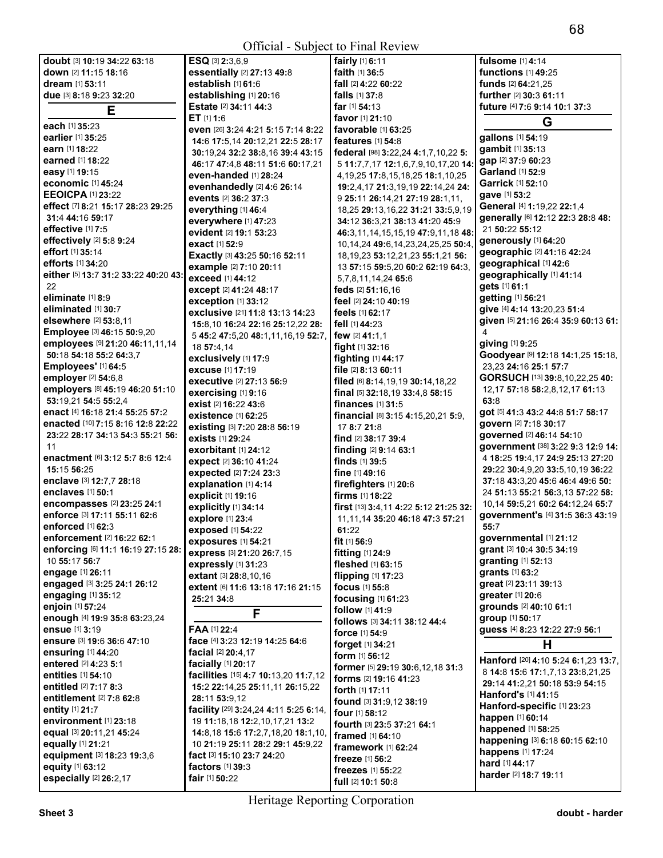**doubt** [3] **10:**19 **34:**22 **63:**18 **down** [2] **11:**15 **18:**16 **dream** [1] **53:**11 **due** [3] **8:**18 **9:**23 **32:**20 **E each** [1] **35:**23 **earlier** [1] **35:**25 **earn** [1] **18:**22 **earned** [1] **18:**22 **easy** [1] **19:**15 **economic** [1] **45:**24 **EEOICPA** [1] **23:**22 **effect** [7] **8:**21 **15:**17 **28:**23 **29:**25 **31:**4 **44:**16 **59:**17 **effective** [1] **7:**5 **effectively** [2] **5:**8 **9:**24 **effort** [1] **35:**14 **efforts** [1] **34:**20 **either** [5] **13:**7 **31:**2 **33:**22 **40:**20 **43:**  22 **eliminate** [1] **8:**9 **eliminated** [1] **30:**7 **elsewhere** [2] **53:**8,11 **Employee** [3] **46:**15 **50:**9,20 **employees** [9] **21:**20 **46:**11,11,14 **50:**18 **54:**18 **55:**2 **64:**3,7 **Employees'** [1] **64:**5 **employer** [2] **54:**6,8 **employers** [8] **45:**19 **46:**20 **51:**10 **53:**19,21 **54:**5 **55:**2,4 **enact** [4] **16:**18 **21:**4 **55:**25 **57:**2 **enacted** [10] **7:**15 **8:**16 **12:**8 **22:**22 **23:**22 **28:**17 **34:**13 **54:**3 **55:**21 **56:**  11 **enactment** [6] **3:**12 **5:**7 **8:**6 **12:**4 **15:**15 **56:**25 **enclave** [3] **12:**7,7 **28:**18 **enclaves** [1] **50:**1 **encompasses** [2] **23:**25 **24:**1 **enforce** [3] **17:**11 **55:**11 **62:**6 **enforced** [1] **62:**3 **enforcement** [2] **16:**22 **62:**1 **enforcing** [6] **11:**1 **16:**19 **27:**15 **28:**  10 **55:**17 **56:**7 **engage** [1] **26:**11 **engaged** [3] **3:**25 **24:**1 **26:**12 **engaging** [1] **35:**12 **enjoin** [1] **57:**24 **enough** [4] **19:**9 **35:**8 **63:**23,24 **ensue** [1] **3:**19 **ensure** [3] **19:**6 **36:**6 **47:**10 **ensuring** [1] **44:**20 **entered** [2] **4:**23 **5:**1 **entities** [1] **54:**10 **entitled** [2] **7:**17 **8:**3 **entitlement** [2] **7:**8 **62:**8 **entity** [1] **21:**7 **environment** [1] **23:**18 **equal** [3] **20:**11,21 **45:**24 **equally** [1] **21:**21 **equipment** [3] **18:**23 **19:**3,6 **equity** [1] **63:**12 **especially** [2] **26:**2,17 **ESQ** [3] **2:**3,6,9 **essentially** [2] **27:**13 **49:**8

| establish [1] 61:6                                                           | f      |
|------------------------------------------------------------------------------|--------|
| establishing [1] 20:16                                                       | f      |
| Estate [2] 34:11 44:3                                                        | f      |
| ET [1] 1:6                                                                   | f      |
| even [26] 3:24 4:21 5:15 7:14 8:22                                           | f      |
| 14:6 17:5,14 20:12,21 22:5 28:17                                             | f      |
| 30:19,24 32:2 38:8,16 39:4 43:15                                             | f      |
| 46:17 47:4.8 48:11 51:6 60:17.21                                             |        |
| even-handed [1] 28:24                                                        |        |
| evenhandedly [2] 4:6 26:14                                                   |        |
| events [2] 36:2 37:3                                                         |        |
| everything [1] 46:4                                                          |        |
| everywhere [1] 47:23                                                         |        |
| evident [2] 19:1 53:23                                                       |        |
| exact [1] 52:9                                                               |        |
|                                                                              |        |
| Exactly [3] 43:25 50:16 52:11                                                |        |
| example [2] 7:10 20:11                                                       |        |
| <b>exceed</b> [1] <b>44:</b> 12                                              |        |
| except [2] 41:24 48:17                                                       | f      |
| <b>exception</b> [1] 33:12                                                   | f      |
| exclusive [21] 11:8 13:13 14:23                                              | f      |
| 15:8.10 16:24 22:16 25:12.22 28:                                             | f      |
| 5 45:2 47:5,20 48:1,11,16,19 52:7,                                           | f      |
| 18 57:4,14                                                                   | f      |
| exclusively [1] 17:9                                                         | f      |
| excuse [1] 17:19                                                             | f      |
| executive [2] 27:13 56:9                                                     | f      |
| exercising [1] 9:16                                                          | f      |
| exist [2] 16:22 43:6                                                         | f      |
| existence [1] 62:25                                                          | f      |
| existing [3] 7:20 28:8 56:19                                                 |        |
| <b>exists</b> [1] 29:24                                                      | f      |
| exorbitant [1] 24:12                                                         | f      |
| expect [2] 36:10 41:24                                                       | f      |
| <b>expected</b> [2] <b>7:</b> 24 <b>23:</b> 3                                | f      |
| explanation [1] 4:14                                                         | f      |
|                                                                              | f      |
| <b>explicit [1] 19:16</b>                                                    |        |
| explicitly [1] 34:14                                                         | f      |
| explore [1] 23:4                                                             |        |
| <b>exposed</b> [1] <b>54:</b> 22                                             |        |
|                                                                              | f      |
| <b>exposures</b> [1] 54:21                                                   |        |
| express [3] 21:20 26:7,15                                                    | f      |
| expressly [1] 31:23                                                          | f      |
| <b>extant</b> [3] <b>28:</b> 8,10,16                                         | f      |
| extent [6] 11:6 13:18 17:16 21:15                                            | f      |
| 25:21 34:8                                                                   | f      |
| ⊢                                                                            | f      |
|                                                                              | f      |
| <b>FAA</b> [1] 22:4                                                          | f      |
| face [4] 3:23 12:19 14:25 64:6                                               | f      |
| <b>facial</b> [2] <b>20:</b> 4,17                                            | f      |
| <b>facially</b> [1] <b>20:</b> 17                                            | f      |
| facilities [15] 4:7 10:13,20 11:7,12                                         | f      |
| 15:2 22:14,25 25:11,11 26:15,22                                              | f      |
| 28:11 53:9,12                                                                | f      |
| <b>facility</b> [29] <b>3:</b> 24,24 <b>4:</b> 11 <b>5:</b> 25 <b>6:</b> 14, |        |
| 19 11:18,18 12:2,10,17,21 13:2                                               | f      |
| 14:8,18 15:6 17:2,7,18,20 18:1,10,                                           | f      |
| 10 21:19 25:11 28:2 29:1 45:9,22                                             | f      |
| fact ⊠ 15:10 23:7 24:20                                                      | f      |
|                                                                              | f      |
| factors [1] 39:3<br><b>fair</b> [1] <b>50:</b> 22                            | f<br>f |

| $\sim$ 1.1141 $\sim$                        |                 |
|---------------------------------------------|-----------------|
| fairly [1] 6:11                             | fulso           |
| <b>faith [1] 36:5</b>                       | func            |
| fall [2] 4:22 60:22                         | fund            |
| falls [1] 37:8                              | furth           |
| far [1] 54:13                               | futuı           |
|                                             |                 |
| <b>favor</b> [1] <b>21:</b> 10              |                 |
| <b>favorable</b> [1] <b>63:25</b>           | gallo           |
| <b>features</b> [1] <b>54:</b> 8            |                 |
| federal [98] 3:22,24 4:1,7,10,22 5:         | gam             |
| 5 11:7,7,17 12:1,6,7,9,10,17,20 14:         | gap             |
| 4, 19, 25 17: 8, 15, 18, 25 18: 1, 10, 25   | Garl            |
| 19:2,4,17 21:3,19,19 22:14,24 24:           | Garr            |
| 9 25:11 26:14,21 27:19 28:1,11,             | gave            |
| 18,25 29:13,16,22 31:21 33:5,9,19           | Gen             |
| 34:12 36:3,21 38:13 41:20 45:9              | gene            |
| 46:3,11,14,15,15,19 47:9,11,18 48:          | 215             |
| 10, 14, 24 49: 6, 14, 23, 24, 25, 25 50: 4, | gene            |
|                                             | geog            |
| 18, 19, 23 53: 12, 21, 23 55: 1, 21 56:     | geog            |
| 13 57:15 59:5,20 60:2 62:19 64:3,           | geog            |
| 5,7,8,11,14,24 65:6                         | gets            |
| feds [2] 51:16,16                           |                 |
| feel [2] 24:10 40:19                        | getti           |
| feels [1] 62:17                             | give            |
| fell [1] 44:23                              | give            |
| few [2] 41:1.1                              | 4               |
| fight [1] 32:16                             | givir           |
| fighting [1] 44:17                          | Goo             |
| file [2] 8:13 60:11                         | 23,2            |
| filed [6] 8:14,19,19 30:14,18,22            | GOF             |
| final [5] 32:18,19 33:4,8 58:15             | 12,1            |
|                                             | 63:8            |
| finances [1] 31:5                           | got [           |
| financial [8] 3:15 4:15,20,21 5:9,          | gove            |
| 17 8:7 21:8                                 |                 |
| find [2] 38:17 39:4                         | gove            |
| finding [2] 9:14 63:1                       | gove            |
| finds $[1]$ 39:5                            | 4 18            |
| fine [1] 49:16                              | 29:2            |
| firefighters [1] 20:6                       | 37:1            |
| <b>firms</b> $[1]$ 18:22                    | 24 <sub>5</sub> |
| first [13] 3:4,11 4:22 5:12 21:25 32:       | 10,1            |
| 11, 11, 14 35: 20 46: 18 47: 3 57: 21       | gove            |
| 61:22                                       | 55:7            |
| fit $[1]$ 56:9                              | govo            |
| fitting $[1]$ 24:9                          | gran            |
| fleshed [1] 63:15                           | gran            |
|                                             | gran            |
| flipping [1] 17:23                          | grea            |
| focus [1] 55:8                              | grea            |
| focusing [1] 61:23                          | grou            |
| follow [1] 41:9                             |                 |
| follows [3] 34:11 38:12 44:4                | grou            |
| force [1] 54:9                              | gues            |
| <b>forget</b> [1] <b>34:21</b>              |                 |
| form [1] 56:12                              | Hant            |
| former [5] 29:19 30:6,12,18 31:3            | 8 14            |
| forms [2] 19:16 41:23                       |                 |
| <b>forth</b> [1] <b>17:11</b>               | 29:1            |
| found [3] 31:9,12 38:19                     | Hant            |
| <b>four</b> [1] <b>58:12</b>                | Hant            |
| fourth [3] 23:5 37:21 64:1                  | happ            |
| <b>framed</b> [1] 64:10                     | happ            |
| framework [1] 62:24                         | happ            |
|                                             | happ            |
| freeze [1] 56:2                             | hard            |
| freezes [1] 55:22                           | hard            |
| full [2] 10:1 50:8                          |                 |

**fulsome** [1] **4:**14 **functions** [1] **49:**25 **funds** [2] **64:**21,25 **further** [2] **30:**3 **61:**11 **future** [4] **7:**6 **9:**14 **10:**1 **37:**3 **G gallons** [1] **54:**19 **gambit** [1] **35:**13 **gap** [2] **37:**9 **60:**23 **Garland** [1] **52:**9 **Garrick** [1] **52:**10 **gave** [1] **53:**2 **General** [4] **1:**19,22 **22:**1,4 **generally** [6] **12:**12 **22:**3 **28:**8 **48:**  21 **50:**22 **55:**12 **generously** [1] **64:**20 **geographic** [2] **41:**16 **42:**24 **geographical** [1] **42:**6 **geographically** [1] **41:**14 **gets** [1] **61:**1 **getting** [1] **56:**21 **give** [4] **4:**14 **13:**20,23 **51:**4 **given** [5] **21:**16 **26:**4 **35:**9 **60:**13 **61: giving** [1] **9:**25 **Goodyear** [9] **12:**18 **14:**1,25 **15:**18, 23,23 **24:**16 **25:**1 **57:**7 **GORSUCH** [13] **39:**8,10,22,25 **40:**  12,17 **57:**18 **58:**2,8,12,17 **61:**13 **63:**8 **got** [5] **41:**3 **43:**2 **44:**8 **51:**7 **58:**17 **govern** [2] **7:**18 **30:**17 **governed** [2] **46:**14 **54:**10 **government** [38] **3:**22 **9:**3 **12:**9 **14:**  4 **18:**25 **19:**4,17 **24:**9 **25:**13 **27:**20 **29:**22 **30:**4,9,20 **33:**5,10,19 **36:**22 **37:**18 **43:**3,20 **45:**6 **46:**4 **49:**6 **50:**  24 **51:**13 **55:**21 **56:**3,13 **57:**22 **58:**  10,14 **59:**5,21 **60:**2 **64:**12,24 **65:**7 **government's** [4] **31:**5 **36:**3 **43:**19 **55:**7 **governmental** [1] **21:**12 **grant** [3] **10:**4 **30:**5 **34:**19 **granting** [1] **52:**13 **grants** [1] **63:**2 **great** [2] **23:**11 **39:**13 **greater** [1] **20:**6 **grounds** [2] **40:**10 **61:**1 **group** [1] **50:**17 **guess** [4] **8:**23 **12:**22 **27:**9 **56:**1 **H Hanford** [20] **4:**10 **5:**24 **6:**1,23 **13:**7, 8 **14:**8 **15:**6 **17:**1,7,13 **23:**8,21,25 **29:**14 **41:**2,21 **50:**18 **53:**9 **54:**15 **Hanford's** [1] **41:**15 **Hanford-specific** [1] **23:**23 **happen** [1] **60:**14 **happened** [1] **58:**25 **happening** [3] **6:**18 **60:**15 **62:**10 **happens** [1] **17:**24 **hard** [1] **44:**17

**harder** [2] **18:**7 **19:**11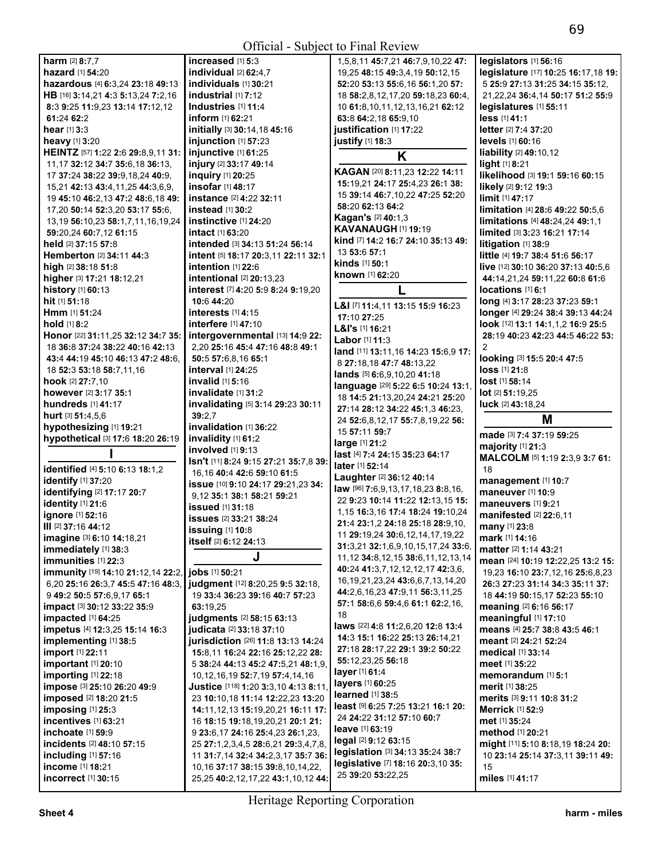| <b>harm</b> [2] 8:7,7                             | increas               |
|---------------------------------------------------|-----------------------|
| <b>hazard</b> [1] <b>54:20</b>                    | individu              |
| hazardous [4] 6:3,24 23:18 49:13                  | individu              |
| HB [16] 3:14,21 4:3 5:13,24 7:2,16                | industri              |
| 8:3 9:25 11:9,23 13:14 17:12,12                   | Industri              |
| 61:24 62:2                                        | inform [ˈ             |
| <b>hear</b> [1] <b>3:</b> 3                       | initially             |
| heavy [1] 3:20                                    | injunctio             |
| HEINTZ [57] 1:22 2:6 29:8,9,11 31:                | injunctiv             |
| 11, 17 32: 12 34: 7 35: 6, 18 36: 13,             | injury <sup>[2]</sup> |
| 17 37:24 38:22 39:9,18,24 40:9,                   | inquiry l             |
| 15,21 42:13 43:4,11,25 44:3,6,9,                  | insofar ∣             |
| 19 45:10 46:2,13 47:2 48:6,18 49:                 | instance              |
| 17,20 50:14 52:3,20 53:17 55:6,                   | instead               |
| 13, 19 56: 10, 23 58: 1, 7, 11, 16, 19, 24        | instincti             |
| 59:20,24 60:7,12 61:15                            | intact [1]            |
| held [2] 37:15 57:8                               | intende               |
| Hemberton [2] 34:11 44:3                          | intent [5]            |
| <b>high</b> [2] <b>38:18 51:8</b>                 | intentio              |
| higher [3] 17:21 18:12,21                         | intentio              |
| history [1] 60:13                                 | interest              |
| hit [1] 51:18                                     | 10:6 44:              |
| <b>Hmm</b> [1] 51:24                              | interest:             |
| <b>hold</b> [1] <b>8:2</b>                        | interfere             |
| Honor [22] 31:11,25 32:12 34:7 35:                | intergov              |
| 18 36:8 37:24 38:22 40:16 42:13                   | 2,20 25:              |
| 43:4 44:19 45:10 46:13 47:2 48:6.                 | 50:5 57:              |
| 18 52:3 53:18 58:7,11,16                          | interval              |
| hook [2] 27:7,10                                  | invalid [             |
| however [2] 3:17 35:1                             | invalida              |
| hundreds [1] 41:17                                | invalida              |
|                                                   |                       |
| hurt [3] 51:4,5,6                                 | 39:2,7                |
| hypothesizing [1] 19:21                           | invalida              |
| hypothetical [3] 17:6 18:20 26:19                 | invalidit             |
| ı                                                 | involved              |
| identified [4] 5:10 6:13 18:1.2                   | Isn't [11]            |
| identify [1] 37:20                                | 16,1640               |
|                                                   | issue [10             |
| identifying [2] 17:17 20:7<br>identity [1] 21:6   | $9,1235$ :            |
| ignore [1] 52:16                                  | issued [              |
| III [2] 37:16 44:12                               | issues <b>[</b>       |
|                                                   | issuing               |
| imagine [3] 6:10 14:18,21<br>immediately [1] 38:3 | itself <sup>[2]</sup> |
| immunities [1] 22:3                               |                       |
| immunity [19] 14:10 21:12,14 22:2,                | jobs [1] 5            |
| 6,20 25:16 26:3,7 45:5 47:16 48:3,                | judgmer               |
| 9 49:2 50:5 57:6,9,17 65:1                        | 19 33:4               |
| impact [3] 30:12 33:22 35:9                       | 63:19,25              |
| impacted [1] 64:25                                | iudame                |
| impetus [4] 12:3,25 15:14 16:3                    | iudicata              |
| implementing [1] 38:5                             | jurisdict             |
| import [1] 22:11                                  | 15:8,11               |
| <b>important</b> [1] <b>20:1</b> 0                | ، 38:24 5             |
| importing [1] 22:18                               | 10,12,16              |
| impose [3] 25:10 26:20 49:9                       | <b>Justice</b>        |
| imposed [2] 18:20 21:5                            | 23 10:10              |
| imposing [1] 25:3                                 | 14:11,12              |
| incentives [1] 63:21                              | 16 <b>18:</b> 15      |
| inchoate [1] 59:9                                 | 923:6,1               |
| incidents [2] 48:10 57:15                         | 25 27:1,              |
| including [1] 57:16<br>income [1] 18:21           | 1131:7,<br>10,1637    |

**invalidation** [1] **36:**22 **invalidity** [1] **61:**2 **involved** [1] **9:**13 **Isn't** [11] **8:**24 **9:**15 **27:**21 **35:**7,8 **39:**  16,16 **40:**4 **42:**6 **59:**10 **61:**5 **issue** [10] **9:**10 **24:**17 **29:**21,23 **34:**  9,12 **35:**1 **38:**1 **58:**21 **59:**21 **issued** [1] **31:**18 **issues** [2] **33:**21 **38:**24 **issuing** [1] **10:**8 **itself** [2] **6:**12 **24:**13 **income** [1] **18:**21 10,16 **37:**17 **38:**15 **39:**8,10,14,22, **legislative** [7] **18:**16 **20:**3,10 **35:** <sup>15</sup> **incorrect** [1] **30:**15 25,25 **40:**2,12,17,22 **43:**1,10,12 **44:** 25 **39:**20 **53:**22,25 **miles** [1] **41:**<sup>17</sup>

```
harm [2] 8:7,7 increased [1] 5:3 1,5,8,11 45:7,21 46:7,9,10,22 47: legislators [1] 56:16 
                                                       hazard [1] 54:20 individual [2] 62:4,7 19,25 48:15 49:3,4,19 50:12,15 legislature [17] 10:25 16:17,18 19: 
                                                       als [1] 30:21 52:20 53:13 55:6,16 56:1,20 57: 5 25:9 27:13 31:25 34:15 35:12,<br>al [1] 7:12 18:2.8.12.17.20 59:18.23 60:4. 21.22.24 36:4.14 50:17 51:2 55:9
                                                       H 1 16 58:2,8,12,17,20 59:18,23 60:4, 21,22,24 36:4,14 50:1<br>10 61:8,10,11,12,13,16,21 62:12 direct in 55:11
                                                       8:3 9:25 11:9,23 13:14 17:12,12 Industries [1] 11:4 10 61:8,10,11,12,13,16,21 62:12 legislatures [1] 55:11 
                                                                                          63:8 64:2,18 65:9,10
                                                       hear [1] 3:3 initially [3] 30:14,18 45:16 justification [1] 17:22 letter [2] 7:4 37:20 
                                                       heavy [1] 3:20 injunction [1] 57:23 justify [1] 18:3 levels [1] 60:16 
HEINTZ [57] 1:22 2:6 29:8,9,11 31: injunctive [1] 61:25K liability [2] 49:10,12 
                                                        11,17 <b>49:14<br>
11,20:25<br>
11,20:25<br>
11,20:25<br>
11,20:25<br>
11,20:25<br>
11,20:25<br>
11,20:25<br>
11,20:25
                                                       1737:24 38:22 39:9,18,24 40:9, inquiry [1] 20:25 KAGAN [20] 8:11,23 12:22 14:11 likelihood [3] 19:1 59:16 60:15
                                                       15,21 42:13 43:4,11,25 44:3,6,9, insofar [1] 48:17 15:19,21 24:17 25:4,23 26:138: likely [2] 9:12 19:3
                                                       1945:10 46:2,13 47:2 48:6,18 49: instance [2] 4:22 32:11 15 39:14 46:7,10,22 47:25 52:20 limit [1] 47:17
                                                       17,20 50:14 52:3,20 53:17 55:6, instead [1] 30:2 58:20 62:13 64:2 limitation [4] 28:6 49:22 50:5,6 
                                                       13,19 56:10,23 58:1,7,11,16,19,24 instinctive [1] 24:20 Kagan's [2] 40:1,3 limitations [4] 48:24,24 49:1,1 
                                                       53:20,163:20,kAVANAUGH [1] 19:19 c inted [3] <b>3:23 16:21 17:14<br>d [3] 34:13 51:24 56:14 kind [7] 14:2 16:7 24:10 35:13 49: iiiiiaation [1] 38:9
                                                        i \begin{bmatrix} 3 & 34:13 & 51:24 & 56:14 \end{bmatrix} kind [7] 14:2 16:7 24:10 35:13 49: 18:17 20:3,11 22:11 32:1 13 53:6 57:1
                                                                                          Hemberton [2] 34:11 44:3 intent [5] 18:17 20:3,11 22:11 32:1 13 53:6 57:1 little [4] 19:7 38:4 51:6 56:17
                                                       high [2] 38:18 51:8 intention [1] 22:6 kinds [1] 50:1 live [12] 30:10 36:20 37:13 40:5,6 
                                                       higher [3] 17:21 18:12,21 intentional [2] 20:13,23 known [1] 62:20 44:14,21,24 59:11,22 60:8 61:6
                                                       history [1] 60:13 interest [7] 4:20 5:9 8:24 9:19,20 L locations [1] 6:1
                                                       hit [1] 51:18 10:6 44:20 L&I [7] 11:4,11 13:15 15:9 16:23 long [4] 3:17 28:23 37:23 59:1
                                                       Hmm [1] 51:24 interests [1] 4:15 17:10 27:25 longer [4] 29:24 38:4 39:13 44:24
                                                       hold [1] 8:2 interfere [1] 47:10 L&I's [1] 16:21 look [12] 13:1 14:1,1,2 16:9 25:5
                                                       Honor [22] 31:11,25 32:12 34:7 35: intergovernmental [13] 14:922: Labor [1] 11:3 28:19 40:23 42:23 44:5 46:22 53: 
                                                       1836:8 37:24 38:22 40:16 42:13 2,20 25:16 45:4 47:16 48:8 49:1 land [11] 13:11,16 14:23 15:6,9 17: 2
                                                       43:4 44:19 45:10 46:13 47:2 48:6, 50:5 57:6,8,16 65:1 8 27:18,18 47:7 48:13,22 looking [3] 15:5 20:4 47:5
                                                       1852:3 53:18 58:7,11,16 interval [1] 24:25 lands [5] 6:6,9,10,20 41:18 loss [1] 21:8
                                                       hook [2] 27:7,10 invalid [1] 5:16 language [29] 5:22 6:5 10:24 13:1, lost [1] 58:14
                                                       however 18:12<br>
however 18:14 29:23 30:11 18:14:5 21:13,20,24 24:21 25:20 <b>lot \begin{bmatrix} 18 & 14:5 \\ 27 \cdot 14 & 28 \cdot 12 \end{bmatrix} and 19:12 18:18,24
                                                                                          hundreds [1] 41:17 invalidating [5] 3:14 29:23 30:11 27:14 28:12 34:22 45:1,3 46:23, luck [2] 43:18,24 
hurt [3] 51:4,5,6 39:2,7 24 52:6,8,12,17 55:7,8,19,22 56: M hypothesizing [1] 19:21
                                                                                          15 57:11 59:7 
                                                                                         large [1] 21:2 
                                                                                         last [4] 7:4 24:15 35:23 64:17 
                                                                                         later [1] 52:14 
                                                                                         Laughter [2] 36:12 40:14 
                                                                                         law [96] 7:6,9,13,17,18,23 8:8,16, 
                                                                                          22 9:23 10:14 11:22 12:13,15 15: 
                                                                                          1,15 16:3,16 17:4 18:24 19:10,24 
                                                                                          21:4 23:1,2 24:18 25:18 28:9,10, 
                                                                                          11 29:19,24 30:6,12,14,17,19,22 
                                                                                          31:3,21 32:1,6,9,10,15,17,24 33:6, 
                                                                                                                                      made [3] 7:4 37:19 59:25 
                                                                                                                                      majority [1] 21:3 
                                                                                                                                      MALCOLM [5] 1:19 2:3,9 3:7 61: 
                                                                                                                                       18 
                                                                                                                                      management [1] 10:7 
                                                                                                                                      maneuver [1] 10:9 
                                                                                                                                      maneuvers [1] 9:21 
                                                                                                                                      manifested [2] 22:6,11 
                                                                                                                                      many [1] 23:8 
                                                                                                                                      mark [1] 14:16 
                                                                                                                                      matter [2] 1:14 43:21 
                                                       \frac{1}{10:21} 11,12 34:8,12,15 38:6,11,12,13,14 mean [24] 10:19 12:22,25 13:2 15:<br>40:24 <b>41:3,7,12,12,12,17 42:3,6, \begin{bmatrix} 19.23 & 16:10 & 23:7.12 & 16 \\ 19.23 & 16:10 & 23:7.12 & 16 \\ 23:7 & 12.16 & 25:6 & 8.23 \end{bimmunity [19] 14:10 21:12,14 22:2, jobs [1] 50:21 40:24 41:3,7,12,12,12,17 42:3,6, 19,23 16:10 23:7,12,16 25:6,8,23 
                                                       nt [12] 8:20,25 9:5 32:18, \begin{array}{|c|c|c|c|c|c|}\n16.19.19.27.23.24 & 43.66,6,7.13.14.20 & 26.3 & 27.23 & 31.14 & 34.3 & 35.11 & 37.61 & 37.61 & 37.61 & 37.61 & 37.61 & 37.61 & 37.61 & 37.61 & 37.61 & 37.61 & 37.61 & 37.61 & 37.61 & 37.61 & 37.36:23 39:16 40:7 57:23  | 44:2,6,16,23 47:9,11 56:3,11,25 | <sub>18</sub> 44:19 50:15,17 52:23 55:10
                                                                                          impact [3] 30:12 33:22 35:9 63:19,25 57:1 58:6,6 59:4,6 61:1 62:2,16, meaning [2] 6:16 56:17
                                                       impacted [1] 64:25 judgments [2] 58:15 63:13 18 meaningful [1] 17:10
                                                        impetus [4] 12:3,25 15:14 16:3 judicata [2] 33:18 37:10 laws [22] 4:8 11:2,6,20 12:8 13:4 means [4] 25:7 38:8 43:5 46:1
                                                       implementing [1] 38:5 jurisdiction [26] 11:8 13:13 14:24 14:3 15:1 16:22 25:13 26:14,21 meant [2] 24:21 52:24
                                                       import [1] 22:11 15:8,11 16:24 22:16 25:12,22 28: 27:18 28:17,22 29:1 39:2 50:22 medical [1] 33:14
                                                       important [1] 20:10 5 38:24 44:13 45:2 47:5,21 48:1,9, 55:12,23,25 56:18 meet [1] 35:22
                                                        importing [1] 22:18 10,12,16,19 52:7,19 57:4,14,16 layer [1] 61:4 memorandum [1] 5:1
                                                       impose [3] 25:10 26:20 49:9 Justice [118] 1:20 3:3,10 4:13 8:11, layers [1] 60:25 merit [1] 38:25
                                                       imposed [2] 18:20 21:5 23 10:10,18 11:14 12:22,23 13:20 learned [1] 38:5 merits [3] 9:11 10:8 31:2
                                                                                         ieast [9] 6:25 7:25 13:21 16:1 20:<br>24 24:22 31:12 57:10 60:7
                                                        incentives [1] 63:21 16 18:15 19:18,19,20,21 20:1 21: 24 24:22 31:12 57:10 60:7 met [1] 35:24
                                                       inchoate [1] 59:9 9 23:6,17 24:16 25:4,23 26:1,23, leave [1] 63:19 method [1] 20:21
                                                       incidents [2] 48:10 57:15 25 27:1,2,3,4,5 28:6,21 29:3,4,7,8, legal [2] 9:12 63:15 might [11] 5:10 8:18,19 18:24 20: 
                                                       14 32:4 34:2.3.17 35:7 36: Pegislation [3] 34:13 35:24 38: /   1 10 23:14 25:14 37:3.11 39:11 49:
```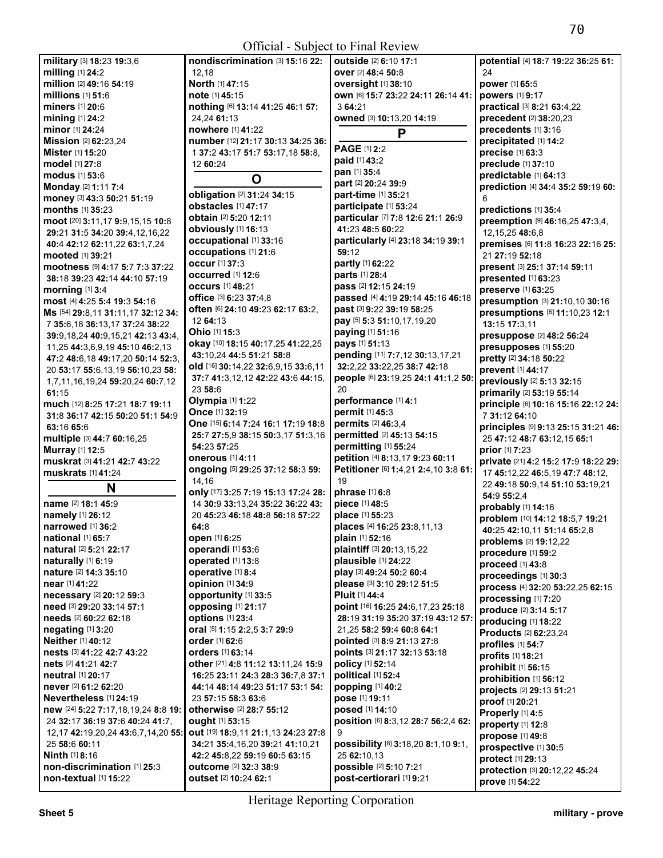| military [3] 18:23 19:3,6                                  | nondiscrimination [3] 15:16 22:     | <b>outside</b> [2] 6:10 17:1               | potential [4] 18:7 19:22 36:25 61:               |
|------------------------------------------------------------|-------------------------------------|--------------------------------------------|--------------------------------------------------|
| milling [1] 24:2                                           | 12,18                               | over [2] 48:4 50:8                         | 24                                               |
| million [2] 49:16 54:19                                    | North [1] 47:15                     | oversight [1] 38:10                        | power [1] 65:5                                   |
| millions $[1]$ 51:6                                        | note [1] 45:15                      | own [6] 15:7 23:22 24:11 26:14 41:         | powers [1] 9:17                                  |
| <b>miners</b> [1] 20:6                                     | nothing [6] 13:14 41:25 46:1 57:    | 3 64:21                                    | practical [3] 8:21 63:4,22                       |
| mining [1] 24:2                                            | 24,24 61:13                         | owned [3] 10:13,20 14:19                   | precedent [2] 38:20,23                           |
| minor [1] 24:24                                            | nowhere [1] 41:22                   |                                            | precedents [1] 3:16                              |
| Mission [2] 62:23,24                                       |                                     | P                                          |                                                  |
|                                                            | number [12] 21:17 30:13 34:25 36:   | PAGE [1] 2:2                               | precipitated [1] 14:2                            |
| Mister [1] 15:20                                           | 1 37:2 43:17 51:7 53:17,18 58:8,    | paid [1] 43:2                              | precise [1] 63:3                                 |
| model [1] 27:8                                             | 12 60:24                            | pan [1] 35:4                               | preclude [1] 37:10                               |
| <b>modus</b> [1] 53:6                                      | O                                   | part [2] 20:24 39:9                        | predictable [1] 64:13                            |
| Monday [2] 1:11 7:4                                        | obligation [2] 31:24 34:15          | part-time [1] 35:21                        | prediction [4] 34:4 35:2 59:19 60:               |
| money [3] 43:3 50:21 51:19                                 | obstacles [1] 47:17                 | participate [1] 53:24                      | 6                                                |
| <b>months</b> $[1]$ 35:23                                  | obtain [2] 5:20 12:11               | particular [7] 7:8 12:6 21:1 26:9          | predictions [1] 35:4                             |
| moot [20] 3:11,17 9:9,15,15 10:8                           | obviously [1] 16:13                 | 41:23 48:5 60:22                           | preemption [9] 46:16,25 47:3,4,                  |
| 29:21 31:5 34:20 39:4,12,16,22                             | occupational [1] 33:16              |                                            | 12, 15, 25 48: 6, 8                              |
| 40:4 42:12 62:11,22 63:1,7,24                              |                                     | particularly [4] 23:18 34:19 39:1<br>59:12 | premises [6] 11:8 16:23 22:16 25:                |
| <b>mooted</b> [1] <b>39:</b> 21                            | <b>occupations</b> [1] 21:6         |                                            | 21 27:19 52:18                                   |
| mootness [9] 4:17 5:7 7:3 37:22                            | <b>occur</b> [1] 37:3               | partly [1] 62:22                           | present [3] 25:1 37:14 59:11                     |
| 38:18 39:23 42:14 44:10 57:19                              | occurred [1] 12:6                   | parts [1] 28:4                             | presented [1] 63:23                              |
| morning $[1]$ 3:4                                          | <b>occurs</b> [1] 48:21             | pass [2] 12:15 24:19                       | preserve [1] 63:25                               |
| most [4] 4:25 5:4 19:3 54:16                               | office [3] 6:23 37:4,8              | passed [4] 4:19 29:14 45:16 46:18          | presumption [3] 21:10,10 30:16                   |
| Ms [54] 29:8,11 31:11,17 32:12 34:                         | often [6] 24:10 49:23 62:17 63:2,   | past [3] 9:22 39:19 58:25                  | presumptions [6] 11:10,23 12:1                   |
| 7 35:6,18 36:13,17 37:24 38:22                             | 12 64:13                            | pay [5] 5:3 51:10,17,19,20                 | 13:15 17:3,11                                    |
| 39:9,18,24 40:9,15,21 42:13 43:4,                          | <b>Ohio</b> [1] 15:3                | paying [1] 51:16                           | presuppose [2] 48:2 56:24                        |
| 11,25 44:3,6,9,19 45:10 46:2,13                            | okay [10] 18:15 40:17,25 41:22,25   | pays [1] 51:13                             | presupposes [1] 55:20                            |
| 47:2 48:6,18 49:17,20 50:14 52:3,                          | 43:10.24 44:5 51:21 58:8            | pending [11] 7:7,12 30:13,17,21            | pretty [2] 34:18 50:22                           |
| 20 53:17 55:6,13,19 56:10,23 58:                           | old [16] 30:14,22 32:6,9,15 33:6,11 | 32:2,22 33:22,25 38:7 42:18                | prevent [1] 44:17                                |
| 1,7,11,16,19,24 59:20,24 60:7,12                           | 37:7 41:3,12,12 42:22 43:6 44:15,   | people [6] 23:19,25 24:1 41:1,2 50:        | previously [2] 5:13 32:15                        |
| 61:15                                                      | 23 58:6                             | 20                                         | primarily [2] 53:19 55:14                        |
| much [12] 8:25 17:21 18:7 19:11                            | <b>Olympia</b> [1] 1:22             | performance [1] 4:1                        | principle [6] 10:16 15:16 22:12 24:              |
| 31:8 36:17 42:15 50:20 51:1 54:9                           | Once [1] 32:19                      | permit [1] 45:3                            | 7 31:12 64:10                                    |
| 63:16 65:6                                                 | One [15] 6:14 7:24 16:1 17:19 18:8  | permits [2] 46:3,4                         | principles [9] 9:13 25:15 31:21 46:              |
|                                                            | 25:7 27:5,9 38:15 50:3,17 51:3,16   | permitted [2] 45:13 54:15                  |                                                  |
| multiple [3] 44:7 60:16,25                                 | 54:23 57:25                         | permitting [1] 55:24                       | 25 47:12 48:7 63:12,15 65:1<br>prior [1] 7:23    |
| Murray [1] 12:5                                            | <b>onerous</b> [1] 4:11             | petition [4] 8:13,17 9:23 60:11            |                                                  |
| muskrat [3] 41:21 42:7 43:22                               | ongoing [5] 29:25 37:12 58:3 59:    | Petitioner [6] 1:4,21 2:4,10 3:8 61:       | private [21] 4:2 15:2 17:9 18:22 29:             |
| muskrats [1] 41:24                                         | 14,16                               | 19                                         | 17 45:12,22 46:5,19 47:7 48:12,                  |
| N                                                          | only [17] 3:25 7:19 15:13 17:24 28: | phrase [1] 6:8                             | 22 49:18 50:9,14 51:10 53:19,21                  |
| name [2] 18:1 45:9                                         | 14 30:9 33:13,24 35:22 36:22 43:    | piece [1] 48:5                             | 54:9 55:2,4                                      |
| namely [1] 26:12                                           | 20 45:23 46:18 48:8 56:18 57:22     | place [1] 55:23                            | probably [1] 14:16                               |
| narrowed [1] 36:2                                          | 64:8                                | places [4] 16:25 23:8,11,13                | problem [10] 14:12 18:5,7 19:21                  |
| <b>national</b> [1] 65:7                                   | open [1] 6:25                       | plain [1] 52:16                            | 40:25 42:10,11 51:14 65:2,8                      |
|                                                            | operandi [1] 53:6                   | plaintiff [3] 20:13,15,22                  | <b>problems</b> [2] <b>19:</b> 12,22             |
| <b>natural</b> [2] <b>5:21 22:17</b><br>naturally [1] 6:19 |                                     |                                            |                                                  |
|                                                            |                                     |                                            | procedure [1] 59:2                               |
|                                                            | operated [1] 13:8                   | plausible [1] 24:22                        | proceed [1] 43:8                                 |
| nature [2] 14:3 35:10                                      | operative [1] 8:4                   | play [3] 49:24 50:2 60:4                   | proceedings [1] 30:3                             |
| near [1] 41:22                                             | opinion [1] 34:9                    | please [3] 3:10 29:12 51:5                 | process [4] 32:20 53:22,25 62:15                 |
| necessary [2] 20:12 59:3                                   | opportunity [1] 33:5                | <b>Pluit</b> [1] 44:4                      | processing [1] 7:20                              |
| need [3] 29:20 33:14 57:1                                  | opposing [1] 21:17                  | point [16] 16:25 24:6,17,23 25:18          | produce [2] 3:14 5:17                            |
| needs [2] 60:22 62:18                                      | options [1] 23:4                    | 28:19 31:19 35:20 37:19 43:12 57:          | producing [1] 18:22                              |
| negating $[1]$ 3:20                                        | oral [5] 1:15 2:2,5 3:7 29:9        | 21,25 58:2 59:4 60:8 64:1                  | <b>Products [2] 62:23,24</b>                     |
| Neither [1] 40:12                                          | <b>order</b> [1] 62:6               | pointed [3] 8:9 21:13 27:8                 | profiles [1] 54:7                                |
| nests [3] 41:22 42:7 43:22                                 | <b>orders</b> [1] 63:14             | points [3] 21:17 32:13 53:18               | profits [1] 18:21                                |
| nets [2] 41:21 42:7                                        | other [21] 4:8 11:12 13:11,24 15:9  | policy [1] 52:14                           | prohibit [1] 56:15                               |
| <b>neutral</b> [1] 20:17                                   | 16:25 23:11 24:3 28:3 36:7,8 37:1   | political [1] 52:4                         |                                                  |
| never [2] 61:2 62:20                                       | 44:14 48:14 49:23 51:17 53:1 54:    | popping [1] 40:2                           | prohibition [1] 56:12                            |
| <b>Nevertheless</b> [1] 24:19                              | 23 57:15 58:3 63:6                  | pose [1] 19:11                             | projects [2] 29:13 51:21                         |
| new [24] 5:22 7:17,18,19,24 8:8 19:                        | otherwise [2] 28:7 55:12            | posed [1] 14:10                            | proof [1] 20:21                                  |
| 24 32:17 36:19 37:6 40:24 41:7,                            | <b>ought</b> [1] 53:15              | position [6] 8:3,12 28:7 56:2,4 62:        | Properly [1] 4:5                                 |
| 12, 17 42: 19, 20, 24 43: 6, 7, 14, 20 55:                 | out [19] 18:9,11 21:1,13 24:23 27:8 | 9                                          | property [1] 12:8                                |
| 25 58:6 60:11                                              | 34:21 35:4,16,20 39:21 41:10,21     | possibility [8] 3:18,20 8:1,10 9:1,        | propose [1] 49:8                                 |
| <b>Ninth [1] 8:16</b>                                      | 42:2 45:8,22 59:19 60:5 63:15       | 25 62:10,13                                | prospective [1] 30:5                             |
| non-discrimination [1] 25:3                                | outcome [2] 32:3 38:9               | possible [2] 5:10 7:21                     | protect [1] 29:13                                |
| non-textual [1] 15:22                                      | outset [2] 10:24 62:1               | post-certiorari [1] 9:21                   | protection [3] 20:12,22 45:24<br>prove [1] 54:22 |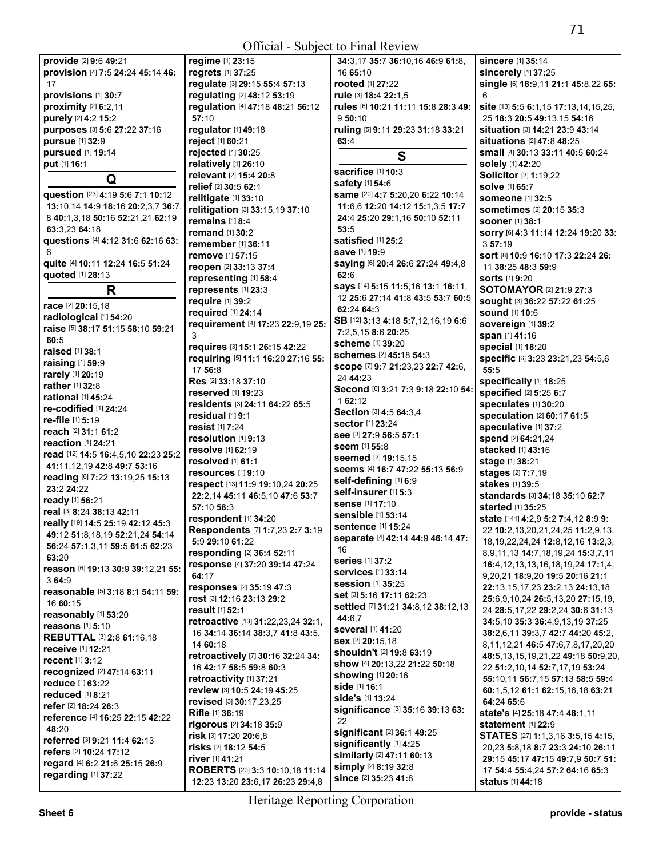| provide [2] 9:6 49:21                       | regime [1] 23:15                                      | 34:3,17 35:7 36:10,16 46:9 61:8,             | sincere [1] 35:14                                                     |
|---------------------------------------------|-------------------------------------------------------|----------------------------------------------|-----------------------------------------------------------------------|
| provision [4] 7:5 24:24 45:14 46:           | regrets [1] 37:25                                     | 16 65:10                                     | sincerely [1] 37:25                                                   |
| 17                                          | regulate [3] 29:15 55:4 57:13                         | rooted [1] 27:22                             | single [6] 18:9,11 21:1 45:8,22 65:                                   |
| provisions [1] 30:7                         | regulating [2] 48:12 53:19                            | rule [3] 18:4 22:1,5                         | 6                                                                     |
| proximity [2] 6:2,11                        | regulation [4] 47:18 48:21 56:12                      | rules [6] 10:21 11:11 15:8 28:3 49:          | site [13] 5:5 6:1,15 17:13,14,15,25,                                  |
| purely [2] 4:2 15:2                         | 57:10                                                 | 950:10                                       | 25 18:3 20:5 49:13,15 54:16                                           |
| purposes [3] 5:6 27:22 37:16                | regulator [1] 49:18                                   | ruling [5] 9:11 29:23 31:18 33:21            | situation [3] 14:21 23:9 43:14                                        |
| pursue [1] 32:9                             | reject [1] 60:21                                      | 63:4                                         | situations [2] 47:8 48:25                                             |
| pursued [1] 19:14                           | rejected [1] 30:25                                    | S                                            | small [4] 30:13 33:11 40:5 60:24                                      |
| put [1] 16:1                                | relatively [1] 26:10                                  | sacrifice [1] 10:3                           | solely [1] 42:20                                                      |
| Q                                           | relevant [2] 15:4 20:8                                | safety [1] 54:6                              | <b>Solicitor</b> [2] 1:19,22                                          |
| question [23] 4:19 5:6 7:1 10:12            | relief [2] 30:5 62:1                                  | same [20] 4:7 5:20,20 6:22 10:14             | <b>solve</b> [1] 65:7                                                 |
| 13:10,14 14:9 18:16 20:2,3,7 36:7           | relitigate [1] 33:10                                  | 11:6,6 12:20 14:12 15:1,3,5 17:7             | <b>someone</b> [1] 32:5                                               |
| 8 40:1,3,18 50:16 52:21,21 62:19            | relitigation [3] 33:15,19 37:10                       | 24:4 25:20 29:1,16 50:10 52:11               | sometimes [2] 20:15 35:3                                              |
| 63:3,23 64:18                               | remains [1] 8:4                                       | 53:5                                         | <b>sooner</b> [1] 38:1                                                |
| questions [4] 4:12 31:6 62:16 63:           | remand [1] 30:2                                       | satisfied [1] 25:2                           | SOrry [6] 4:3 11:14 12:24 19:20 33:                                   |
|                                             | remember [1] 36:11                                    | save [1] 19:9                                | 357:19                                                                |
| quite [4] 10:11 12:24 16:5 51:24            | remove [1] 57:15<br>reopen [2] 33:13 37:4             | saying [6] 20:4 26:6 27:24 49:4,8            | sort [8] 10:9 16:10 17:3 22:24 26:                                    |
| quoted [1] 28:13                            |                                                       | 62:6                                         | 11 38:25 48:3 59:9<br><b>sorts</b> [1] 9:20                           |
| R                                           | representing [1] 58:4<br>represents [1] 23:3          | says [14] 5:15 11:5,16 13:1 16:11,           | <b>SOTOMAYOR [2] 21:9 27:3</b>                                        |
|                                             | require [1] 39:2                                      | 12 25:6 27:14 41:8 43:5 53:7 60:5            | sought [3] 36:22 57:22 61:25                                          |
| race [2] 20:15,18                           | required [1] 24:14                                    | 62:24 64:3                                   | <b>sound</b> [1] 10:6                                                 |
| radiological [1] 54:20                      | requirement [4] 17:23 22:9,19 25:                     | SB [12] 3:13 4:18 5:7,12,16,19 6:6           | Sovereign [1] 39:2                                                    |
| raise [5] 38:17 51:15 58:10 59:21           | 3                                                     | 7:2,5,15 8:6 20:25                           | span [1] 41:16                                                        |
| 60:5                                        | requires [3] 15:1 26:15 42:22                         | <b>scheme</b> [1] 39:20                      | special [1] 18:20                                                     |
| raised [1] 38:1                             | requiring [5] 11:1 16:20 27:16 55:                    | schemes [2] 45:18 54:3                       | specific [6] 3:23 23:21,23 54:5,6                                     |
| raising [1] 59:9                            | 17 56:8                                               | scope [7] 9:7 21:23,23 22:7 42:6,            | 55:5                                                                  |
| rarely [1] 20:19                            | Res [2] 33:18 37:10                                   | 24 44:23                                     | specifically [1] 18:25                                                |
| rather [1] 32:8                             | <b>reserved</b> [1] <b>19:23</b>                      | Second [6] 3:21 7:3 9:18 22:10 54:           | specified [2] 5:25 6:7                                                |
| rational [1] 45:24<br>re-codified [1] 24:24 | residents [3] 24:11 64:22 65:5                        | 162:12                                       | speculates [1] 30:20                                                  |
| re-file [1] 5:19                            | residual $[1]$ 9:1                                    | Section [3] 4:5 64:3,4                       | <b>speculation [2] 60:17 61:5</b>                                     |
| reach [2] 31:1 61:2                         | resist [1] 7:24                                       | <b>sector</b> [1] 23:24                      | speculative [1] 37:2                                                  |
| reaction $[1]$ 24:21                        | resolution [1] 9:13                                   | See [3] 27:9 56:5 57:1                       | spend [2] 64:21,24                                                    |
| read [12] 14:5 16:4,5,10 22:23 25:2         | <b>resolve</b> [1] 62:19                              | <b>seem</b> [1] 55:8                         | stacked [1] 43:16                                                     |
| 41:11,12,19 42:8 49:7 53:16                 | resolved $[1]$ 61:1                                   | seemed [2] 19:15,15                          | stage [1] 38:21                                                       |
| reading [6] 7:22 13:19,25 15:13             | resources [1] 9:10                                    | seems [4] 16:7 47:22 55:13 56:9              | stages [2] 7:7,19                                                     |
| 23:2 24:22                                  | respect [13] 11:9 19:10,24 20:25                      | self-defining [1] 6:9                        | stakes [1] 39:5                                                       |
| ready [1] 56:21                             | 22:2,14 45:11 46:5,10 47:6 53:7                       | self-insurer [1] 5:3                         | standards [3] 34:18 35:10 62:7                                        |
| real [3] 8:24 38:13 42:11                   | 57:10 58:3                                            | sense [1] 17:10<br><b>sensible</b> [1] 53:14 | <b>started</b> [1] 35:25                                              |
| really [19] 14:5 25:19 42:12 45:3           | respondent [1] 34:20                                  | sentence [1] 15:24                           | state [141] 4:2,9 5:2 7:4,12 8:9 9:                                   |
| 49:12 51:8,18,19 52:21,24 54:14             | Respondents [7] 1:7,23 2:7 3:19                       | separate [4] 42:14 44:9 46:14 47:            | 22 10:2,13,20,21,24,25 11:2,9,13,                                     |
| 56:24 57:1,3,11 59:5 61:5 62:23             | 5:9 29:10 61:22                                       | 16                                           | 18, 19, 22, 24, 24 12: 8, 12, 16 13: 2, 3,                            |
| 63:20                                       | responding [2] 36:4 52:11                             | <b>series</b> [1] 37:2                       | 8, 9, 11, 13 14: 7, 18, 19, 24 15: 3, 7, 11                           |
| reason [6] 19:13 30:9 39:12,21 55:          | response [4] 37:20 39:14 47:24                        | <b>services</b> [1] 33:14                    | 16:4, 12, 13, 13, 16, 18, 19, 24 17:1, 4,                             |
| 3 64:9                                      | 64:17                                                 | <b>session [1] 35:25</b>                     | 9,20,21 18:9,20 19:5 20:16 21:1                                       |
| reasonable [5] 3:18 8:1 54:11 59:           | responses [2] 35:19 47:3<br>rest [3] 12:16 23:13 29:2 | set [3] 5:16 17:11 62:23                     | 22:13, 15, 17, 23 23: 2, 13 24: 13, 18                                |
| 16 60:15                                    | result [1] 52:1                                       | settled [7] 31:21 34:8,12 38:12,13           | 25:6,9,10,24 26:5,13,20 27:15,19,<br>24 28:5,17,22 29:2,24 30:6 31:13 |
| reasonably [1] 53:20                        | retroactive [13] 31:22,23,24 32:1,                    | 44:6.7                                       | 34:5, 10 35:3 36:4, 9, 13, 19 37:25                                   |
| reasons [1] 5:10                            | 16 34:14 36:14 38:3.7 41:8 43:5.                      | several [1] 41:20                            | 38:2.6.11 39:3.7 42:7 44:20 45:2.                                     |
| <b>REBUTTAL [3] 2:8 61:16,18</b>            | 14 60:18                                              | <b>sex</b> [2] 20:15.18                      | 8, 11, 12, 21 46: 5 47: 6, 7, 8, 17, 20, 20                           |
| <b>receive</b> [1] 12:21                    | retroactively [7] 30:16 32:24 34:                     | shouldn't [2] 19:8 63:19                     | 48:5,13,15,19,21,22 49:18 50:9,20,                                    |
| <b>recent</b> [1] 3:12                      | 16 42:17 58:5 59:8 60:3                               | show [4] 20:13,22 21:22 50:18                | 22 51:2,10,14 52:7,17,19 53:24                                        |
| recognized [2] 47:14 63:11                  | retroactivity [1] 37:21                               | showing [1] 20:16                            | 55:10.11 56:7.15 57:13 58:5 59:4                                      |
| reduce [1] 63:22                            | review [3] 10:5 24:19 45:25                           | side [1] 16:1                                | 60:1,5,12 61:1 62:15,16,18 63:21                                      |
| reduced $[1]$ 8:21                          | revised [3] 30:17,23,25                               | side's [1] 13:24                             | 64:24 65:6                                                            |
| refer [2] 18:24 26:3                        | Rifle [1] 36:19                                       | significance [3] 35:16 39:13 63:             | state's [4] 25:18 47:4 48:1,11                                        |
| reference [4] 16:25 22:15 42:22<br>48:20    | rigorous [2] 34:18 35:9                               | 22                                           | statement [1] 22:9                                                    |
| referred [3] 9:21 11:4 62:13                | risk [3] 17:20 20:6,8                                 | significant [2] 36:1 49:25                   | <b>STATES</b> [27] <b>1:1,3,16 <b>3:5,15 4:15</b>,</b>                |
| refers [2] 10:24 17:12                      | risks [2] 18:12 54:5                                  | significantly [1] 4:25                       | 20,23 5:8,18 8:7 23:3 24:10 26:11                                     |
| regard [4] 6:2 21:6 25:15 26:9              | river [1] 41:21                                       | similarly [2] 47:11 60:13                    | 29:15 45:17 47:15 49:7,9 50:7 51:                                     |
| regarding [1] 37:22                         | ROBERTS [20] 3:3 10:10,18 11:14                       | simply [2] 8:19 32:8                         | 17 54:4 55:4,24 57:2 64:16 65:3                                       |
|                                             | 12:23 13:20 23:6,17 26:23 29:4,8                      | since [2] 35:23 41:8                         | status [1] 44:18                                                      |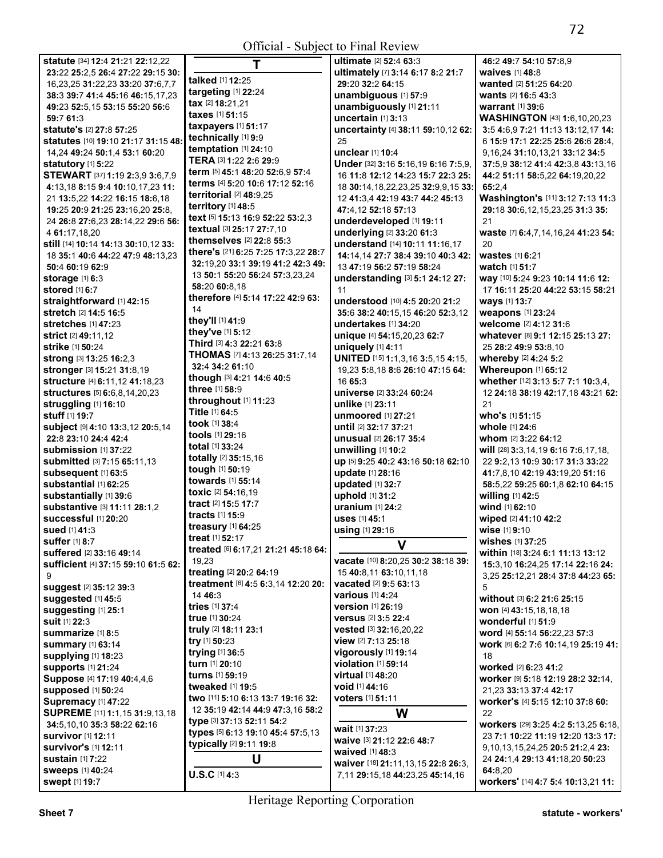Official - Subject to Final Review

| statute [34] 12:4 21:21 22:12,22             | T                                   | <b>ultimate</b> [2] <b>52:4 63:3</b>      | 46:2 49:7 54:10 57:8,9       |
|----------------------------------------------|-------------------------------------|-------------------------------------------|------------------------------|
| 23:22 25:2,5 26:4 27:22 29:15 30:            |                                     | ultimately [7] 3:14 6:17 8:2 21:7         | waives [1] 48:8              |
| 16, 23, 25 31: 22, 23 33: 20 37: 6, 7, 7     | talked [1] 12:25                    | 29:20 32:2 64:15                          | wanted [2] 51:25 64:20       |
| 38:3 39:7 41:4 45:16 46:15,17,23             | targeting $[1]$ 22:24               | unambiguous [1] 57:9                      | wants [2] 16:5 43:3          |
| 49:23 52:5,15 53:15 55:20 56:6               | tax [2] 18:21,21                    | unambiguously [1] 21:11                   | <b>warrant</b> [1] 39:6      |
| 59:7 61:3                                    | taxes [1] 51:15                     | uncertain [1] 3:13                        | WASHINGTON [43] 1:6          |
| statute's [2] 27:8 57:25                     | taxpayers [1] 51:17                 | uncertainty [4] 38:11 59:10,12 62:        | 3:5 4:6,9 7:21 11:13 13      |
| statutes [10] 19:10 21:17 31:15 48:          | technically [1] 9:9                 | 25                                        | 6 15:9 17:1 22:25 25:6       |
| 14,24 49:24 50:1,4 53:1 60:20                | temptation [1] 24:10                | unclear [1] 10:4                          | 9, 16, 24 31: 10, 13, 21 33  |
| statutory [1] 5:22                           | TERA [3] 1:22 2:6 29:9              | Under [32] 3:16 5:16,19 6:16 7:5,9,       | 37:5.9 38:12 41:4 42:3.      |
| STEWART [37] 1:19 2:3,9 3:6,7,9              | term [5] 45:1 48:20 52:6,9 57:4     | 16 11:8 12:12 14:23 15:7 22:3 25:         | 44:2 51:11 58:5,22 64:       |
| 4:13,18 8:15 9:4 10:10,17,23 11:             | terms [4] 5:20 10:6 17:12 52:16     | 18 30:14, 18, 22, 23, 25 32: 9, 9, 15 33: | 65:2.4                       |
| 21 13:5,22 14:22 16:15 18:6,18               | territorial $[2]$ 48:9,25           | 12 41:3,4 42:19 43:7 44:2 45:13           | Washington's [11] 3:12       |
| 19:25 20:9 21:25 23:16.20 25:8.              | territory [1] 48:5                  | 47:4,12 52:18 57:13                       | 29:18 30:6,12,15,23,25       |
| 24 26:8 27:6,23 28:14,22 29:6 56:            | text [5] 15:13 16:9 52:22 53:2,3    | underdeveloped [1] 19:11                  | 21                           |
| 4 61:17,18,20                                | textual [3] 25:17 27:7,10           | underlying [2] 33:20 61:3                 | waste [7] 6:4,7,14,16,24     |
| still [14] 10:14 14:13 30:10,12 33:          | themselves [2] 22:8 55:3            | understand [14] 10:11 11:16,17            | 20                           |
| 18 35:1 40:6 44:22 47:9 48:13,23             | there's [21] 6:25 7:25 17:3,22 28:7 | 14:14,14 27:7 38:4 39:10 40:3 42:         | wastes [1] 6:21              |
| 50:4 60:19 62:9                              | 32:19,20 33:1 39:19 41:2 42:3 49:   | 13 47:19 56:2 57:19 58:24                 | watch [1] 51:7               |
| storage $[1]$ 6:3                            | 13 50:1 55:20 56:24 57:3.23.24      | understanding [3] 5:1 24:12 27:           | way [10] 5:24 9:23 10:14     |
| stored [1] 6:7                               | 58:20 60:8.18                       | 11                                        | 17 16:11 25:20 44:22 5       |
| straightforward [1] 42:15                    | therefore [4] 5:14 17:22 42:9 63:   | understood [10] 4:5 20:20 21:2            | ways [1] 13:7                |
| stretch [2] 14:5 16:5                        | 14                                  | 35:6 38:2 40:15,15 46:20 52:3,12          | weapons [1] 23:24            |
| <b>stretches</b> [1] 47:23                   | they'll [1] 41:9                    | undertakes [1] 34:20                      | welcome [2] 4:12 31:6        |
| <b>strict</b> [2] 49:11,12                   | they've [1] 5:12                    | unique [4] 54:15,20,23 62:7               | whatever [8] 9:1 12:15       |
| strike [1] 50:24                             | Third [3] 4:3 22:21 63:8            | uniquely [1] 4:11                         | 25 28:2 49:9 53:8,10         |
| strong [3] 13:25 16:2,3                      | THOMAS [7] 4:13 26:25 31:7,14       | UNITED [15] 1:1,3,16 3:5,15 4:15,         | whereby [2] 4:24 5:2         |
| stronger [3] 15:21 31:8,19                   | 32:4 34:2 61:10                     | 19,23 5:8,18 8:6 26:10 47:15 64:          | Whereupon [1] 65:12          |
| structure [4] 6:11,12 41:18,23               | though [3] 4:21 14:6 40:5           | 16 65:3                                   | whether [12] 3:13 5:7 7:     |
| <b>structures</b> [5] <b>6:</b> 6,8,14,20,23 | <b>three</b> $[1]$ 58:9             | universe [2] 33:24 60:24                  | 12 24:18 38:19 42:17,1       |
| struggling [1] 16:10                         | throughout [1] 11:23                | unlike [1] 23:11                          | 21                           |
| stuff [1] 19:7                               | Title [1] 64:5                      | <b>unmoored</b> [1] 27:21                 | who's [1] 51:15              |
| subject [9] 4:10 13:3,12 20:5,14             | took [1] 38:4                       | until [2] 32:17 37:21                     | whole [1] 24:6               |
| 22:8 23:10 24:4 42:4                         | tools [1] 29:16                     | unusual [2] 26:17 35:4                    | whom [2] 3:22 64:12          |
| submission [1] 37:22                         | <b>total</b> $[1]$ 33:24            | unwilling [1] 10:2                        | will [28] 3:3,14,19 6:16 7   |
| <b>submitted</b> [3] 7:15 65:11,13           | totally [2] 35:15,16                | up [5] 9:25 40:2 43:16 50:18 62:10        | 22 9:2,13 10:9 30:17 3       |
| subsequent [1] 63:5                          | tough [1] 50:19                     | update [1] 28:16                          | 41:7,8,10 42:19 43:19,2      |
| substantial [1] 62:25                        | towards [1] 55:14                   | updated [1] 32:7                          | 58:5,22 59:25 60:1,8 62      |
| substantially [1] 39:6                       | toxic [2] 54:16,19                  | uphold [1] 31:2                           | willing [1] 42:5             |
| substantive [3] 11:11 28:1.2                 | tract [2] 15:5 17:7                 | uranium $[1]$ 24:2                        | wind [1] 62:10               |
| Successful [1] 20:20                         | <b>tracts</b> $[1]$ 15:9            | uses [1] 45:1                             | wiped [2] 41:10 42:2         |
| sued [1] 41:3                                | treasury [1] 64:25                  | using [1] 29:16                           | wise [1] 9:10                |
| <b>suffer</b> [1] 8:7                        | treat $[1]$ 52:17                   | v                                         | wishes [1] 37:25             |
| suffered [2] 33:16 49:14                     | treated [6] 6:17,21 21:21 45:18 64: |                                           | within [18] 3:24 6:1 11:1    |
| sufficient [4] 37:15 59:10 61:5 62:          | 19,23                               | vacate [10] 8:20,25 30:2 38:18 39:        | 15:3,10 16:24,25 17:14       |
| 9                                            | treating [2] 20:2 64:19             | 15 40:8,11 63:10,11,18                    | 3,25 25:12,21 28:4 37:8      |
| suggest [2] 35:12 39:3                       | treatment [6] 4:5 6:3,14 12:20 20:  | <b>vacated</b> [2] 9:5 63:13              | 5                            |
| suggested [1] 45:5                           | 14 46:3                             | <b>various</b> [1] 4:24                   | without [3] 6:2 21:6 25:     |
| suggesting [1] 25:1                          | tries [1] 37:4                      | version [1] 26:19                         | won [4] 43:15,18,18,18       |
| suit [1] 22:3                                | true [1] 30:24                      | versus [2] 3:5 22:4                       | wonderful [1] 51:9           |
| <b>summarize</b> [1] 8:5                     | truly [2] 18:11 23:1                | vested [3] 32:16,20,22                    | word [4] 55:14 56:22,23      |
| summary [1] 63:14                            | try [1] 50:23                       | view [2] 7:13 25:18                       | work [6] 6:2 7:6 10:14,1     |
| supplying [1] 18:23                          | trying [1] 36:5                     | vigorously [1] 19:14                      | 18                           |
| <b>supports [1] 21:24</b>                    | turn [1] 20:10                      | <b>violation</b> [1] 59:14                | worked [2] 6:23 41:2         |
| Suppose [4] 17:19 40:4,4,6                   | turns [1] 59:19                     | <b>virtual</b> [1] 48:20                  | Worker [9] 5:18 12:19 2      |
| supposed [1] 50:24                           | tweaked [1] 19:5                    | void [1] 44:16                            | 21,23 33:13 37:4 42:17       |
| Supremacy [1] 47:22                          | two [11] 5:10 6:13 13:7 19:16 32:   | voters [1] 51:11                          | worker's [4] 5:15 12:10      |
| SUPREME [11] 1:1,15 31:9,13,18               | 12 35:19 42:14 44:9 47:3,16 58:2    | W                                         | 22                           |
| 34:5,10,10 35:3 58:22 62:16                  | type [3] 37:13 52:11 54:2           | wait [1] 37:23                            | workers [29] 3:25 4:2 5      |
| <b>survivor</b> [1] <b>12:11</b>             | types [5] 6:13 19:10 45:4 57:5,13   | waive [3] 21:12 22:6 48:7                 | 23 7:1 10:22 11:19 12:2      |
| <b>survivor's [1] 12:11</b>                  | typically [2] 9:11 19:8             | waived [1] 48:3                           | 9, 10, 13, 15, 24, 25 20: 52 |
| <b>sustain</b> [1] 7:22                      | U                                   | waiver [18] 21:11, 13, 15 22:8 26:3,      | 24 24:1,4 29:13 41:18,2      |
| <b>sweeps</b> [1] 40:24                      | $U.S.C$ [1] $4:3$                   | 7,11 29:15,18 44:23,25 45:14,16           | 64:8,20                      |
| <b>swept [1] 19:7</b>                        |                                     |                                           | workers' [14] 4:7 5:4 10     |

16,23,25 **31:**22,23 **33:**20 **37:**6,7,7 **talked** [1] **12:**25 **29:**20 **32:**2 **64:**15 **wanted** [2] **51:**25 **64:**<sup>20</sup> **38:**3 **39:**7 **41:**4 **45:**16 **46:**15,17,23 **targeting** [1] **22:**24 **unambiguous** [1] **57:**9 **wants** [2] **16:**5 **43:**<sup>3</sup> **59:**7 **61:**3 **taxes** [1] **51:**15 **uncertain** [1] **3:**13 **WASHINGTON** [43] **1:**6,10,20,23 **statute's** [2] **27:**8 **57:**25 **taxpayers** [1] **51:**17 **uncertainty** [4] **38:**11 **59:**10,12 **62: 3:**5 **4:**6,9 **7:**21 **11:**13 **13:**12,17 **14: statutes** [10] **19:**10 **21:**17 **31:**15 **48: technically** [1] **9:**9 25 6 **15:**9 **17:**1 **22:**25 **25:**6 **26:**6 **28:**4, 14,24 **49:**24 **50:**1,4 **53:**1 **60:**20 **temptation** [1] **24:**10 **unclear** [1] **10:**4 9,16,24 **31:**10,13,21 **33:**12 **34:**<sup>5</sup> **statutory** [1] **5:**22 **TERA** [3] **1:**22 **2:**6 **29:**9 **Under** [32] **3:**16 **5:**16,19 **6:**16 **7:**5,9, **37:**5,9 **38:**12 **41:**4 **42:**3,8 **43:**13,16 **5:7 22:3 25:** 44:2 51:11 58:5,22 64:19,20,22<br>32:9.9.15 33: 65:2,4 <sup>21</sup>**13:**5,22 **14:**22 **16:**15 **18:**6,18 **territorial** [2] **48:**9,25 12 **41:**3,4 **42:**19 **43:**7 **44:**2 **45:**13 **Washington's** [11] **3:**12 **7:**13 **11:**<sup>3</sup> **19:**25 **20:**9 **21:**25 **23:**16,20 **25:**8, **territory** [1] **48:**5 **47:**4,12 **52:**18 **57:**13 **29:**18 **30:**6,12,15,23,25 **31:**3 **35: the i 1**:3 **b defining <b>waste** <sup>[7]</sup> **6:**4,7,14,16,24 **41:**23 **54: 6: 1 storage** [1] **6:**3 13 **50:**1 **55:**20 **56:**24 **57:**3,23,24 **understanding** [3] **5:**1 **24:**12 **27: way** [10] **5:**24 **9:**23 **10:**14 **11:**6 **12: stored** [1] **6:**7 **58:**20 **60:**8,18 11 17 **16:**11 **25:**20 **44:**22 **53:**15 **58:**<sup>21</sup> **stretch** [2] **14:**5 **16:**5 14 **35:**6 **38:**2 **40:**15,15 **46:**20 **52:**3,12 **weapons** [1] **23:**<sup>24</sup> **stretches** [1] **47:**23 **they'll** [1] **41:**9 **undertakes** [1] **34:**20 **welcome** [2] **4:**12 **31:**<sup>6</sup> **62:7** *whatever* **[8] <b>9:1 12:15 25:13 27: strike** [1] **50:**24 **Third** [3] **4:**3 **22:**21 **63:**8 **uniquely** [1] **4:**11 25 **28:**2 **49:**9 **53:**8,10 **strong** [3] **13:**25 **16:**2,3 **THOMAS** [7] **4:**13 **26:**25 **31:**7,14 **UNITED** [15] **1:**1,3,16 **3:**5,15 **4:**15, **whereby** [2] **4:**24 **5:**<sup>2</sup> **stronger** [3] **15:**21 **31:**8,19 **32:**4 **34:**2 **61:**10 19,23 **5:**8,18 **8:**6 **26:**10 **47:**15 **64: Whereupon** [1] **65:**<sup>12</sup> **structure** [4] **6:**11,12 **41:**18,23 **though** [3] **4:**21 **14:**6 **40:**5 16 **65:**3 **whether** [12] **3:**13 **5:**7 **7:**1 **10:**3,4, **structures** [5] **6:**6,8,14,20,23 **three** [1] **58:**9 **universe** [2] **33:**24 **60:**24 12 **24:**18 **38:**19 **42:**17,18 **43:**21 **62: 22:**8 **23:**10 **24:**4 **42:**4 **tools** [1] **29:**16 **unusual** [2] **26:**17 **35:**4 **whom** [2] **3:**22 **64:**<sup>12</sup> **submission** [1] **37:**22 **total** [1] **33:**24 **unwilling** [1] **10:**2 **will** [28] **3:**3,14,19 **6:**16 **7:**6,17,18, **submitted** [3] **7:**15 **65:**11,13 **totally** [2] **35:**15,16 **up** [5] **9:**25 **40:**2 **43:**16 **50:**18 **62:**10 22 **9:**2,13 **10:**9 **30:**17 **31:**3 **33:**<sup>22</sup> **subsequent** [1] **63:**5 **tough** [1] **50:**19 **update** [1] **28:**16 **41:**7,8,10 **42:**19 **43:**19,20 **51:**<sup>16</sup> **substantial** [1] **62:**25 **towards** [1] **55:**14 **updated** [1] **32:**7 **58:**5,22 **59:**25 **60:**1,8 **62:**10 **64:**<sup>15</sup> **wind** [1] **62:10 wiped** [2] **41:10 42:2 wise** [1] **9:10 within** [18] **3:**24 **6:**1 **11:**13 **13:**12 **sufficient** [4] **37:**15 **59:**10 **61:**5 **62:** 19,23 **vacate** [10] **8:**20,25 **30:**2 **38:**18 **39: 15:**3,10 **16:**24,25 **17:**14 **22:**16 **24:**  <sup>9</sup>**treating** [2] **20:**2 **64:**19 15 **40:**8,11 **63:**10,11,18 3,25 **25:**12,21 **28:**4 **37:**8 **44:**23 **65: suggested** [1] **45:**5 14 **46:**3 **various** [1] **4:**24 **without** [3] **6:**2 **21:**6 **25:**<sup>15</sup> **suggesting** [1] **25:**1 **tries** [1] **37:**4 **version** [1] **26:**19 **won** [4] **43:**15,18,18,18 **suit** [1] **22:**3 **true** [1] **30:**24 **versus** [2] **3:**5 **22:**4 **wonderful** [1] **51:**<sup>9</sup> **summarize** [1] **8:**5 **truly** [2] **18:**11 **23:**1 **vested** [3] **32:**16,20,22 **word** [4] **55:**14 **56:**22,23 **57:**<sup>3</sup> **summary** [1] **63:**14 **try** [1] **50:**23 **view** [2] **7:**13 **25:**18 **work** [6] **6:**2 **7:**6 **10:**14,19 **25:**19 **41: supports** [1] **21:**24 **turn** [1] **20:**10 **violation** [1] **59:**14 **worked** [2] **6:**23 **41:**<sup>2</sup> **Suppose** [4] **17:**19 **40:**4,4,6 **turns** [1] **59:**19 **virtual** [1] **48:**20 **worker** [9] **5:**18 **12:**19 **28:**2 **32:**14, **supposed** [1] **50:**24 **tweaked** [1] **19:**5 **void** [1] **44:**16 21,23 **33:**13 **37:**4 **42:**<sup>17</sup> **Supremacy** [1] **47:**22 **two** [11] **5:**10 **6:**13 **13:**7 **19:**16 **32: voters** [1] **51:**11 **worker's** [4] **5:**15 **12:**10 **37:**8 **60: workers** [29] **3:**25 **4:**2 **5:**13,25 **6:**18, 23 **7:**1 **10:**22 **11:**19 **12:**20 **13:**3 **17:**  9,10,13,15,24,25 **20:**5 **21:**2,4 **23: sustain** [1] **7:**<sup>22</sup>**U waiver** [18] **21:**11,13,15 **22:**8 **26:**3, 24 **24:**1,4 **29:**13 **41:**18,20 **50:**<sup>23</sup> **swept** [1] **19:**7 **workers'** [14] **4:**7 **5:**4 **10:**13,21 **11:**